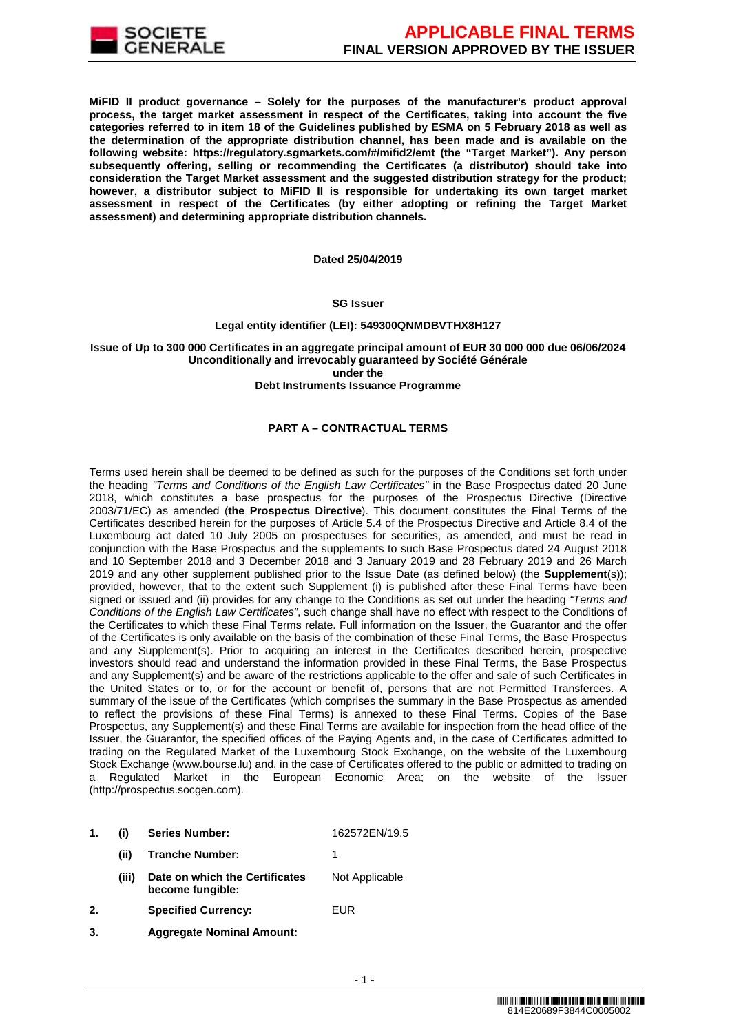

**MiFID II product governance – Solely for the purposes of the manufacturer's product approval process, the target market assessment in respect of the Certificates, taking into account the five categories referred to in item 18 of the Guidelines published by ESMA on 5 February 2018 as well as the determination of the appropriate distribution channel, has been made and is available on the following website: https://regulatory.sgmarkets.com/#/mifid2/emt (the "Target Market"). Any person subsequently offering, selling or recommending the Certificates (a distributor) should take into consideration the Target Market assessment and the suggested distribution strategy for the product; however, a distributor subject to MiFID II is responsible for undertaking its own target market assessment in respect of the Certificates (by either adopting or refining the Target Market assessment) and determining appropriate distribution channels.**

#### **Dated 25/04/2019**

#### **SG Issuer**

## **Legal entity identifier (LEI): 549300QNMDBVTHX8H127**

### **Issue of Up to 300 000 Certificates in an aggregate principal amount of EUR 30 000 000 due 06/06/2024 Unconditionally and irrevocably guaranteed by Société Générale under the**

#### **Debt Instruments Issuance Programme**

## **PART A – CONTRACTUAL TERMS**

Terms used herein shall be deemed to be defined as such for the purposes of the Conditions set forth under the heading "Terms and Conditions of the English Law Certificates" in the Base Prospectus dated 20 June 2018, which constitutes a base prospectus for the purposes of the Prospectus Directive (Directive 2003/71/EC) as amended (**the Prospectus Directive**). This document constitutes the Final Terms of the Certificates described herein for the purposes of Article 5.4 of the Prospectus Directive and Article 8.4 of the Luxembourg act dated 10 July 2005 on prospectuses for securities, as amended, and must be read in conjunction with the Base Prospectus and the supplements to such Base Prospectus dated 24 August 2018 and 10 September 2018 and 3 December 2018 and 3 January 2019 and 28 February 2019 and 26 March 2019 and any other supplement published prior to the Issue Date (as defined below) (the **Supplement**(s)); provided, however, that to the extent such Supplement (i) is published after these Final Terms have been signed or issued and (ii) provides for any change to the Conditions as set out under the heading "Terms and Conditions of the English Law Certificates", such change shall have no effect with respect to the Conditions of the Certificates to which these Final Terms relate. Full information on the Issuer, the Guarantor and the offer of the Certificates is only available on the basis of the combination of these Final Terms, the Base Prospectus and any Supplement(s). Prior to acquiring an interest in the Certificates described herein, prospective investors should read and understand the information provided in these Final Terms, the Base Prospectus and any Supplement(s) and be aware of the restrictions applicable to the offer and sale of such Certificates in the United States or to, or for the account or benefit of, persons that are not Permitted Transferees. A summary of the issue of the Certificates (which comprises the summary in the Base Prospectus as amended to reflect the provisions of these Final Terms) is annexed to these Final Terms. Copies of the Base Prospectus, any Supplement(s) and these Final Terms are available for inspection from the head office of the Issuer, the Guarantor, the specified offices of the Paying Agents and, in the case of Certificates admitted to trading on the Regulated Market of the Luxembourg Stock Exchange, on the website of the Luxembourg Stock Exchange (www.bourse.lu) and, in the case of Certificates offered to the public or admitted to trading on a Regulated Market in the European Economic Area; on the website of the Issuer (http://prospectus.socgen.com).

- **1. (i) Series Number:** 162572EN/19.5
	- **(ii) Tranche Number:** 1
		- **(iii) Date on which the Certificates become fungible:** Not Applicable
- **2. Specified Currency:** EUR
- **3. Aggregate Nominal Amount:**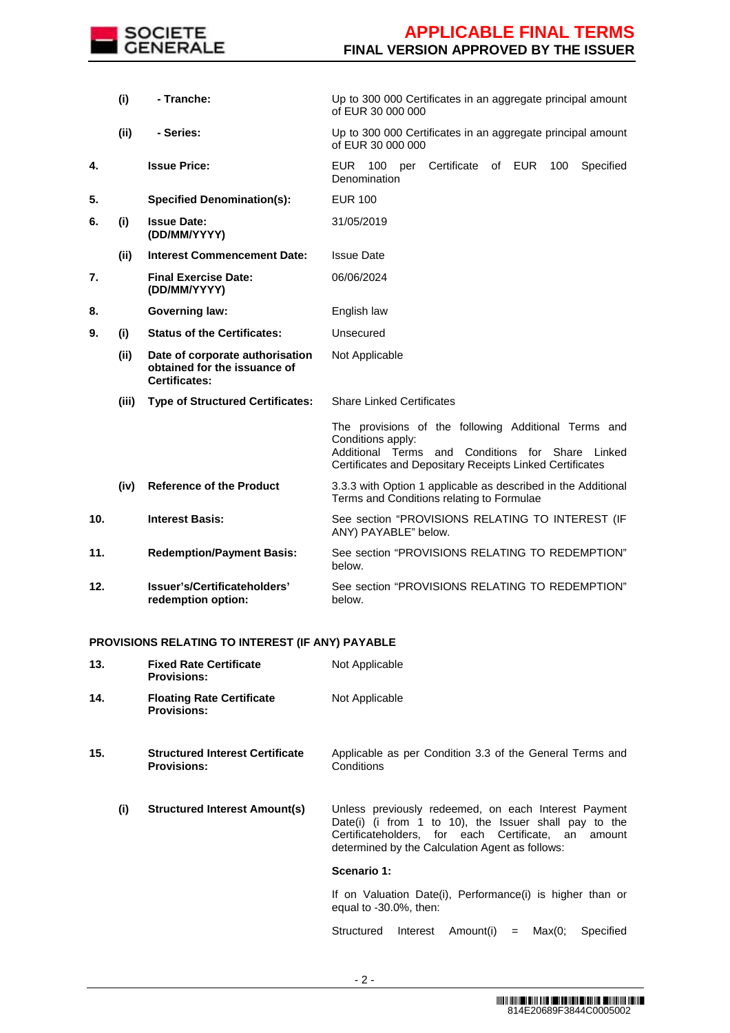

|     | (i)   | - Tranche:                                                                              | Up to 300 000 Certificates in an aggregate principal amount<br>of EUR 30 000 000                                                                                                             |  |  |  |
|-----|-------|-----------------------------------------------------------------------------------------|----------------------------------------------------------------------------------------------------------------------------------------------------------------------------------------------|--|--|--|
|     | (ii)  | - Series:                                                                               | Up to 300 000 Certificates in an aggregate principal amount<br>of EUR 30 000 000                                                                                                             |  |  |  |
| 4.  |       | <b>Issue Price:</b>                                                                     | Certificate<br>of EUR<br>Specified<br>EUR<br>100<br>100<br>per<br>Denomination                                                                                                               |  |  |  |
| 5.  |       | <b>Specified Denomination(s):</b>                                                       | <b>EUR 100</b>                                                                                                                                                                               |  |  |  |
| 6.  | (i)   | <b>Issue Date:</b><br>(DD/MM/YYYY)                                                      | 31/05/2019                                                                                                                                                                                   |  |  |  |
|     | (ii)  | <b>Interest Commencement Date:</b>                                                      | <b>Issue Date</b>                                                                                                                                                                            |  |  |  |
| 7.  |       | <b>Final Exercise Date:</b><br>(DD/MM/YYYY)                                             | 06/06/2024                                                                                                                                                                                   |  |  |  |
| 8.  |       | <b>Governing law:</b>                                                                   | English law                                                                                                                                                                                  |  |  |  |
| 9.  | (i)   | <b>Status of the Certificates:</b>                                                      | Unsecured                                                                                                                                                                                    |  |  |  |
|     | (ii)  | Date of corporate authorisation<br>obtained for the issuance of<br><b>Certificates:</b> | Not Applicable                                                                                                                                                                               |  |  |  |
|     | (iii) | <b>Type of Structured Certificates:</b>                                                 | <b>Share Linked Certificates</b>                                                                                                                                                             |  |  |  |
|     |       |                                                                                         | The provisions of the following Additional Terms and<br>Conditions apply:<br>Additional Terms and Conditions for Share<br>Linked<br>Certificates and Depositary Receipts Linked Certificates |  |  |  |
|     | (iv)  | <b>Reference of the Product</b>                                                         | 3.3.3 with Option 1 applicable as described in the Additional<br>Terms and Conditions relating to Formulae                                                                                   |  |  |  |
| 10. |       | <b>Interest Basis:</b>                                                                  | See section "PROVISIONS RELATING TO INTEREST (IF<br>ANY) PAYABLE" below.                                                                                                                     |  |  |  |
| 11. |       | <b>Redemption/Payment Basis:</b>                                                        | See section "PROVISIONS RELATING TO REDEMPTION"<br>below.                                                                                                                                    |  |  |  |
| 12. |       | Issuer's/Certificateholders'<br>redemption option:                                      | See section "PROVISIONS RELATING TO REDEMPTION"<br>below.                                                                                                                                    |  |  |  |

## **PROVISIONS RELATING TO INTEREST (IF ANY) PAYABLE**

| 13. |     | <b>Fixed Rate Certificate</b><br><b>Provisions:</b>          | Not Applicable                                                                                                                                                                                                          |  |  |  | Not Applicable<br>Applicable as per Condition 3.3 of the General Terms and<br>Conditions |  |
|-----|-----|--------------------------------------------------------------|-------------------------------------------------------------------------------------------------------------------------------------------------------------------------------------------------------------------------|--|--|--|------------------------------------------------------------------------------------------|--|
| 14. |     | <b>Floating Rate Certificate</b><br><b>Provisions:</b>       |                                                                                                                                                                                                                         |  |  |  |                                                                                          |  |
| 15. |     | <b>Structured Interest Certificate</b><br><b>Provisions:</b> |                                                                                                                                                                                                                         |  |  |  |                                                                                          |  |
|     | (i) | <b>Structured Interest Amount(s)</b>                         | Unless previously redeemed, on each Interest Payment<br>Date(i) (i from 1 to 10), the Issuer shall pay to the<br>Certificateholders, for each Certificate, an amount<br>determined by the Calculation Agent as follows: |  |  |  |                                                                                          |  |
|     |     |                                                              | Scenario 1:                                                                                                                                                                                                             |  |  |  |                                                                                          |  |
|     |     |                                                              | If on Valuation Date(i), Performance(i) is higher than or<br>equal to $-30.0\%$ , then:                                                                                                                                 |  |  |  |                                                                                          |  |
|     |     |                                                              | Max(0;<br>Structured<br>Interest<br>Amount(i)<br>Specified<br>$=$                                                                                                                                                       |  |  |  |                                                                                          |  |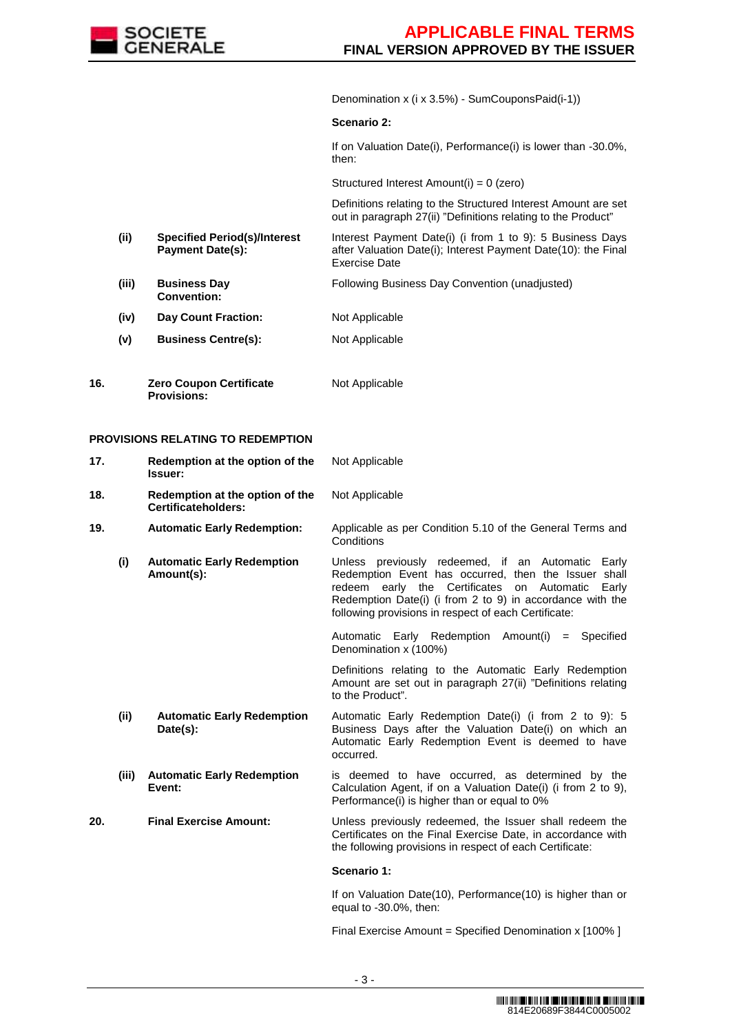

Denomination x (i x 3.5%) - SumCouponsPaid(i-1))

#### **Scenario 2:**

If on Valuation Date(i), Performance(i) is lower than -30.0%, then:

Structured Interest Amount(i) = 0 (zero)

 Definitions relating to the Structured Interest Amount are set out in paragraph 27(ii) "Definitions relating to the Product"

- **(ii) Specified Period(s)/Interest Payment Date(s):**  Interest Payment Date(i) (i from 1 to 9): 5 Business Days after Valuation Date(i); Interest Payment Date(10): the Final Exercise Date
- **(iii) Business Day Convention:** Following Business Day Convention (unadjusted)
- **(iv) Day Count Fraction:** Not Applicable
- **(v) Business Centre(s):** Not Applicable
- **16. Zero Coupon Certificate Provisions:** Not Applicable

### **PROVISIONS RELATING TO REDEMPTION**

| 17. |                                                        | Redemption at the option of the<br>Not Applicable<br>Issuer: |                                                                                                                                                                                                                                                                                                |  |  |
|-----|--------------------------------------------------------|--------------------------------------------------------------|------------------------------------------------------------------------------------------------------------------------------------------------------------------------------------------------------------------------------------------------------------------------------------------------|--|--|
| 18. | Redemption at the option of the<br>Certificateholders: |                                                              | Not Applicable                                                                                                                                                                                                                                                                                 |  |  |
| 19. |                                                        | <b>Automatic Early Redemption:</b>                           | Applicable as per Condition 5.10 of the General Terms and<br>Conditions                                                                                                                                                                                                                        |  |  |
|     | (i)                                                    | <b>Automatic Early Redemption</b><br>Amount(s):              | Unless previously redeemed, if an Automatic<br>Early<br>Redemption Event has occurred, then the Issuer shall<br>redeem early the Certificates<br>Automatic<br>Early<br>on<br>Redemption Date(i) (i from 2 to 9) in accordance with the<br>following provisions in respect of each Certificate: |  |  |
|     |                                                        |                                                              | Automatic Early Redemption Amount(i) = Specified<br>Denomination x (100%)                                                                                                                                                                                                                      |  |  |
|     |                                                        |                                                              | Definitions relating to the Automatic Early Redemption<br>Amount are set out in paragraph 27(ii) "Definitions relating<br>to the Product".                                                                                                                                                     |  |  |
|     | (ii)                                                   | <b>Automatic Early Redemption</b><br>Date(s):                | Automatic Early Redemption Date(i) (i from 2 to 9): 5<br>Business Days after the Valuation Date(i) on which an<br>Automatic Early Redemption Event is deemed to have<br>occurred.                                                                                                              |  |  |
|     | (iii)                                                  | <b>Automatic Early Redemption</b><br>Event:                  | is deemed to have occurred, as determined by the<br>Calculation Agent, if on a Valuation Date(i) (i from 2 to 9),<br>Performance(i) is higher than or equal to 0%                                                                                                                              |  |  |
| 20. |                                                        | <b>Final Exercise Amount:</b>                                | Unless previously redeemed, the Issuer shall redeem the<br>Certificates on the Final Exercise Date, in accordance with<br>the following provisions in respect of each Certificate:                                                                                                             |  |  |
|     |                                                        |                                                              | Scenario 1:                                                                                                                                                                                                                                                                                    |  |  |
|     |                                                        |                                                              | If on Valuation Date(10), Performance(10) is higher than or<br>equal to -30.0%, then:                                                                                                                                                                                                          |  |  |

Final Exercise Amount = Specified Denomination x [100% ]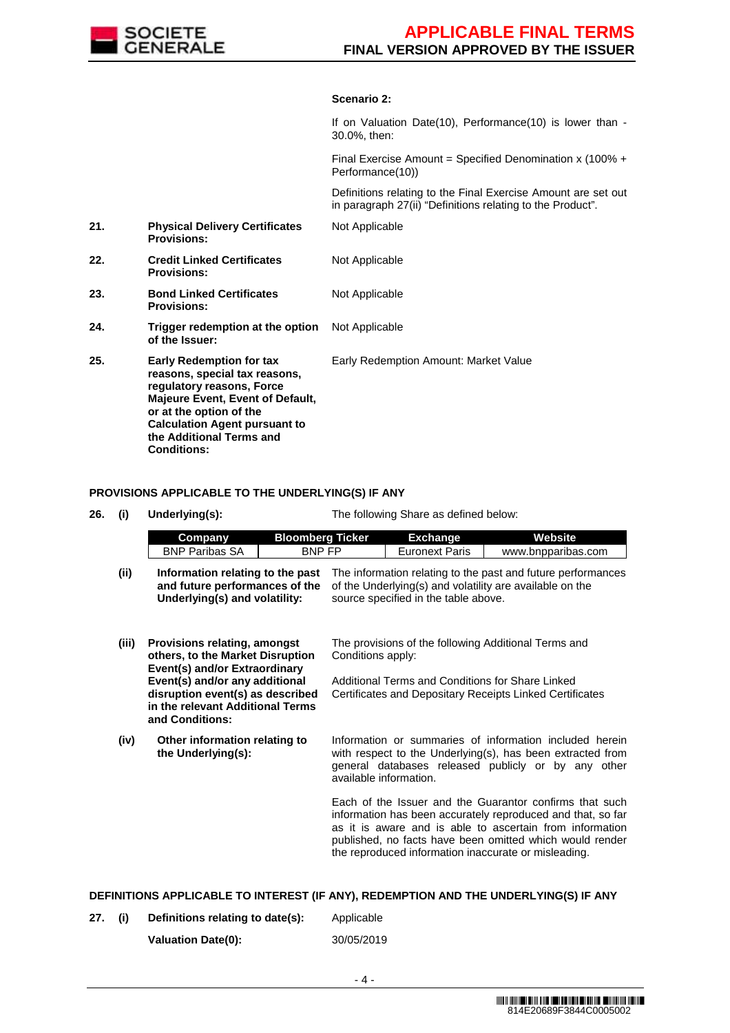

### **Scenario 2:**

If on Valuation Date(10), Performance(10) is lower than - 30.0%, then: Final Exercise Amount = Specified Denomination x (100% + Performance(10)) Definitions relating to the Final Exercise Amount are set out in paragraph 27(ii) "Definitions relating to the Product". **21. Physical Delivery Certificates Provisions:** Not Applicable **22. Credit Linked Certificates Provisions:** Not Applicable **23. Bond Linked Certificates Provisions:** Not Applicable **24. Trigger redemption at the option of the Issuer:** Not Applicable **25. Early Redemption for tax reasons, special tax reasons, regulatory reasons, Force Majeure Event, Event of Default, or at the option of the Calculation Agent pursuant to the Additional Terms and Conditions:** Early Redemption Amount: Market Value

#### **PROVISIONS APPLICABLE TO THE UNDERLYING(S) IF ANY**

**26. (i) Underlying(s):** The following Share as defined below:

|       | Company                                                                                                                   | <b>Bloomberg Ticker</b> |                                                                                                                                                                  | <b>Exchange</b>                                  | <b>Website</b>                                                                                                                                                                                                                                                                                         |  |
|-------|---------------------------------------------------------------------------------------------------------------------------|-------------------------|------------------------------------------------------------------------------------------------------------------------------------------------------------------|--------------------------------------------------|--------------------------------------------------------------------------------------------------------------------------------------------------------------------------------------------------------------------------------------------------------------------------------------------------------|--|
|       | <b>BNP Paribas SA</b>                                                                                                     | <b>BNP FP</b>           |                                                                                                                                                                  | <b>Euronext Paris</b>                            | www.bnpparibas.com                                                                                                                                                                                                                                                                                     |  |
| (ii)  | Information relating to the past<br>and future performances of the<br>Underlying(s) and volatility:                       |                         | The information relating to the past and future performances<br>of the Underlying(s) and volatility are available on the<br>source specified in the table above. |                                                  |                                                                                                                                                                                                                                                                                                        |  |
| (iii) | Provisions relating, amongst<br>others, to the Market Disruption<br>Event(s) and/or Extraordinary                         |                         | Conditions apply:                                                                                                                                                |                                                  | The provisions of the following Additional Terms and                                                                                                                                                                                                                                                   |  |
|       | Event(s) and/or any additional<br>disruption event(s) as described<br>in the relevant Additional Terms<br>and Conditions: |                         |                                                                                                                                                                  | Additional Terms and Conditions for Share Linked | Certificates and Depositary Receipts Linked Certificates                                                                                                                                                                                                                                               |  |
| (iv)  | Other information relating to<br>the Underlying(s):                                                                       |                         | available information.                                                                                                                                           |                                                  | Information or summaries of information included herein<br>with respect to the Underlying(s), has been extracted from<br>general databases released publicly or by any other                                                                                                                           |  |
|       |                                                                                                                           |                         |                                                                                                                                                                  |                                                  | Each of the Issuer and the Guarantor confirms that such<br>information has been accurately reproduced and that, so far<br>as it is aware and is able to ascertain from information<br>published, no facts have been omitted which would render<br>the reproduced information inaccurate or misleading. |  |

### **DEFINITIONS APPLICABLE TO INTEREST (IF ANY), REDEMPTION AND THE UNDERLYING(S) IF ANY**

**27. (i) Definitions relating to date(s):** Applicable **Valuation Date(0):** 30/05/2019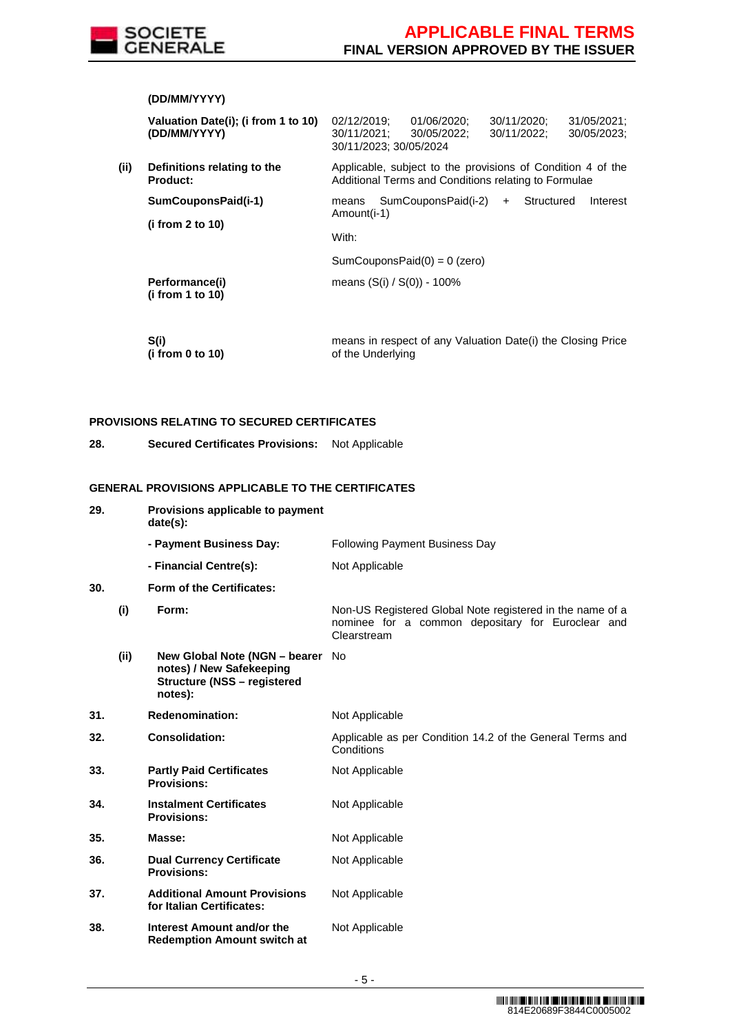

|     | (DD/MM/YYYY)                                        |                                                                                                                                                |  |  |  |  |
|-----|-----------------------------------------------------|------------------------------------------------------------------------------------------------------------------------------------------------|--|--|--|--|
|     | Valuation Date(i); (i from 1 to 10)<br>(DD/MM/YYYY) | 02/12/2019;<br>01/06/2020:<br>30/11/2020;<br>31/05/2021:<br>30/05/2022:<br>30/11/2022;<br>30/05/2023;<br>30/11/2021;<br>30/11/2023; 30/05/2024 |  |  |  |  |
| (i) | Definitions relating to the<br><b>Product:</b>      | Applicable, subject to the provisions of Condition 4 of the<br>Additional Terms and Conditions relating to Formulae                            |  |  |  |  |
|     | SumCouponsPaid(i-1)<br>(i from 2 to 10)             | SumCouponsPaid(i-2)<br>Structured<br>Interest<br>$+$<br>means<br>Amount(i-1)                                                                   |  |  |  |  |
|     |                                                     | With:                                                                                                                                          |  |  |  |  |
|     |                                                     | $SumCouponsPaid(0) = 0$ (zero)                                                                                                                 |  |  |  |  |
|     | Performance(i)<br>(i from 1 to 10)                  | means $(S(i) / S(0)) - 100\%$                                                                                                                  |  |  |  |  |
|     |                                                     |                                                                                                                                                |  |  |  |  |

 **S(i) (i from 0 to 10)**  means in respect of any Valuation Date(i) the Closing Price of the Underlying

## **PROVISIONS RELATING TO SECURED CERTIFICATES**

**28. Secured Certificates Provisions:** Not Applicable

## **GENERAL PROVISIONS APPLICABLE TO THE CERTIFICATES**

| 29. |      | Provisions applicable to payment<br>date(s):                                                                  |                                                                                                                               |
|-----|------|---------------------------------------------------------------------------------------------------------------|-------------------------------------------------------------------------------------------------------------------------------|
|     |      | - Payment Business Day:                                                                                       | <b>Following Payment Business Day</b>                                                                                         |
|     |      | - Financial Centre(s):                                                                                        | Not Applicable                                                                                                                |
| 30. |      | Form of the Certificates:                                                                                     |                                                                                                                               |
|     | (i)  | Form:                                                                                                         | Non-US Registered Global Note registered in the name of a<br>nominee for a common depositary for Euroclear and<br>Clearstream |
|     | (ii) | New Global Note (NGN – bearer No<br>notes) / New Safekeeping<br><b>Structure (NSS - registered</b><br>notes): |                                                                                                                               |
| 31. |      | <b>Redenomination:</b>                                                                                        | Not Applicable                                                                                                                |
| 32. |      | <b>Consolidation:</b>                                                                                         | Applicable as per Condition 14.2 of the General Terms and<br>Conditions                                                       |
| 33. |      | <b>Partly Paid Certificates</b><br><b>Provisions:</b>                                                         | Not Applicable                                                                                                                |
| 34. |      | <b>Instalment Certificates</b><br><b>Provisions:</b>                                                          | Not Applicable                                                                                                                |
| 35. |      | Masse:                                                                                                        | Not Applicable                                                                                                                |
| 36. |      | <b>Dual Currency Certificate</b><br><b>Provisions:</b>                                                        | Not Applicable                                                                                                                |
| 37. |      | <b>Additional Amount Provisions</b><br>for Italian Certificates:                                              | Not Applicable                                                                                                                |
| 38. |      | Interest Amount and/or the<br><b>Redemption Amount switch at</b>                                              | Not Applicable                                                                                                                |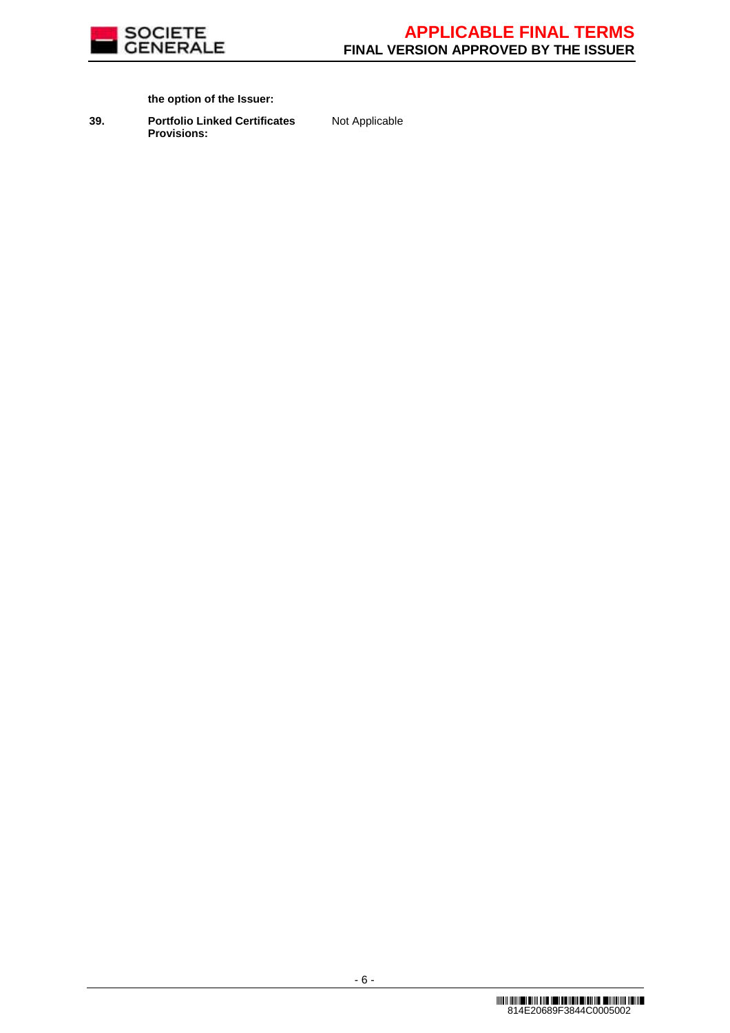

**the option of the Issuer:**

**39. Portfolio Linked Certificates Provisions:**

Not Applicable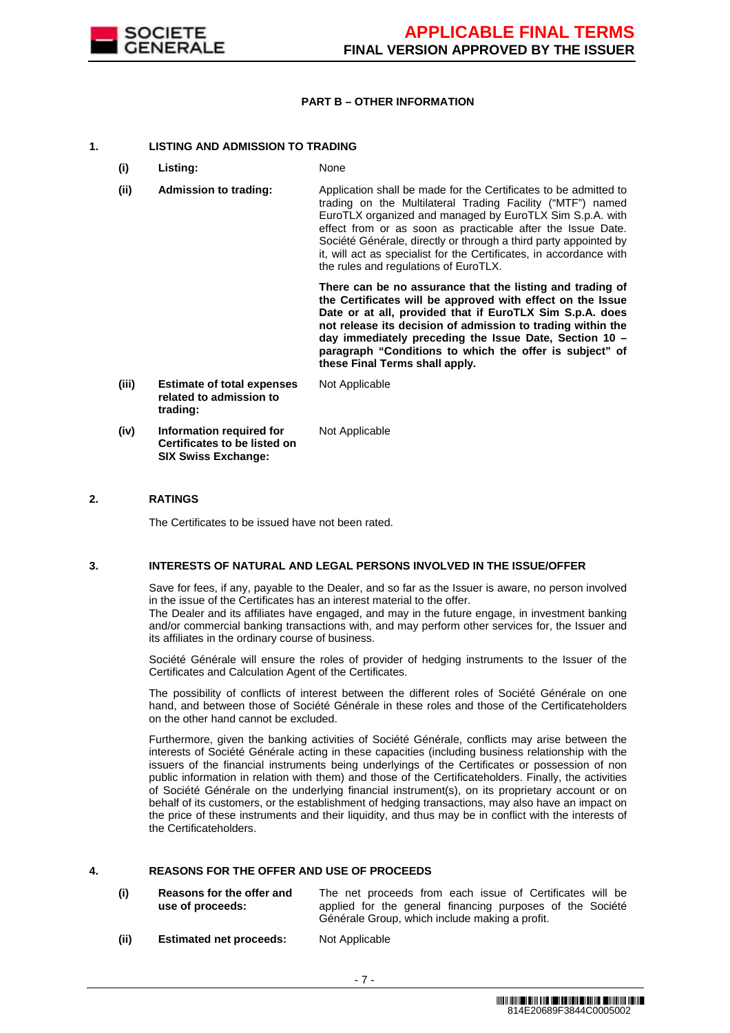

## **PART B – OTHER INFORMATION**

## **1. LISTING AND ADMISSION TO TRADING**

- **(i) Listing:** None
- **(ii) Admission to trading:** Application shall be made for the Certificates to be admitted to trading on the Multilateral Trading Facility ("MTF") named EuroTLX organized and managed by EuroTLX Sim S.p.A. with effect from or as soon as practicable after the Issue Date. Société Générale, directly or through a third party appointed by it, will act as specialist for the Certificates, in accordance with the rules and regulations of EuroTLX.

 **There can be no assurance that the listing and trading of the Certificates will be approved with effect on the Issue Date or at all, provided that if EuroTLX Sim S.p.A. does not release its decision of admission to trading within the day immediately preceding the Issue Date, Section 10 – paragraph "Conditions to which the offer is subject" of these Final Terms shall apply.**

**(iii) Estimate of total expenses related to admission to trading:** Not Applicable **(iv) Information required for Certificates to be listed on SIX Swiss Exchange:** Not Applicable

## **2. RATINGS**

The Certificates to be issued have not been rated.

#### **3. INTERESTS OF NATURAL AND LEGAL PERSONS INVOLVED IN THE ISSUE/OFFER**

 Save for fees, if any, payable to the Dealer, and so far as the Issuer is aware, no person involved in the issue of the Certificates has an interest material to the offer.

The Dealer and its affiliates have engaged, and may in the future engage, in investment banking and/or commercial banking transactions with, and may perform other services for, the Issuer and its affiliates in the ordinary course of business.

 Société Générale will ensure the roles of provider of hedging instruments to the Issuer of the Certificates and Calculation Agent of the Certificates.

 The possibility of conflicts of interest between the different roles of Société Générale on one hand, and between those of Société Générale in these roles and those of the Certificateholders on the other hand cannot be excluded.

 Furthermore, given the banking activities of Société Générale, conflicts may arise between the interests of Société Générale acting in these capacities (including business relationship with the issuers of the financial instruments being underlyings of the Certificates or possession of non public information in relation with them) and those of the Certificateholders. Finally, the activities of Société Générale on the underlying financial instrument(s), on its proprietary account or on behalf of its customers, or the establishment of hedging transactions, may also have an impact on the price of these instruments and their liquidity, and thus may be in conflict with the interests of the Certificateholders.

#### **4. REASONS FOR THE OFFER AND USE OF PROCEEDS**

| (i) | Reasons for the offer and | The net proceeds from each issue of Certificates will be  |
|-----|---------------------------|-----------------------------------------------------------|
|     | use of proceeds:          | applied for the general financing purposes of the Société |
|     |                           | Générale Group, which include making a profit.            |

**(ii) Estimated net proceeds:** Not Applicable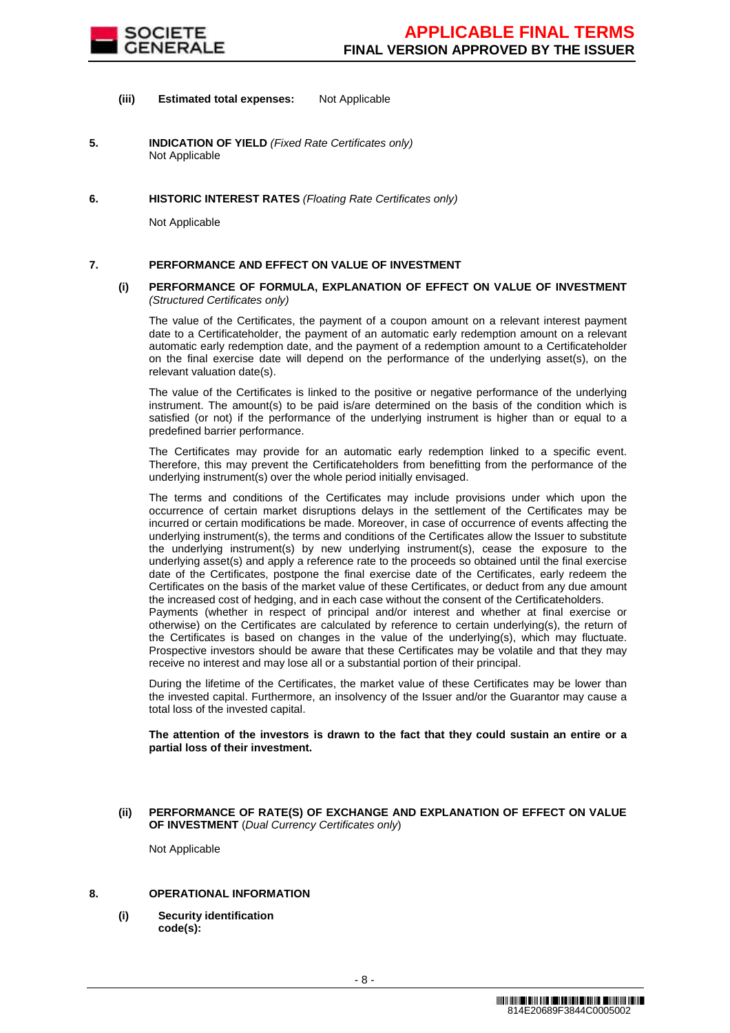

### **(iii) Estimated total expenses:** Not Applicable

- **5. INDICATION OF YIELD** (Fixed Rate Certificates only) Not Applicable
- **6. HISTORIC INTEREST RATES** (Floating Rate Certificates only)

Not Applicable

### **7. PERFORMANCE AND EFFECT ON VALUE OF INVESTMENT**

#### **(i) PERFORMANCE OF FORMULA, EXPLANATION OF EFFECT ON VALUE OF INVESTMENT**  (Structured Certificates only)

 The value of the Certificates, the payment of a coupon amount on a relevant interest payment date to a Certificateholder, the payment of an automatic early redemption amount on a relevant automatic early redemption date, and the payment of a redemption amount to a Certificateholder on the final exercise date will depend on the performance of the underlying asset(s), on the relevant valuation date(s).

 The value of the Certificates is linked to the positive or negative performance of the underlying instrument. The amount(s) to be paid is/are determined on the basis of the condition which is satisfied (or not) if the performance of the underlying instrument is higher than or equal to a predefined barrier performance.

 The Certificates may provide for an automatic early redemption linked to a specific event. Therefore, this may prevent the Certificateholders from benefitting from the performance of the underlying instrument(s) over the whole period initially envisaged.

 The terms and conditions of the Certificates may include provisions under which upon the occurrence of certain market disruptions delays in the settlement of the Certificates may be incurred or certain modifications be made. Moreover, in case of occurrence of events affecting the underlying instrument(s), the terms and conditions of the Certificates allow the Issuer to substitute the underlying instrument(s) by new underlying instrument(s), cease the exposure to the underlying asset(s) and apply a reference rate to the proceeds so obtained until the final exercise date of the Certificates, postpone the final exercise date of the Certificates, early redeem the Certificates on the basis of the market value of these Certificates, or deduct from any due amount the increased cost of hedging, and in each case without the consent of the Certificateholders.

Payments (whether in respect of principal and/or interest and whether at final exercise or otherwise) on the Certificates are calculated by reference to certain underlying(s), the return of the Certificates is based on changes in the value of the underlying(s), which may fluctuate. Prospective investors should be aware that these Certificates may be volatile and that they may receive no interest and may lose all or a substantial portion of their principal.

 During the lifetime of the Certificates, the market value of these Certificates may be lower than the invested capital. Furthermore, an insolvency of the Issuer and/or the Guarantor may cause a total loss of the invested capital.

**The attention of the investors is drawn to the fact that they could sustain an entire or a partial loss of their investment.**

**(ii) PERFORMANCE OF RATE(S) OF EXCHANGE AND EXPLANATION OF EFFECT ON VALUE OF INVESTMENT** (Dual Currency Certificates only)

Not Applicable

## **8. OPERATIONAL INFORMATION**

**(i) Security identification code(s):**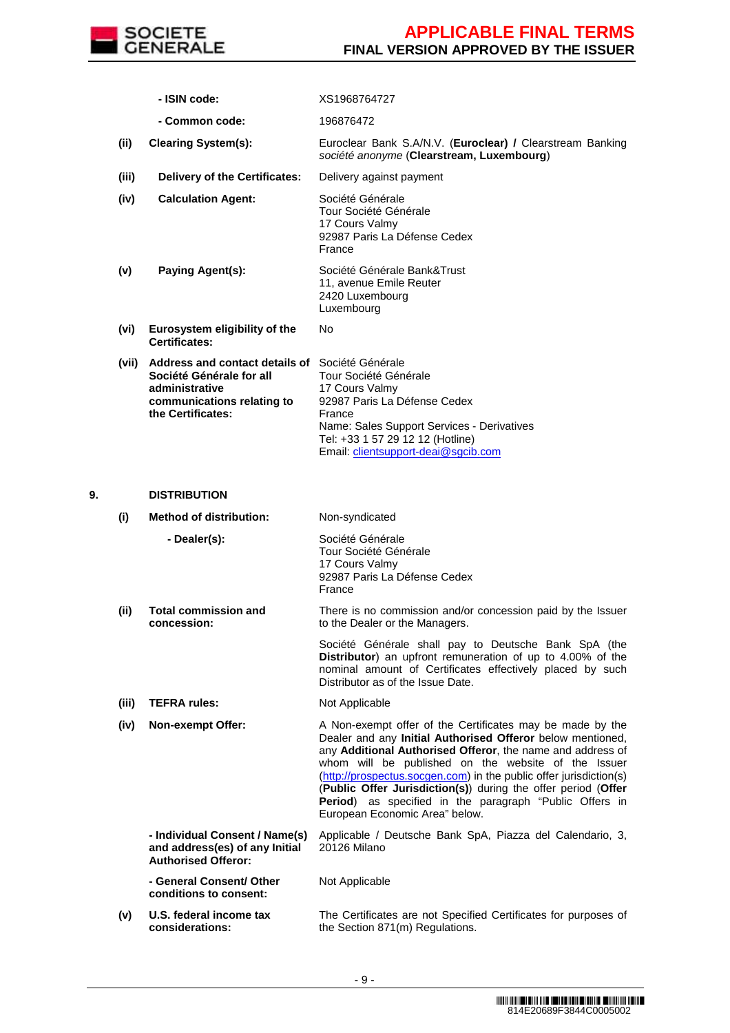

|    |       | - ISIN code:                                                                                                                                           | XS1968764727                                                                                                                                                                                                                                                                                                                                                                                                                                                                     |
|----|-------|--------------------------------------------------------------------------------------------------------------------------------------------------------|----------------------------------------------------------------------------------------------------------------------------------------------------------------------------------------------------------------------------------------------------------------------------------------------------------------------------------------------------------------------------------------------------------------------------------------------------------------------------------|
|    |       | - Common code:                                                                                                                                         | 196876472                                                                                                                                                                                                                                                                                                                                                                                                                                                                        |
|    | (ii)  | <b>Clearing System(s):</b>                                                                                                                             | Euroclear Bank S.A/N.V. (Euroclear) / Clearstream Banking<br>société anonyme (Clearstream, Luxembourg)                                                                                                                                                                                                                                                                                                                                                                           |
|    | (iii) | <b>Delivery of the Certificates:</b>                                                                                                                   | Delivery against payment                                                                                                                                                                                                                                                                                                                                                                                                                                                         |
|    | (iv)  | <b>Calculation Agent:</b>                                                                                                                              | Société Générale<br>Tour Société Générale<br>17 Cours Valmy<br>92987 Paris La Défense Cedex<br>France                                                                                                                                                                                                                                                                                                                                                                            |
|    | (v)   | Paying Agent(s):                                                                                                                                       | Société Générale Bank&Trust<br>11, avenue Emile Reuter<br>2420 Luxembourg<br>Luxembourg                                                                                                                                                                                                                                                                                                                                                                                          |
|    | (vi)  | Eurosystem eligibility of the<br><b>Certificates:</b>                                                                                                  | No                                                                                                                                                                                                                                                                                                                                                                                                                                                                               |
|    |       | (vii) Address and contact details of Société Générale<br>Société Générale for all<br>administrative<br>communications relating to<br>the Certificates: | Tour Société Générale<br>17 Cours Valmy<br>92987 Paris La Défense Cedex<br>France<br>Name: Sales Support Services - Derivatives<br>Tel: +33 1 57 29 12 12 (Hotline)<br>Email: clientsupport-deai@sgcib.com                                                                                                                                                                                                                                                                       |
| 9. |       | <b>DISTRIBUTION</b>                                                                                                                                    |                                                                                                                                                                                                                                                                                                                                                                                                                                                                                  |
|    | (i)   | <b>Method of distribution:</b>                                                                                                                         | Non-syndicated                                                                                                                                                                                                                                                                                                                                                                                                                                                                   |
|    |       | - Dealer(s):                                                                                                                                           | Société Générale<br>Tour Société Générale<br>17 Cours Valmy<br>92987 Paris La Défense Cedex<br>France                                                                                                                                                                                                                                                                                                                                                                            |
|    | (ii)  | <b>Total commission and</b><br>concession:                                                                                                             | There is no commission and/or concession paid by the Issuer<br>to the Dealer or the Managers.                                                                                                                                                                                                                                                                                                                                                                                    |
|    |       |                                                                                                                                                        | Société Générale shall pay to Deutsche Bank SpA (the<br>Distributor) an upfront remuneration of up to 4.00% of the<br>nominal amount of Certificates effectively placed by such<br>Distributor as of the Issue Date.                                                                                                                                                                                                                                                             |
|    | (iii) | <b>TEFRA rules:</b>                                                                                                                                    | Not Applicable                                                                                                                                                                                                                                                                                                                                                                                                                                                                   |
|    | (iv)  | Non-exempt Offer:                                                                                                                                      | A Non-exempt offer of the Certificates may be made by the<br>Dealer and any Initial Authorised Offeror below mentioned,<br>any Additional Authorised Offeror, the name and address of<br>whom will be published on the website of the Issuer<br>(http://prospectus.socgen.com) in the public offer jurisdiction(s)<br>(Public Offer Jurisdiction(s)) during the offer period (Offer<br>Period) as specified in the paragraph "Public Offers in<br>European Economic Area" below. |
|    |       | - Individual Consent / Name(s)<br>and address(es) of any Initial<br><b>Authorised Offeror:</b>                                                         | Applicable / Deutsche Bank SpA, Piazza del Calendario, 3,<br>20126 Milano                                                                                                                                                                                                                                                                                                                                                                                                        |
|    |       | - General Consent/ Other<br>conditions to consent:                                                                                                     | Not Applicable                                                                                                                                                                                                                                                                                                                                                                                                                                                                   |
|    | (v)   | U.S. federal income tax<br>considerations:                                                                                                             | The Certificates are not Specified Certificates for purposes of<br>the Section 871(m) Regulations.                                                                                                                                                                                                                                                                                                                                                                               |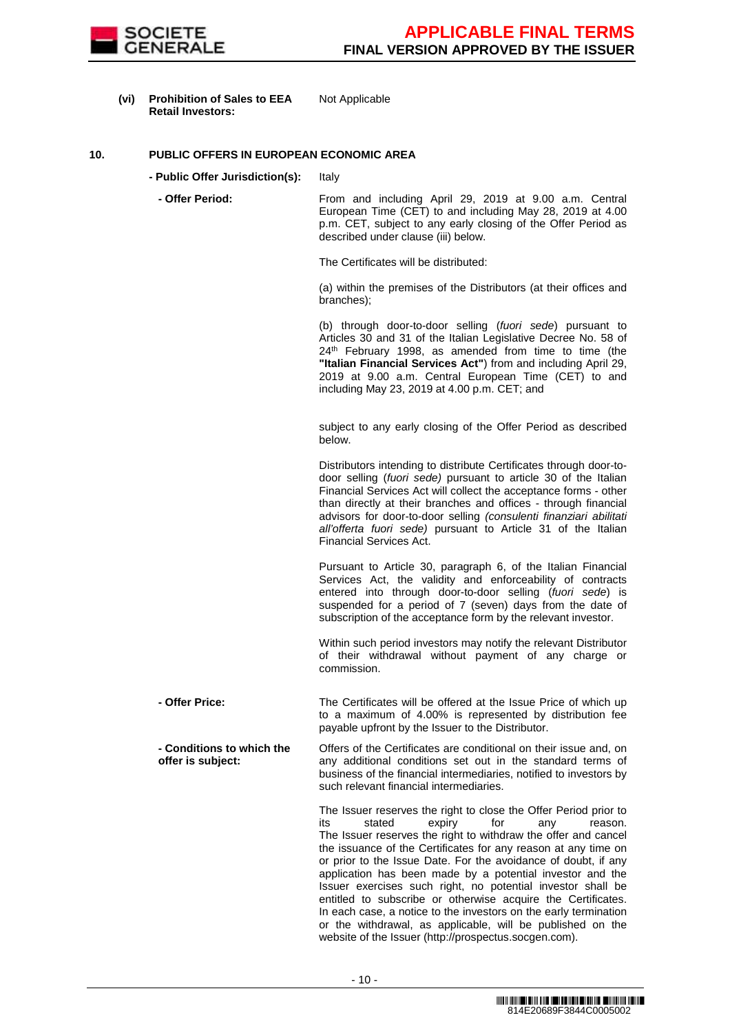

**(vi) Prohibition of Sales to EEA Retail Investors:** Not Applicable

### **10. PUBLIC OFFERS IN EUROPEAN ECONOMIC AREA**

- **Public Offer Jurisdiction(s):** Italy
	- Offer Period: From and including April 29, 2019 at 9.00 a.m. Central European Time (CET) to and including May 28, 2019 at 4.00 p.m. CET, subject to any early closing of the Offer Period as described under clause (iii) below.

The Certificates will be distributed:

(a) within the premises of the Distributors (at their offices and branches);

(b) through door-to-door selling (fuori sede) pursuant to Articles 30 and 31 of the Italian Legislative Decree No. 58 of 24<sup>th</sup> February 1998, as amended from time to time (the **"Italian Financial Services Act"**) from and including April 29, 2019 at 9.00 a.m. Central European Time (CET) to and including May 23, 2019 at 4.00 p.m. CET; and

subject to any early closing of the Offer Period as described below.

Distributors intending to distribute Certificates through door-todoor selling (fuori sede) pursuant to article 30 of the Italian Financial Services Act will collect the acceptance forms - other than directly at their branches and offices - through financial advisors for door-to-door selling (consulenti finanziari abilitati all'offerta fuori sede) pursuant to Article 31 of the Italian Financial Services Act.

Pursuant to Article 30, paragraph 6, of the Italian Financial Services Act, the validity and enforceability of contracts entered into through door-to-door selling (fuori sede) is suspended for a period of 7 (seven) days from the date of subscription of the acceptance form by the relevant investor.

Within such period investors may notify the relevant Distributor of their withdrawal without payment of any charge or commission.

 **- Offer Price:** The Certificates will be offered at the Issue Price of which up to a maximum of 4.00% is represented by distribution fee payable upfront by the Issuer to the Distributor.

 **- Conditions to which the offer is subject:** Offers of the Certificates are conditional on their issue and, on any additional conditions set out in the standard terms of business of the financial intermediaries, notified to investors by such relevant financial intermediaries.

> The Issuer reserves the right to close the Offer Period prior to its stated expiry for any reason. The Issuer reserves the right to withdraw the offer and cancel the issuance of the Certificates for any reason at any time on or prior to the Issue Date. For the avoidance of doubt, if any application has been made by a potential investor and the Issuer exercises such right, no potential investor shall be entitled to subscribe or otherwise acquire the Certificates. In each case, a notice to the investors on the early termination or the withdrawal, as applicable, will be published on the website of the Issuer (http://prospectus.socgen.com).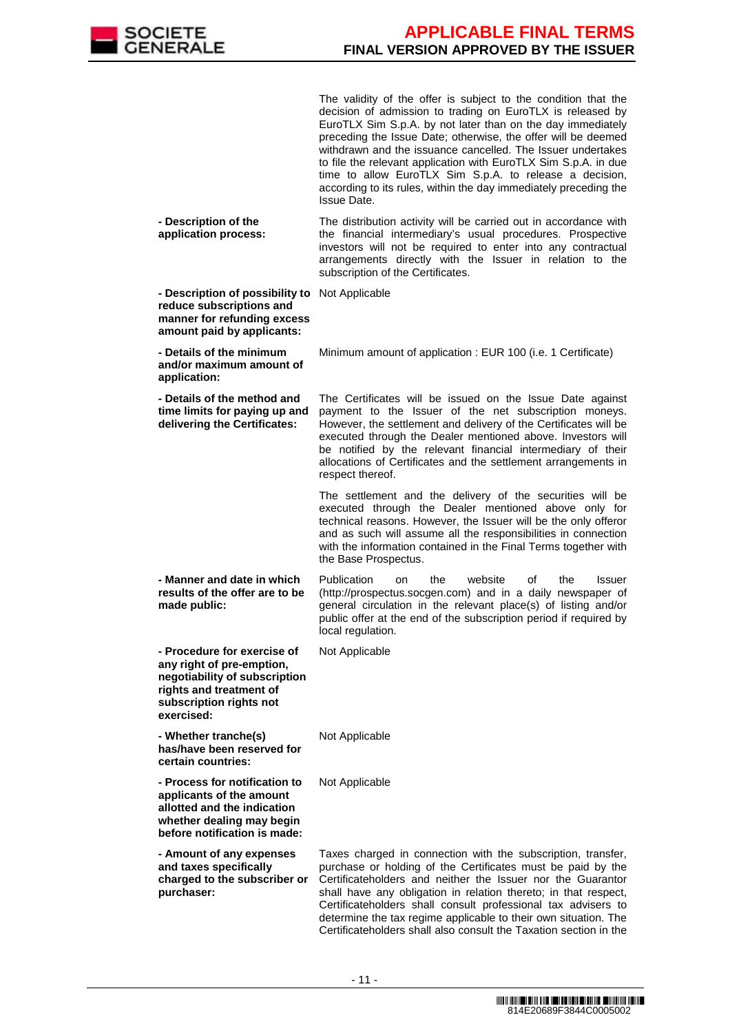

|                                                                                                                                                               | The validity of the offer is subject to the condition that the<br>decision of admission to trading on EuroTLX is released by<br>EuroTLX Sim S.p.A. by not later than on the day immediately<br>preceding the Issue Date; otherwise, the offer will be deemed<br>withdrawn and the issuance cancelled. The Issuer undertakes<br>to file the relevant application with EuroTLX Sim S.p.A. in due<br>time to allow EuroTLX Sim S.p.A. to release a decision,<br>according to its rules, within the day immediately preceding the<br><b>Issue Date.</b> |
|---------------------------------------------------------------------------------------------------------------------------------------------------------------|-----------------------------------------------------------------------------------------------------------------------------------------------------------------------------------------------------------------------------------------------------------------------------------------------------------------------------------------------------------------------------------------------------------------------------------------------------------------------------------------------------------------------------------------------------|
| - Description of the<br>application process:                                                                                                                  | The distribution activity will be carried out in accordance with<br>the financial intermediary's usual procedures. Prospective<br>investors will not be required to enter into any contractual<br>arrangements directly with the Issuer in relation to the<br>subscription of the Certificates.                                                                                                                                                                                                                                                     |
| - Description of possibility to<br>reduce subscriptions and<br>manner for refunding excess<br>amount paid by applicants:                                      | Not Applicable                                                                                                                                                                                                                                                                                                                                                                                                                                                                                                                                      |
| - Details of the minimum<br>and/or maximum amount of<br>application:                                                                                          | Minimum amount of application : EUR 100 (i.e. 1 Certificate)                                                                                                                                                                                                                                                                                                                                                                                                                                                                                        |
| - Details of the method and<br>time limits for paying up and<br>delivering the Certificates:                                                                  | The Certificates will be issued on the Issue Date against<br>payment to the Issuer of the net subscription moneys.<br>However, the settlement and delivery of the Certificates will be<br>executed through the Dealer mentioned above. Investors will<br>be notified by the relevant financial intermediary of their<br>allocations of Certificates and the settlement arrangements in<br>respect thereof.                                                                                                                                          |
|                                                                                                                                                               | The settlement and the delivery of the securities will be<br>executed through the Dealer mentioned above only for<br>technical reasons. However, the Issuer will be the only offeror<br>and as such will assume all the responsibilities in connection<br>with the information contained in the Final Terms together with<br>the Base Prospectus.                                                                                                                                                                                                   |
| - Manner and date in which<br>results of the offer are to be<br>made public:                                                                                  | Publication<br>website<br>the<br>the<br>οf<br>Issuer<br>on<br>(http://prospectus.socgen.com) and in a daily newspaper of<br>general circulation in the relevant place(s) of listing and/or<br>public offer at the end of the subscription period if required by<br>local regulation.                                                                                                                                                                                                                                                                |
| - Procedure for exercise of<br>any right of pre-emption,<br>negotiability of subscription<br>rights and treatment of<br>subscription rights not<br>exercised: | Not Applicable                                                                                                                                                                                                                                                                                                                                                                                                                                                                                                                                      |
| - Whether tranche(s)<br>has/have been reserved for<br>certain countries:                                                                                      | Not Applicable                                                                                                                                                                                                                                                                                                                                                                                                                                                                                                                                      |
| - Process for notification to<br>applicants of the amount<br>allotted and the indication<br>whether dealing may begin<br>before notification is made:         | Not Applicable                                                                                                                                                                                                                                                                                                                                                                                                                                                                                                                                      |
| - Amount of any expenses<br>and taxes specifically<br>charged to the subscriber or<br>purchaser:                                                              | Taxes charged in connection with the subscription, transfer,<br>purchase or holding of the Certificates must be paid by the<br>Certificateholders and neither the Issuer nor the Guarantor<br>shall have any obligation in relation thereto; in that respect,<br>Certificateholders shall consult professional tax advisers to<br>determine the tax regime applicable to their own situation. The<br>Certificateholders shall also consult the Taxation section in the                                                                              |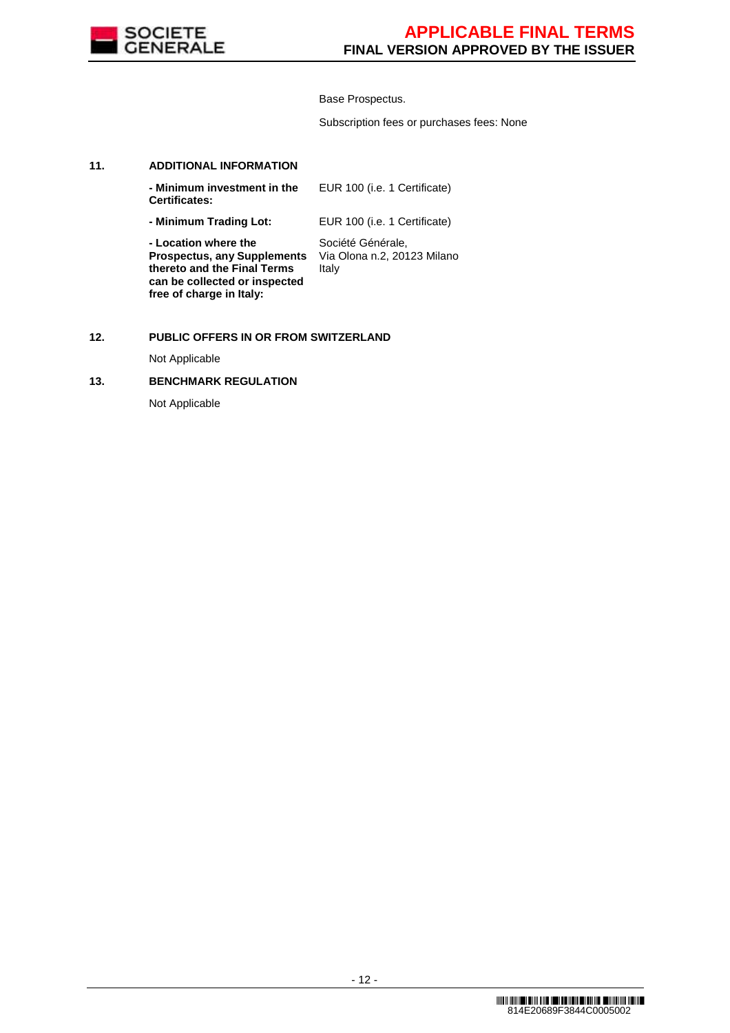

Base Prospectus.

Subscription fees or purchases fees: None

### **11. ADDITIONAL INFORMATION**

| - Minimum investment in the<br><b>Certificates:</b>                                                                        | EUR 100 (i.e. 1 Certificate)                              |
|----------------------------------------------------------------------------------------------------------------------------|-----------------------------------------------------------|
| - Minimum Trading Lot:                                                                                                     | EUR 100 (i.e. 1 Certificate)                              |
| - Location where the<br><b>Prospectus, any Supplements</b><br>thereto and the Final Terms<br>can be collected or inspected | Société Générale,<br>Via Olona n.2, 20123 Milano<br>Italy |

## **12. PUBLIC OFFERS IN OR FROM SWITZERLAND**

Not Applicable

## **13. BENCHMARK REGULATION**

**free of charge in Italy:**

Not Applicable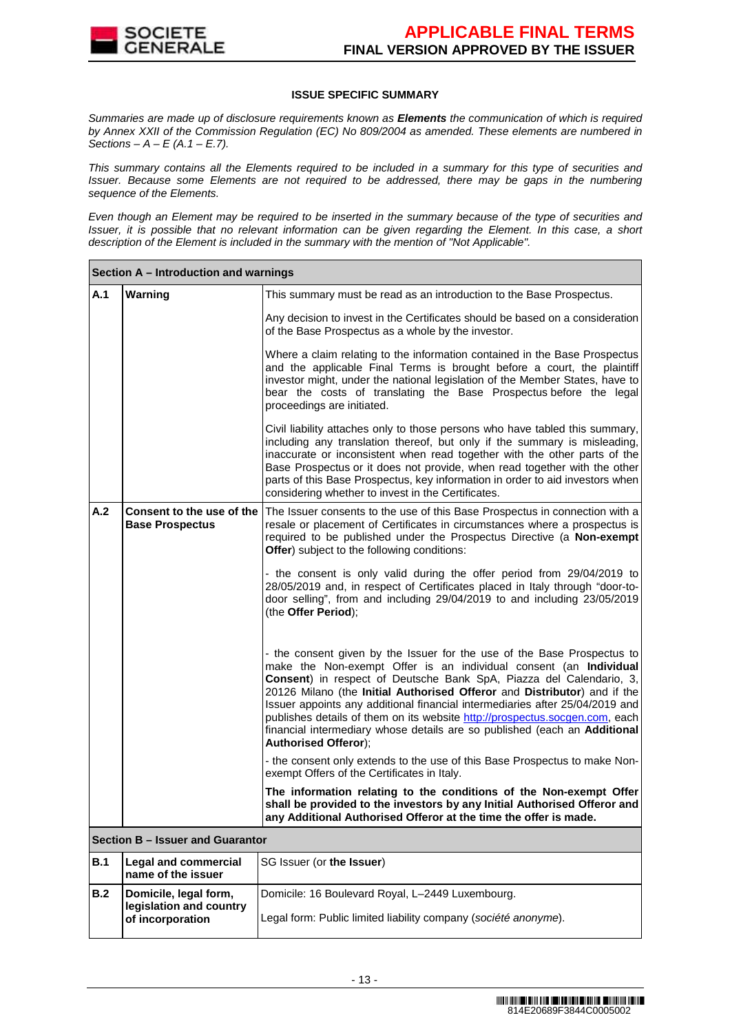

## **ISSUE SPECIFIC SUMMARY**

Summaries are made up of disclosure requirements known as **Elements** the communication of which is required by Annex XXII of the Commission Regulation (EC) No 809/2004 as amended. These elements are numbered in Sections –  $A - E(A.1 - E.7)$ .

This summary contains all the Elements required to be included in a summary for this type of securities and Issuer. Because some Elements are not required to be addressed, there may be gaps in the numbering sequence of the Elements.

Even though an Element may be required to be inserted in the summary because of the type of securities and Issuer, it is possible that no relevant information can be given regarding the Element. In this case, a short description of the Element is included in the summary with the mention of "Not Applicable".

|            | Section A - Introduction and warnings                                |                                                                                                                                                                                                                                                                                                                                                                                                                                                                                                                                                                            |
|------------|----------------------------------------------------------------------|----------------------------------------------------------------------------------------------------------------------------------------------------------------------------------------------------------------------------------------------------------------------------------------------------------------------------------------------------------------------------------------------------------------------------------------------------------------------------------------------------------------------------------------------------------------------------|
| A.1        | Warning                                                              | This summary must be read as an introduction to the Base Prospectus.                                                                                                                                                                                                                                                                                                                                                                                                                                                                                                       |
|            |                                                                      | Any decision to invest in the Certificates should be based on a consideration<br>of the Base Prospectus as a whole by the investor.                                                                                                                                                                                                                                                                                                                                                                                                                                        |
|            |                                                                      | Where a claim relating to the information contained in the Base Prospectus<br>and the applicable Final Terms is brought before a court, the plaintiff<br>investor might, under the national legislation of the Member States, have to<br>bear the costs of translating the Base Prospectus before the legal<br>proceedings are initiated.                                                                                                                                                                                                                                  |
|            |                                                                      | Civil liability attaches only to those persons who have tabled this summary,<br>including any translation thereof, but only if the summary is misleading,<br>inaccurate or inconsistent when read together with the other parts of the<br>Base Prospectus or it does not provide, when read together with the other<br>parts of this Base Prospectus, key information in order to aid investors when<br>considering whether to invest in the Certificates.                                                                                                                 |
| A.2        | Consent to the use of the<br><b>Base Prospectus</b>                  | The Issuer consents to the use of this Base Prospectus in connection with a<br>resale or placement of Certificates in circumstances where a prospectus is<br>required to be published under the Prospectus Directive (a Non-exempt<br>Offer) subject to the following conditions:                                                                                                                                                                                                                                                                                          |
|            |                                                                      | - the consent is only valid during the offer period from 29/04/2019 to<br>28/05/2019 and, in respect of Certificates placed in Italy through "door-to-<br>door selling", from and including 29/04/2019 to and including 23/05/2019<br>(the Offer Period);                                                                                                                                                                                                                                                                                                                  |
|            |                                                                      | - the consent given by the Issuer for the use of the Base Prospectus to<br>make the Non-exempt Offer is an individual consent (an Individual<br>Consent) in respect of Deutsche Bank SpA, Piazza del Calendario, 3,<br>20126 Milano (the Initial Authorised Offeror and Distributor) and if the<br>Issuer appoints any additional financial intermediaries after 25/04/2019 and<br>publishes details of them on its website http://prospectus.socgen.com, each<br>financial intermediary whose details are so published (each an Additional<br><b>Authorised Offeror);</b> |
|            |                                                                      | - the consent only extends to the use of this Base Prospectus to make Non-<br>exempt Offers of the Certificates in Italy.                                                                                                                                                                                                                                                                                                                                                                                                                                                  |
|            |                                                                      | The information relating to the conditions of the Non-exempt Offer<br>shall be provided to the investors by any Initial Authorised Offeror and<br>any Additional Authorised Offeror at the time the offer is made.                                                                                                                                                                                                                                                                                                                                                         |
|            | Section B - Issuer and Guarantor                                     |                                                                                                                                                                                                                                                                                                                                                                                                                                                                                                                                                                            |
| <b>B.1</b> | <b>Legal and commercial</b><br>name of the issuer                    | SG Issuer (or the Issuer)                                                                                                                                                                                                                                                                                                                                                                                                                                                                                                                                                  |
| B.2        | Domicile, legal form,<br>legislation and country<br>of incorporation | Domicile: 16 Boulevard Royal, L-2449 Luxembourg.<br>Legal form: Public limited liability company (société anonyme).                                                                                                                                                                                                                                                                                                                                                                                                                                                        |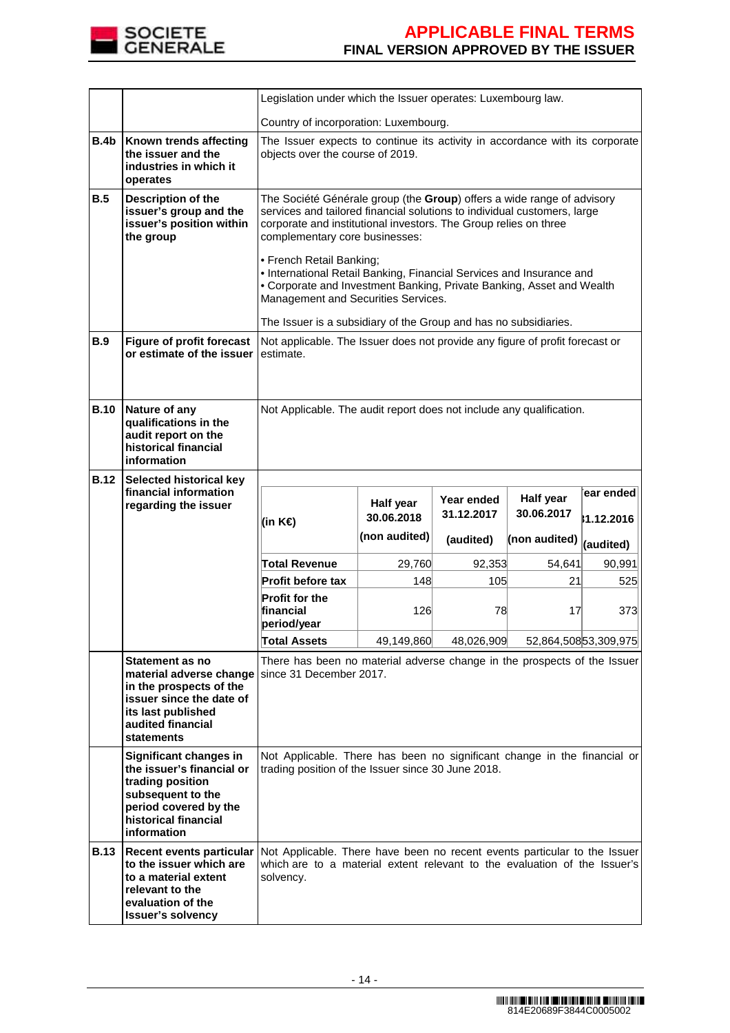

|             |                                                                                                                                                              | Legislation under which the Issuer operates: Luxembourg law.                                                                                                                                                                                                                                                                                                                                                                                                                                                                                     |                                                                                                                  |                          |                         |                         |
|-------------|--------------------------------------------------------------------------------------------------------------------------------------------------------------|--------------------------------------------------------------------------------------------------------------------------------------------------------------------------------------------------------------------------------------------------------------------------------------------------------------------------------------------------------------------------------------------------------------------------------------------------------------------------------------------------------------------------------------------------|------------------------------------------------------------------------------------------------------------------|--------------------------|-------------------------|-------------------------|
|             |                                                                                                                                                              | Country of incorporation: Luxembourg.                                                                                                                                                                                                                                                                                                                                                                                                                                                                                                            |                                                                                                                  |                          |                         |                         |
| B.4b        | Known trends affecting<br>the issuer and the<br>industries in which it<br>operates                                                                           |                                                                                                                                                                                                                                                                                                                                                                                                                                                                                                                                                  | The Issuer expects to continue its activity in accordance with its corporate<br>objects over the course of 2019. |                          |                         |                         |
| B.5         | Description of the<br>issuer's group and the<br>issuer's position within<br>the group                                                                        | The Société Générale group (the Group) offers a wide range of advisory<br>services and tailored financial solutions to individual customers, large<br>corporate and institutional investors. The Group relies on three<br>complementary core businesses:<br>• French Retail Banking;<br>• International Retail Banking, Financial Services and Insurance and<br>• Corporate and Investment Banking, Private Banking, Asset and Wealth<br>Management and Securities Services.<br>The Issuer is a subsidiary of the Group and has no subsidiaries. |                                                                                                                  |                          |                         |                         |
| <b>B.9</b>  | <b>Figure of profit forecast</b><br>or estimate of the issuer                                                                                                | Not applicable. The Issuer does not provide any figure of profit forecast or<br>estimate.                                                                                                                                                                                                                                                                                                                                                                                                                                                        |                                                                                                                  |                          |                         |                         |
| <b>B.10</b> | Nature of any<br>qualifications in the<br>audit report on the<br>historical financial<br>information                                                         | Not Applicable. The audit report does not include any qualification.                                                                                                                                                                                                                                                                                                                                                                                                                                                                             |                                                                                                                  |                          |                         |                         |
| <b>B.12</b> | Selected historical key<br>financial information<br>regarding the issuer                                                                                     | (in K€)                                                                                                                                                                                                                                                                                                                                                                                                                                                                                                                                          | Half year<br>30.06.2018                                                                                          | Year ended<br>31.12.2017 | Half year<br>30.06.2017 | ear ended<br>31.12.2016 |
|             |                                                                                                                                                              |                                                                                                                                                                                                                                                                                                                                                                                                                                                                                                                                                  | (non audited)                                                                                                    | (audited)                | (non audited)           | (audited)               |
|             |                                                                                                                                                              | <b>Total Revenue</b>                                                                                                                                                                                                                                                                                                                                                                                                                                                                                                                             | 29,760                                                                                                           | 92,353                   | 54,641                  | 90,991                  |
|             |                                                                                                                                                              | <b>Profit before tax</b>                                                                                                                                                                                                                                                                                                                                                                                                                                                                                                                         | 148                                                                                                              | 105                      | 21                      | 525                     |
|             |                                                                                                                                                              | <b>Profit for the</b><br>financial<br>period/year                                                                                                                                                                                                                                                                                                                                                                                                                                                                                                | 126                                                                                                              | 78                       | 17                      | 373                     |
|             |                                                                                                                                                              | <b>Total Assets</b>                                                                                                                                                                                                                                                                                                                                                                                                                                                                                                                              | 49,149,860                                                                                                       | 48,026,909               |                         | 52,864,50853,309,975    |
|             | Statement as no<br>in the prospects of the<br>issuer since the date of<br>its last published<br>audited financial<br><b>statements</b>                       | There has been no material adverse change in the prospects of the Issuer<br>material adverse change since 31 December 2017.                                                                                                                                                                                                                                                                                                                                                                                                                      |                                                                                                                  |                          |                         |                         |
|             | Significant changes in<br>the issuer's financial or<br>trading position<br>subsequent to the<br>period covered by the<br>historical financial<br>information | Not Applicable. There has been no significant change in the financial or<br>trading position of the Issuer since 30 June 2018.                                                                                                                                                                                                                                                                                                                                                                                                                   |                                                                                                                  |                          |                         |                         |
| <b>B.13</b> | <b>Recent events particular</b><br>to the issuer which are<br>to a material extent<br>relevant to the<br>evaluation of the<br><b>Issuer's solvency</b>       | Not Applicable. There have been no recent events particular to the Issuer<br>which are to a material extent relevant to the evaluation of the Issuer's<br>solvency.                                                                                                                                                                                                                                                                                                                                                                              |                                                                                                                  |                          |                         |                         |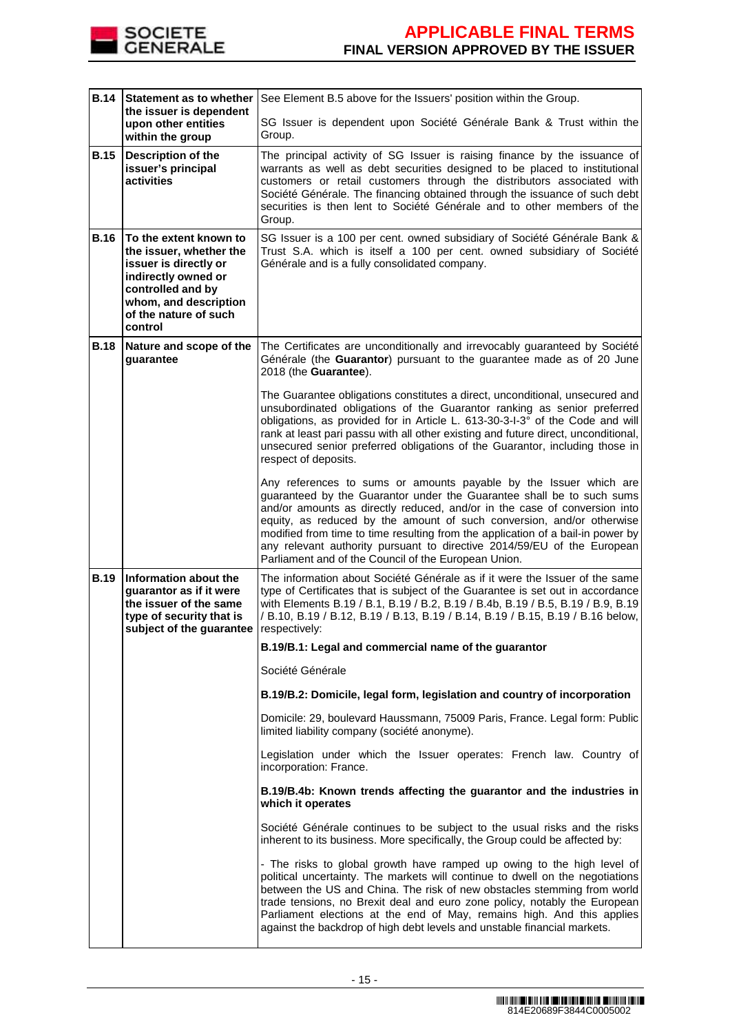

| <b>B.14</b> | Statement as to whether<br>the issuer is dependent                                                                                                                                  | See Element B.5 above for the Issuers' position within the Group.                                                                                                                                                                                                                                                                                                                                                                                                                                                      |  |
|-------------|-------------------------------------------------------------------------------------------------------------------------------------------------------------------------------------|------------------------------------------------------------------------------------------------------------------------------------------------------------------------------------------------------------------------------------------------------------------------------------------------------------------------------------------------------------------------------------------------------------------------------------------------------------------------------------------------------------------------|--|
|             | upon other entities<br>within the group                                                                                                                                             | SG Issuer is dependent upon Société Générale Bank & Trust within the<br>Group.                                                                                                                                                                                                                                                                                                                                                                                                                                         |  |
| <b>B.15</b> | <b>Description of the</b><br>issuer's principal<br>activities                                                                                                                       | The principal activity of SG Issuer is raising finance by the issuance of<br>warrants as well as debt securities designed to be placed to institutional<br>customers or retail customers through the distributors associated with<br>Société Générale. The financing obtained through the issuance of such debt<br>securities is then lent to Société Générale and to other members of the<br>Group.                                                                                                                   |  |
| <b>B.16</b> | To the extent known to<br>the issuer, whether the<br>issuer is directly or<br>indirectly owned or<br>controlled and by<br>whom, and description<br>of the nature of such<br>control | SG Issuer is a 100 per cent. owned subsidiary of Société Générale Bank &<br>Trust S.A. which is itself a 100 per cent. owned subsidiary of Société<br>Générale and is a fully consolidated company.                                                                                                                                                                                                                                                                                                                    |  |
| <b>B.18</b> | Nature and scope of the<br>guarantee                                                                                                                                                | The Certificates are unconditionally and irrevocably guaranteed by Société<br>Générale (the Guarantor) pursuant to the guarantee made as of 20 June<br>2018 (the Guarantee).                                                                                                                                                                                                                                                                                                                                           |  |
|             |                                                                                                                                                                                     | The Guarantee obligations constitutes a direct, unconditional, unsecured and<br>unsubordinated obligations of the Guarantor ranking as senior preferred<br>obligations, as provided for in Article L. 613-30-3-I-3° of the Code and will<br>rank at least pari passu with all other existing and future direct, unconditional,<br>unsecured senior preferred obligations of the Guarantor, including those in<br>respect of deposits.                                                                                  |  |
|             |                                                                                                                                                                                     | Any references to sums or amounts payable by the Issuer which are<br>guaranteed by the Guarantor under the Guarantee shall be to such sums<br>and/or amounts as directly reduced, and/or in the case of conversion into<br>equity, as reduced by the amount of such conversion, and/or otherwise<br>modified from time to time resulting from the application of a bail-in power by<br>any relevant authority pursuant to directive 2014/59/EU of the European<br>Parliament and of the Council of the European Union. |  |
| <b>B.19</b> | Information about the<br>guarantor as if it were<br>the issuer of the same<br>type of security that is<br>subject of the guarantee                                                  | The information about Société Générale as if it were the Issuer of the same<br>type of Certificates that is subject of the Guarantee is set out in accordance<br>with Elements B.19 / B.1, B.19 / B.2, B.19 / B.4b, B.19 / B.5, B.19 / B.9, B.19<br>/ B.10, B.19 / B.12, B.19 / B.13, B.19 / B.14, B.19 / B.15, B.19 / B.16 below,<br>respectively:                                                                                                                                                                    |  |
|             |                                                                                                                                                                                     | B.19/B.1: Legal and commercial name of the guarantor                                                                                                                                                                                                                                                                                                                                                                                                                                                                   |  |
|             |                                                                                                                                                                                     | Société Générale                                                                                                                                                                                                                                                                                                                                                                                                                                                                                                       |  |
|             |                                                                                                                                                                                     | B.19/B.2: Domicile, legal form, legislation and country of incorporation                                                                                                                                                                                                                                                                                                                                                                                                                                               |  |
|             |                                                                                                                                                                                     | Domicile: 29, boulevard Haussmann, 75009 Paris, France. Legal form: Public<br>limited liability company (société anonyme).                                                                                                                                                                                                                                                                                                                                                                                             |  |
|             |                                                                                                                                                                                     | Legislation under which the Issuer operates: French law. Country of<br>incorporation: France.                                                                                                                                                                                                                                                                                                                                                                                                                          |  |
|             |                                                                                                                                                                                     | B.19/B.4b: Known trends affecting the guarantor and the industries in<br>which it operates                                                                                                                                                                                                                                                                                                                                                                                                                             |  |
|             |                                                                                                                                                                                     | Société Générale continues to be subject to the usual risks and the risks<br>inherent to its business. More specifically, the Group could be affected by:                                                                                                                                                                                                                                                                                                                                                              |  |
|             |                                                                                                                                                                                     | - The risks to global growth have ramped up owing to the high level of<br>political uncertainty. The markets will continue to dwell on the negotiations<br>between the US and China. The risk of new obstacles stemming from world<br>trade tensions, no Brexit deal and euro zone policy, notably the European<br>Parliament elections at the end of May, remains high. And this applies<br>against the backdrop of high debt levels and unstable financial markets.                                                  |  |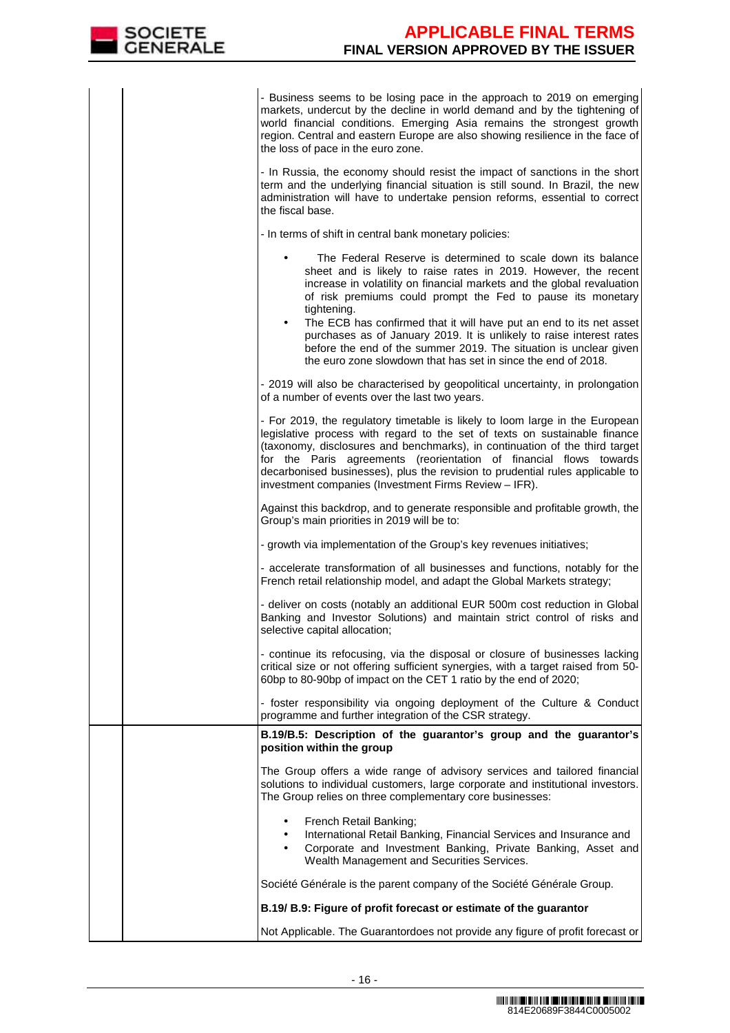

|  | - Business seems to be losing pace in the approach to 2019 on emerging<br>markets, undercut by the decline in world demand and by the tightening of<br>world financial conditions. Emerging Asia remains the strongest growth<br>region. Central and eastern Europe are also showing resilience in the face of<br>the loss of pace in the euro zone.                                                                                                      |
|--|-----------------------------------------------------------------------------------------------------------------------------------------------------------------------------------------------------------------------------------------------------------------------------------------------------------------------------------------------------------------------------------------------------------------------------------------------------------|
|  | - In Russia, the economy should resist the impact of sanctions in the short<br>term and the underlying financial situation is still sound. In Brazil, the new<br>administration will have to undertake pension reforms, essential to correct<br>the fiscal base.                                                                                                                                                                                          |
|  | - In terms of shift in central bank monetary policies:                                                                                                                                                                                                                                                                                                                                                                                                    |
|  | The Federal Reserve is determined to scale down its balance<br>٠<br>sheet and is likely to raise rates in 2019. However, the recent<br>increase in volatility on financial markets and the global revaluation<br>of risk premiums could prompt the Fed to pause its monetary<br>tightening.                                                                                                                                                               |
|  | The ECB has confirmed that it will have put an end to its net asset<br>$\bullet$<br>purchases as of January 2019. It is unlikely to raise interest rates<br>before the end of the summer 2019. The situation is unclear given<br>the euro zone slowdown that has set in since the end of 2018.                                                                                                                                                            |
|  | - 2019 will also be characterised by geopolitical uncertainty, in prolongation<br>of a number of events over the last two years.                                                                                                                                                                                                                                                                                                                          |
|  | - For 2019, the regulatory timetable is likely to loom large in the European<br>legislative process with regard to the set of texts on sustainable finance<br>(taxonomy, disclosures and benchmarks), in continuation of the third target<br>for the Paris agreements (reorientation of financial flows towards<br>decarbonised businesses), plus the revision to prudential rules applicable to<br>investment companies (Investment Firms Review - IFR). |
|  | Against this backdrop, and to generate responsible and profitable growth, the<br>Group's main priorities in 2019 will be to:                                                                                                                                                                                                                                                                                                                              |
|  | - growth via implementation of the Group's key revenues initiatives;                                                                                                                                                                                                                                                                                                                                                                                      |
|  | - accelerate transformation of all businesses and functions, notably for the<br>French retail relationship model, and adapt the Global Markets strategy;                                                                                                                                                                                                                                                                                                  |
|  | - deliver on costs (notably an additional EUR 500m cost reduction in Global<br>Banking and Investor Solutions) and maintain strict control of risks and<br>selective capital allocation;                                                                                                                                                                                                                                                                  |
|  | - continue its refocusing, via the disposal or closure of businesses lacking<br>critical size or not offering sufficient synergies, with a target raised from 50-<br>60bp to 80-90bp of impact on the CET 1 ratio by the end of 2020;                                                                                                                                                                                                                     |
|  | - foster responsibility via ongoing deployment of the Culture & Conduct<br>programme and further integration of the CSR strategy.                                                                                                                                                                                                                                                                                                                         |
|  | B.19/B.5: Description of the guarantor's group and the guarantor's<br>position within the group                                                                                                                                                                                                                                                                                                                                                           |
|  | The Group offers a wide range of advisory services and tailored financial<br>solutions to individual customers, large corporate and institutional investors.<br>The Group relies on three complementary core businesses:                                                                                                                                                                                                                                  |
|  | French Retail Banking;<br>International Retail Banking, Financial Services and Insurance and<br>$\bullet$<br>Corporate and Investment Banking, Private Banking, Asset and<br>$\bullet$<br>Wealth Management and Securities Services.                                                                                                                                                                                                                      |
|  | Société Générale is the parent company of the Société Générale Group.                                                                                                                                                                                                                                                                                                                                                                                     |
|  | B.19/ B.9: Figure of profit forecast or estimate of the guarantor                                                                                                                                                                                                                                                                                                                                                                                         |
|  | Not Applicable. The Guarantordoes not provide any figure of profit forecast or                                                                                                                                                                                                                                                                                                                                                                            |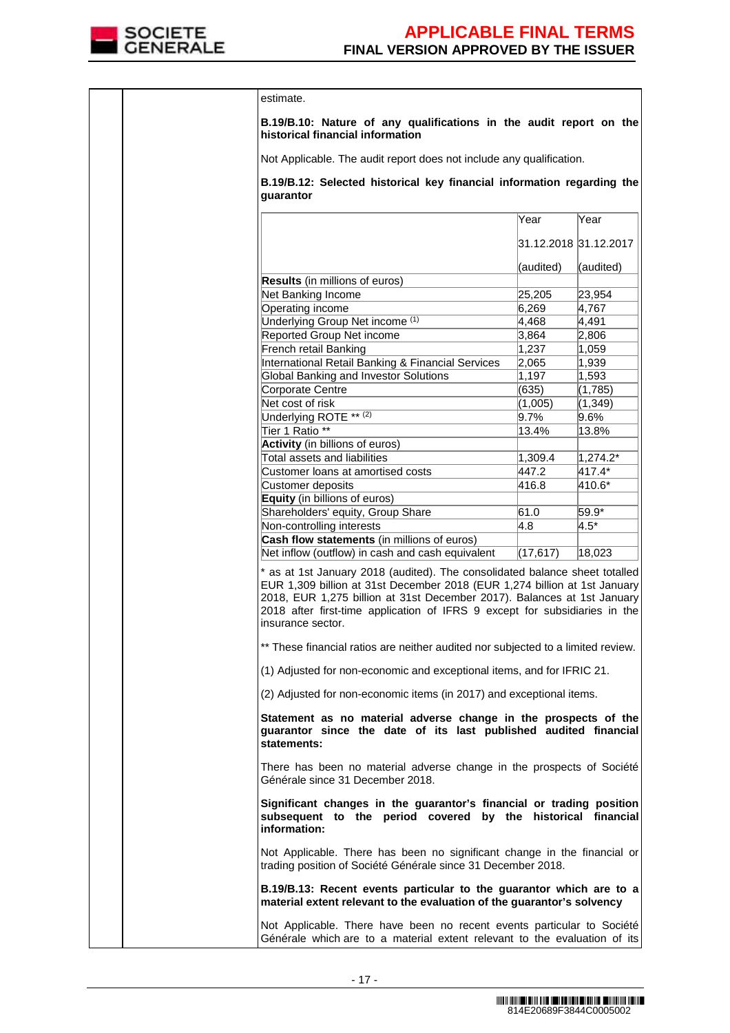

|  | estimate.                                                                                                                                                                                                                                                                                                                              |           |                       |
|--|----------------------------------------------------------------------------------------------------------------------------------------------------------------------------------------------------------------------------------------------------------------------------------------------------------------------------------------|-----------|-----------------------|
|  | B.19/B.10: Nature of any qualifications in the audit report on the<br>historical financial information                                                                                                                                                                                                                                 |           |                       |
|  | Not Applicable. The audit report does not include any qualification.                                                                                                                                                                                                                                                                   |           |                       |
|  | B.19/B.12: Selected historical key financial information regarding the<br>quarantor                                                                                                                                                                                                                                                    |           |                       |
|  |                                                                                                                                                                                                                                                                                                                                        | Year      | Year                  |
|  |                                                                                                                                                                                                                                                                                                                                        |           |                       |
|  |                                                                                                                                                                                                                                                                                                                                        |           | 31.12.2018 31.12.2017 |
|  |                                                                                                                                                                                                                                                                                                                                        | (audited) | (audited)             |
|  | Results (in millions of euros)                                                                                                                                                                                                                                                                                                         |           |                       |
|  | Net Banking Income                                                                                                                                                                                                                                                                                                                     | 25,205    | 23,954                |
|  | Operating income                                                                                                                                                                                                                                                                                                                       | 6,269     | 4,767                 |
|  | Underlying Group Net income (1)                                                                                                                                                                                                                                                                                                        | 4,468     | 4,491                 |
|  | Reported Group Net income                                                                                                                                                                                                                                                                                                              | 3,864     | 2,806                 |
|  | French retail Banking                                                                                                                                                                                                                                                                                                                  | 1,237     | 1,059                 |
|  | International Retail Banking & Financial Services                                                                                                                                                                                                                                                                                      | 2,065     | 1,939                 |
|  | <b>Global Banking and Investor Solutions</b>                                                                                                                                                                                                                                                                                           | 1,197     | 1,593                 |
|  | Corporate Centre                                                                                                                                                                                                                                                                                                                       | (635)     | (1,785)               |
|  | Net cost of risk                                                                                                                                                                                                                                                                                                                       | (1,005)   | (1, 349)              |
|  | Underlying ROTE <sup>** (2)</sup>                                                                                                                                                                                                                                                                                                      | $9.7\%$   | 9.6%                  |
|  | Tier 1 Ratio **                                                                                                                                                                                                                                                                                                                        | 13.4%     | 13.8%                 |
|  | Activity (in billions of euros)                                                                                                                                                                                                                                                                                                        |           |                       |
|  | Total assets and liabilities                                                                                                                                                                                                                                                                                                           | 1,309.4   | $ 1,274.2*$           |
|  | Customer loans at amortised costs                                                                                                                                                                                                                                                                                                      | 447.2     | 417.4*                |
|  | Customer deposits                                                                                                                                                                                                                                                                                                                      | 416.8     | 410.6*                |
|  | Equity (in billions of euros)                                                                                                                                                                                                                                                                                                          |           |                       |
|  | Shareholders' equity, Group Share                                                                                                                                                                                                                                                                                                      | 61.0      | 59.9*                 |
|  | Non-controlling interests                                                                                                                                                                                                                                                                                                              | 4.8       | $4.5*$                |
|  | Cash flow statements (in millions of euros)<br>Net inflow (outflow) in cash and cash equivalent                                                                                                                                                                                                                                        | (17, 617) | 18,023                |
|  | * as at 1st January 2018 (audited). The consolidated balance sheet totalled<br>EUR 1,309 billion at 31st December 2018 (EUR 1,274 billion at 1st January<br>2018, EUR 1,275 billion at 31st December 2017). Balances at 1st January<br>2018 after first-time application of IFRS 9 except for subsidiaries in the<br>insurance sector. |           |                       |
|  | ** These financial ratios are neither audited nor subjected to a limited review.                                                                                                                                                                                                                                                       |           |                       |
|  | (1) Adjusted for non-economic and exceptional items, and for IFRIC 21.                                                                                                                                                                                                                                                                 |           |                       |
|  | (2) Adjusted for non-economic items (in 2017) and exceptional items.                                                                                                                                                                                                                                                                   |           |                       |
|  | Statement as no material adverse change in the prospects of the<br>guarantor since the date of its last published audited financial<br>statements:                                                                                                                                                                                     |           |                       |
|  | There has been no material adverse change in the prospects of Société<br>Générale since 31 December 2018.                                                                                                                                                                                                                              |           |                       |
|  | Significant changes in the guarantor's financial or trading position<br>subsequent to the period covered by the historical financial<br>information:                                                                                                                                                                                   |           |                       |
|  | Not Applicable. There has been no significant change in the financial or<br>trading position of Société Générale since 31 December 2018.                                                                                                                                                                                               |           |                       |
|  | B.19/B.13: Recent events particular to the guarantor which are to a<br>material extent relevant to the evaluation of the guarantor's solvency                                                                                                                                                                                          |           |                       |
|  | Not Applicable. There have been no recent events particular to Société<br>Générale which are to a material extent relevant to the evaluation of its                                                                                                                                                                                    |           |                       |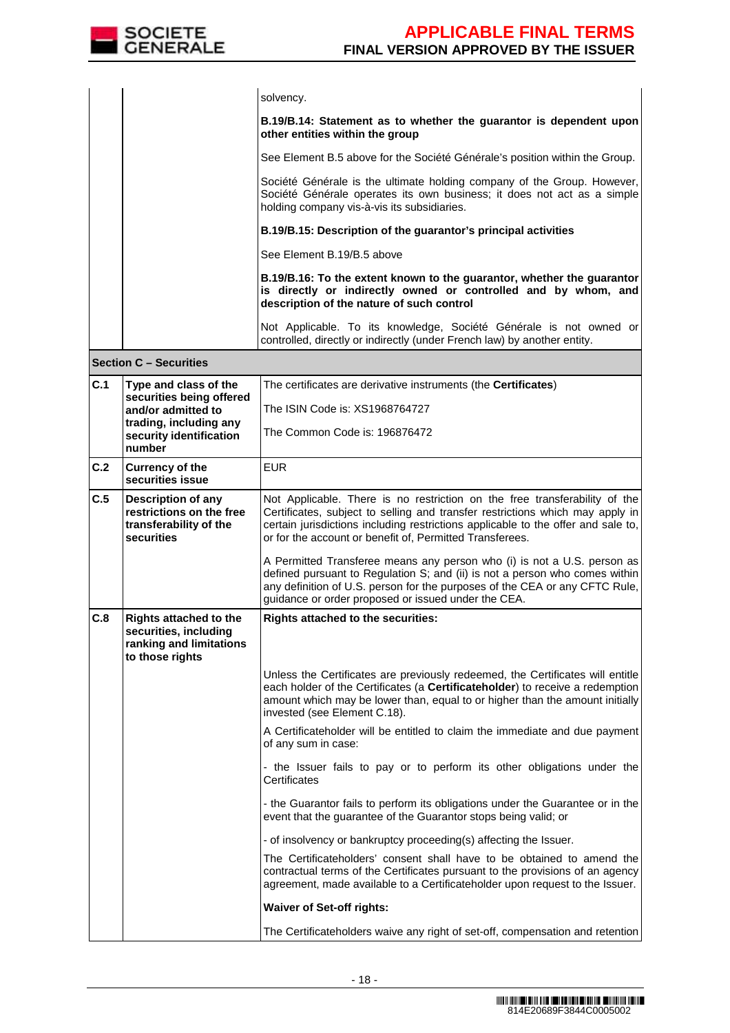

|  | solvency.                                                                                                                                                                                         |
|--|---------------------------------------------------------------------------------------------------------------------------------------------------------------------------------------------------|
|  | B.19/B.14: Statement as to whether the guarantor is dependent upon<br>other entities within the group                                                                                             |
|  | See Element B.5 above for the Société Générale's position within the Group.                                                                                                                       |
|  | Société Générale is the ultimate holding company of the Group. However,<br>Société Générale operates its own business; it does not act as a simple<br>holding company vis-à-vis its subsidiaries. |
|  | B.19/B.15: Description of the quarantor's principal activities                                                                                                                                    |
|  | See Element B.19/B.5 above                                                                                                                                                                        |
|  | B.19/B.16: To the extent known to the guarantor, whether the guarantor<br>is directly or indirectly owned or controlled and by whom, and<br>description of the nature of such control             |
|  | Not Applicable. To its knowledge, Société Générale is not owned or<br>controlled, directly or indirectly (under French law) by another entity.                                                    |

```
Section C – Securities
```

| C.1                                                                                                  | Type and class of the<br>securities being offered<br>and/or admitted to<br>trading, including any<br>security identification | The certificates are derivative instruments (the <b>Certificates</b> )                                                                                                                                                                                                                                       |
|------------------------------------------------------------------------------------------------------|------------------------------------------------------------------------------------------------------------------------------|--------------------------------------------------------------------------------------------------------------------------------------------------------------------------------------------------------------------------------------------------------------------------------------------------------------|
|                                                                                                      |                                                                                                                              | The ISIN Code is: XS1968764727                                                                                                                                                                                                                                                                               |
|                                                                                                      |                                                                                                                              | The Common Code is: 196876472                                                                                                                                                                                                                                                                                |
|                                                                                                      | number                                                                                                                       |                                                                                                                                                                                                                                                                                                              |
| C.2                                                                                                  | <b>Currency of the</b><br>securities issue                                                                                   | <b>EUR</b>                                                                                                                                                                                                                                                                                                   |
| C.5<br><b>Description of any</b><br>restrictions on the free<br>transferability of the<br>securities |                                                                                                                              | Not Applicable. There is no restriction on the free transferability of the<br>Certificates, subject to selling and transfer restrictions which may apply in<br>certain jurisdictions including restrictions applicable to the offer and sale to,<br>or for the account or benefit of, Permitted Transferees. |
|                                                                                                      |                                                                                                                              | A Permitted Transferee means any person who (i) is not a U.S. person as<br>defined pursuant to Regulation S; and (ii) is not a person who comes within<br>any definition of U.S. person for the purposes of the CEA or any CFTC Rule,<br>guidance or order proposed or issued under the CEA.                 |
| C.8                                                                                                  | <b>Rights attached to the</b><br>securities, including<br>ranking and limitations<br>to those rights                         | <b>Rights attached to the securities:</b>                                                                                                                                                                                                                                                                    |
|                                                                                                      |                                                                                                                              | Unless the Certificates are previously redeemed, the Certificates will entitle<br>each holder of the Certificates (a Certificateholder) to receive a redemption<br>amount which may be lower than, equal to or higher than the amount initially<br>invested (see Element C.18).                              |
|                                                                                                      |                                                                                                                              | A Certificateholder will be entitled to claim the immediate and due payment<br>of any sum in case:                                                                                                                                                                                                           |
|                                                                                                      |                                                                                                                              | - the Issuer fails to pay or to perform its other obligations under the<br>Certificates                                                                                                                                                                                                                      |
|                                                                                                      |                                                                                                                              | - the Guarantor fails to perform its obligations under the Guarantee or in the<br>event that the guarantee of the Guarantor stops being valid; or                                                                                                                                                            |
|                                                                                                      |                                                                                                                              | - of insolvency or bankruptcy proceeding(s) affecting the Issuer.                                                                                                                                                                                                                                            |
|                                                                                                      |                                                                                                                              | The Certificateholders' consent shall have to be obtained to amend the<br>contractual terms of the Certificates pursuant to the provisions of an agency<br>agreement, made available to a Certificateholder upon request to the Issuer.                                                                      |
|                                                                                                      |                                                                                                                              | <b>Waiver of Set-off rights:</b>                                                                                                                                                                                                                                                                             |
|                                                                                                      |                                                                                                                              | The Certificateholders waive any right of set-off, compensation and retention                                                                                                                                                                                                                                |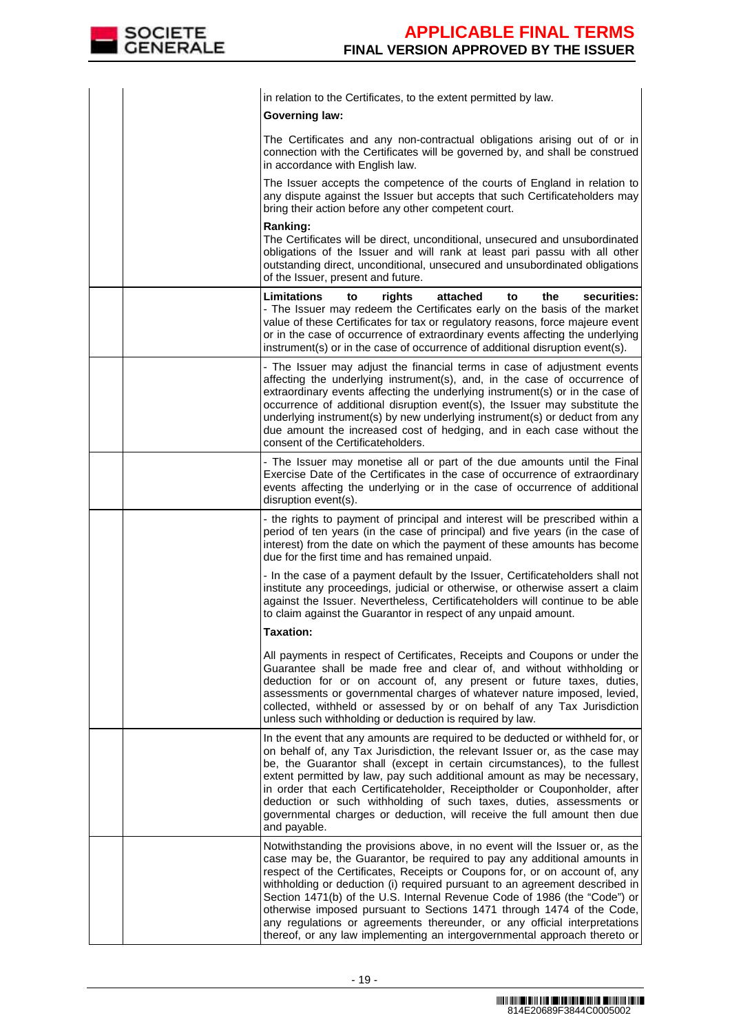

|  | in relation to the Certificates, to the extent permitted by law.                                                                                                                                                                                                                                                                                                                                                                                                                                                                                                                                                                       |
|--|----------------------------------------------------------------------------------------------------------------------------------------------------------------------------------------------------------------------------------------------------------------------------------------------------------------------------------------------------------------------------------------------------------------------------------------------------------------------------------------------------------------------------------------------------------------------------------------------------------------------------------------|
|  | <b>Governing law:</b>                                                                                                                                                                                                                                                                                                                                                                                                                                                                                                                                                                                                                  |
|  | The Certificates and any non-contractual obligations arising out of or in<br>connection with the Certificates will be governed by, and shall be construed<br>in accordance with English law.                                                                                                                                                                                                                                                                                                                                                                                                                                           |
|  | The Issuer accepts the competence of the courts of England in relation to<br>any dispute against the Issuer but accepts that such Certificateholders may<br>bring their action before any other competent court.                                                                                                                                                                                                                                                                                                                                                                                                                       |
|  | Ranking:<br>The Certificates will be direct, unconditional, unsecured and unsubordinated<br>obligations of the Issuer and will rank at least pari passu with all other<br>outstanding direct, unconditional, unsecured and unsubordinated obligations<br>of the Issuer, present and future.                                                                                                                                                                                                                                                                                                                                            |
|  | Limitations<br>to<br>attached<br>the<br>securities:<br>rights<br>to<br>- The Issuer may redeem the Certificates early on the basis of the market<br>value of these Certificates for tax or regulatory reasons, force majeure event<br>or in the case of occurrence of extraordinary events affecting the underlying<br>instrument(s) or in the case of occurrence of additional disruption event(s).                                                                                                                                                                                                                                   |
|  | - The Issuer may adjust the financial terms in case of adjustment events<br>affecting the underlying instrument(s), and, in the case of occurrence of<br>extraordinary events affecting the underlying instrument(s) or in the case of<br>occurrence of additional disruption event(s), the Issuer may substitute the<br>underlying instrument(s) by new underlying instrument(s) or deduct from any<br>due amount the increased cost of hedging, and in each case without the<br>consent of the Certificateholders.                                                                                                                   |
|  | - The Issuer may monetise all or part of the due amounts until the Final<br>Exercise Date of the Certificates in the case of occurrence of extraordinary<br>events affecting the underlying or in the case of occurrence of additional<br>disruption event(s).                                                                                                                                                                                                                                                                                                                                                                         |
|  | - the rights to payment of principal and interest will be prescribed within a<br>period of ten years (in the case of principal) and five years (in the case of<br>interest) from the date on which the payment of these amounts has become<br>due for the first time and has remained unpaid.                                                                                                                                                                                                                                                                                                                                          |
|  | - In the case of a payment default by the Issuer, Certificateholders shall not<br>institute any proceedings, judicial or otherwise, or otherwise assert a claim<br>against the Issuer. Nevertheless, Certificateholders will continue to be able<br>to claim against the Guarantor in respect of any unpaid amount.                                                                                                                                                                                                                                                                                                                    |
|  | <b>Taxation:</b>                                                                                                                                                                                                                                                                                                                                                                                                                                                                                                                                                                                                                       |
|  | All payments in respect of Certificates, Receipts and Coupons or under the<br>Guarantee shall be made free and clear of, and without withholding or<br>deduction for or on account of, any present or future taxes, duties,<br>assessments or governmental charges of whatever nature imposed, levied,<br>collected, withheld or assessed by or on behalf of any Tax Jurisdiction<br>unless such withholding or deduction is required by law.                                                                                                                                                                                          |
|  | In the event that any amounts are required to be deducted or withheld for, or<br>on behalf of, any Tax Jurisdiction, the relevant Issuer or, as the case may<br>be, the Guarantor shall (except in certain circumstances), to the fullest<br>extent permitted by law, pay such additional amount as may be necessary,<br>in order that each Certificateholder, Receiptholder or Couponholder, after<br>deduction or such withholding of such taxes, duties, assessments or<br>governmental charges or deduction, will receive the full amount then due<br>and payable.                                                                 |
|  | Notwithstanding the provisions above, in no event will the Issuer or, as the<br>case may be, the Guarantor, be required to pay any additional amounts in<br>respect of the Certificates, Receipts or Coupons for, or on account of, any<br>withholding or deduction (i) required pursuant to an agreement described in<br>Section 1471(b) of the U.S. Internal Revenue Code of 1986 (the "Code") or<br>otherwise imposed pursuant to Sections 1471 through 1474 of the Code,<br>any regulations or agreements thereunder, or any official interpretations<br>thereof, or any law implementing an intergovernmental approach thereto or |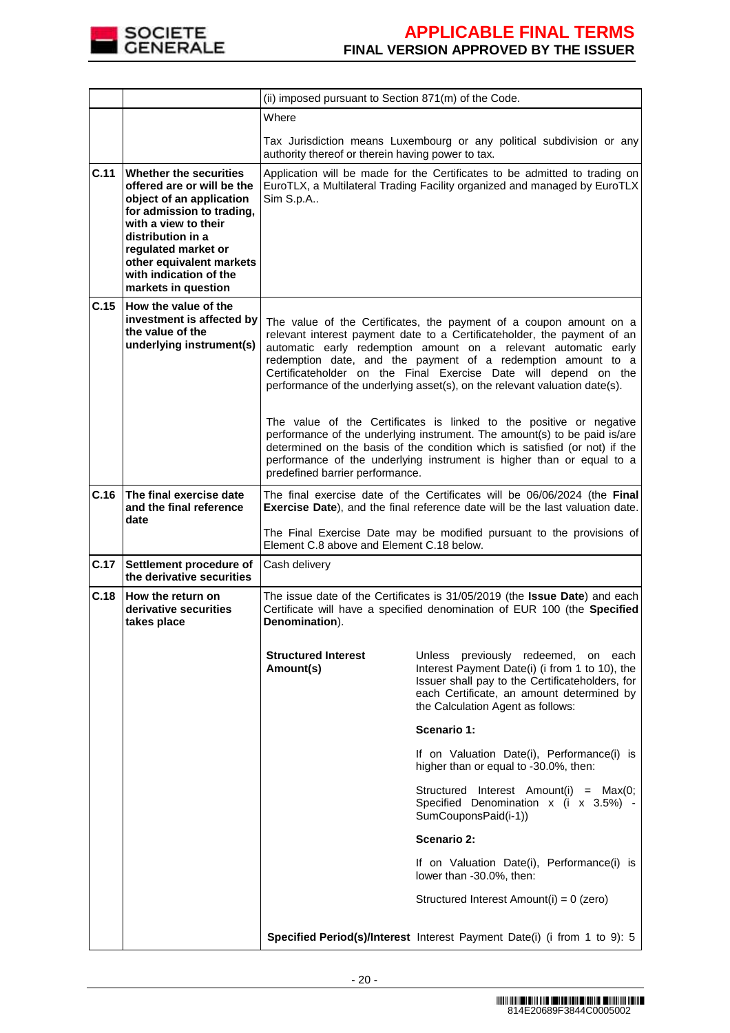

|      | (ii) imposed pursuant to Section 871(m) of the Code.                                                                                                                                                                                                           |                                                                                                                                                                                                                                                                                                                                                                                                                                                                                                                                                                                                                                                                                                                                                                                   |                                                                                                                                                                                                                                     |  |
|------|----------------------------------------------------------------------------------------------------------------------------------------------------------------------------------------------------------------------------------------------------------------|-----------------------------------------------------------------------------------------------------------------------------------------------------------------------------------------------------------------------------------------------------------------------------------------------------------------------------------------------------------------------------------------------------------------------------------------------------------------------------------------------------------------------------------------------------------------------------------------------------------------------------------------------------------------------------------------------------------------------------------------------------------------------------------|-------------------------------------------------------------------------------------------------------------------------------------------------------------------------------------------------------------------------------------|--|
|      |                                                                                                                                                                                                                                                                | Where                                                                                                                                                                                                                                                                                                                                                                                                                                                                                                                                                                                                                                                                                                                                                                             |                                                                                                                                                                                                                                     |  |
|      |                                                                                                                                                                                                                                                                | authority thereof or therein having power to tax.                                                                                                                                                                                                                                                                                                                                                                                                                                                                                                                                                                                                                                                                                                                                 | Tax Jurisdiction means Luxembourg or any political subdivision or any                                                                                                                                                               |  |
| C.11 | Whether the securities<br>offered are or will be the<br>object of an application<br>for admission to trading,<br>with a view to their<br>distribution in a<br>regulated market or<br>other equivalent markets<br>with indication of the<br>markets in question | Application will be made for the Certificates to be admitted to trading on<br>EuroTLX, a Multilateral Trading Facility organized and managed by EuroTLX<br>Sim S.p.A                                                                                                                                                                                                                                                                                                                                                                                                                                                                                                                                                                                                              |                                                                                                                                                                                                                                     |  |
| C.15 | How the value of the<br>investment is affected by<br>the value of the<br>underlying instrument(s)                                                                                                                                                              | The value of the Certificates, the payment of a coupon amount on a<br>relevant interest payment date to a Certificateholder, the payment of an<br>automatic early redemption amount on a relevant automatic early<br>redemption date, and the payment of a redemption amount to a<br>Certificateholder on the Final Exercise Date will depend on the<br>performance of the underlying asset(s), on the relevant valuation date(s).<br>The value of the Certificates is linked to the positive or negative<br>performance of the underlying instrument. The amount(s) to be paid is/are<br>determined on the basis of the condition which is satisfied (or not) if the<br>performance of the underlying instrument is higher than or equal to a<br>predefined barrier performance. |                                                                                                                                                                                                                                     |  |
| C.16 | The final exercise date<br>and the final reference<br>date                                                                                                                                                                                                     |                                                                                                                                                                                                                                                                                                                                                                                                                                                                                                                                                                                                                                                                                                                                                                                   | The final exercise date of the Certificates will be 06/06/2024 (the Final<br>Exercise Date), and the final reference date will be the last valuation date.<br>The Final Exercise Date may be modified pursuant to the provisions of |  |
|      |                                                                                                                                                                                                                                                                | Element C.8 above and Element C.18 below.                                                                                                                                                                                                                                                                                                                                                                                                                                                                                                                                                                                                                                                                                                                                         |                                                                                                                                                                                                                                     |  |
| C.17 | Settlement procedure of<br>the derivative securities                                                                                                                                                                                                           | Cash delivery                                                                                                                                                                                                                                                                                                                                                                                                                                                                                                                                                                                                                                                                                                                                                                     |                                                                                                                                                                                                                                     |  |
| C.18 | How the return on<br>derivative securities<br>takes place                                                                                                                                                                                                      | The issue date of the Certificates is 31/05/2019 (the Issue Date) and each<br>Certificate will have a specified denomination of EUR 100 (the Specified<br>Denomination).                                                                                                                                                                                                                                                                                                                                                                                                                                                                                                                                                                                                          |                                                                                                                                                                                                                                     |  |
|      |                                                                                                                                                                                                                                                                | <b>Structured Interest</b><br>Amount(s)                                                                                                                                                                                                                                                                                                                                                                                                                                                                                                                                                                                                                                                                                                                                           | Unless previously redeemed, on each<br>Interest Payment Date(i) (i from 1 to 10), the<br>Issuer shall pay to the Certificateholders, for<br>each Certificate, an amount determined by<br>the Calculation Agent as follows:          |  |
|      |                                                                                                                                                                                                                                                                |                                                                                                                                                                                                                                                                                                                                                                                                                                                                                                                                                                                                                                                                                                                                                                                   | Scenario 1:                                                                                                                                                                                                                         |  |
|      |                                                                                                                                                                                                                                                                |                                                                                                                                                                                                                                                                                                                                                                                                                                                                                                                                                                                                                                                                                                                                                                                   | If on Valuation Date(i), Performance(i) is<br>higher than or equal to -30.0%, then:                                                                                                                                                 |  |
|      |                                                                                                                                                                                                                                                                |                                                                                                                                                                                                                                                                                                                                                                                                                                                                                                                                                                                                                                                                                                                                                                                   | Structured Interest Amount(i) = Max(0;<br>Specified Denomination x (i x 3.5%) -<br>SumCouponsPaid(i-1))                                                                                                                             |  |
|      |                                                                                                                                                                                                                                                                |                                                                                                                                                                                                                                                                                                                                                                                                                                                                                                                                                                                                                                                                                                                                                                                   | Scenario 2:                                                                                                                                                                                                                         |  |
|      |                                                                                                                                                                                                                                                                |                                                                                                                                                                                                                                                                                                                                                                                                                                                                                                                                                                                                                                                                                                                                                                                   | If on Valuation Date(i), Performance(i) is<br>lower than -30.0%, then:                                                                                                                                                              |  |
|      |                                                                                                                                                                                                                                                                |                                                                                                                                                                                                                                                                                                                                                                                                                                                                                                                                                                                                                                                                                                                                                                                   | Structured Interest Amount(i) = 0 (zero)                                                                                                                                                                                            |  |
|      |                                                                                                                                                                                                                                                                |                                                                                                                                                                                                                                                                                                                                                                                                                                                                                                                                                                                                                                                                                                                                                                                   | Specified Period(s)/Interest Interest Payment Date(i) (i from 1 to 9): 5                                                                                                                                                            |  |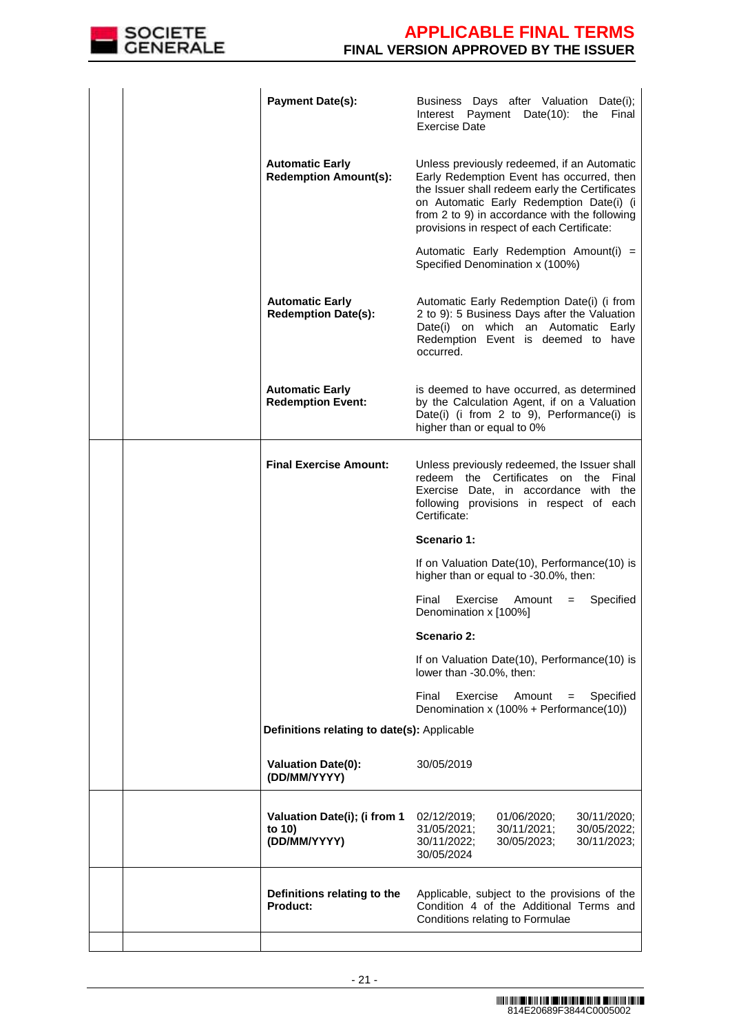

|  | <b>Payment Date(s):</b>                                | Business Days after Valuation Date(i);<br>Interest Payment Date(10): the Final<br><b>Exercise Date</b>                                                                                                                                                                                |
|--|--------------------------------------------------------|---------------------------------------------------------------------------------------------------------------------------------------------------------------------------------------------------------------------------------------------------------------------------------------|
|  | <b>Automatic Early</b><br><b>Redemption Amount(s):</b> | Unless previously redeemed, if an Automatic<br>Early Redemption Event has occurred, then<br>the Issuer shall redeem early the Certificates<br>on Automatic Early Redemption Date(i) (i<br>from 2 to 9) in accordance with the following<br>provisions in respect of each Certificate: |
|  |                                                        | Automatic Early Redemption Amount(i) =<br>Specified Denomination x (100%)                                                                                                                                                                                                             |
|  | <b>Automatic Early</b><br><b>Redemption Date(s):</b>   | Automatic Early Redemption Date(i) (i from<br>2 to 9): 5 Business Days after the Valuation<br>Date(i) on which an Automatic Early<br>Redemption Event is deemed to have<br>occurred.                                                                                                  |
|  | <b>Automatic Early</b><br><b>Redemption Event:</b>     | is deemed to have occurred, as determined<br>by the Calculation Agent, if on a Valuation<br>Date(i) (i from 2 to 9), Performance(i) is<br>higher than or equal to 0%                                                                                                                  |
|  | <b>Final Exercise Amount:</b>                          | Unless previously redeemed, the Issuer shall<br>redeem the Certificates on the Final<br>Exercise Date, in accordance with the<br>following provisions in respect of each<br>Certificate:                                                                                              |
|  |                                                        | Scenario 1:                                                                                                                                                                                                                                                                           |
|  |                                                        | If on Valuation Date(10), Performance(10) is<br>higher than or equal to -30.0%, then:                                                                                                                                                                                                 |
|  |                                                        | Final<br>Exercise<br>Specified<br>Amount<br>$=$<br>Denomination x [100%]                                                                                                                                                                                                              |
|  |                                                        | Scenario 2:                                                                                                                                                                                                                                                                           |
|  |                                                        | If on Valuation Date(10), Performance(10) is<br>lower than -30.0%, then:                                                                                                                                                                                                              |
|  |                                                        | Exercise<br>Final<br>Amount<br>Specified<br>$=$<br>Denomination x (100% + Performance(10))                                                                                                                                                                                            |
|  | Definitions relating to date(s): Applicable            |                                                                                                                                                                                                                                                                                       |
|  | <b>Valuation Date(0):</b><br>(DD/MM/YYYY)              | 30/05/2019                                                                                                                                                                                                                                                                            |
|  | Valuation Date(i); (i from 1<br>to 10)<br>(DD/MM/YYYY) | 30/11/2020;<br>02/12/2019;<br>01/06/2020;<br>31/05/2021;<br>30/11/2021;<br>30/05/2022;<br>30/11/2023;<br>30/11/2022;<br>30/05/2023;<br>30/05/2024                                                                                                                                     |
|  | Definitions relating to the<br>Product:                | Applicable, subject to the provisions of the<br>Condition 4 of the Additional Terms and<br>Conditions relating to Formulae                                                                                                                                                            |
|  |                                                        |                                                                                                                                                                                                                                                                                       |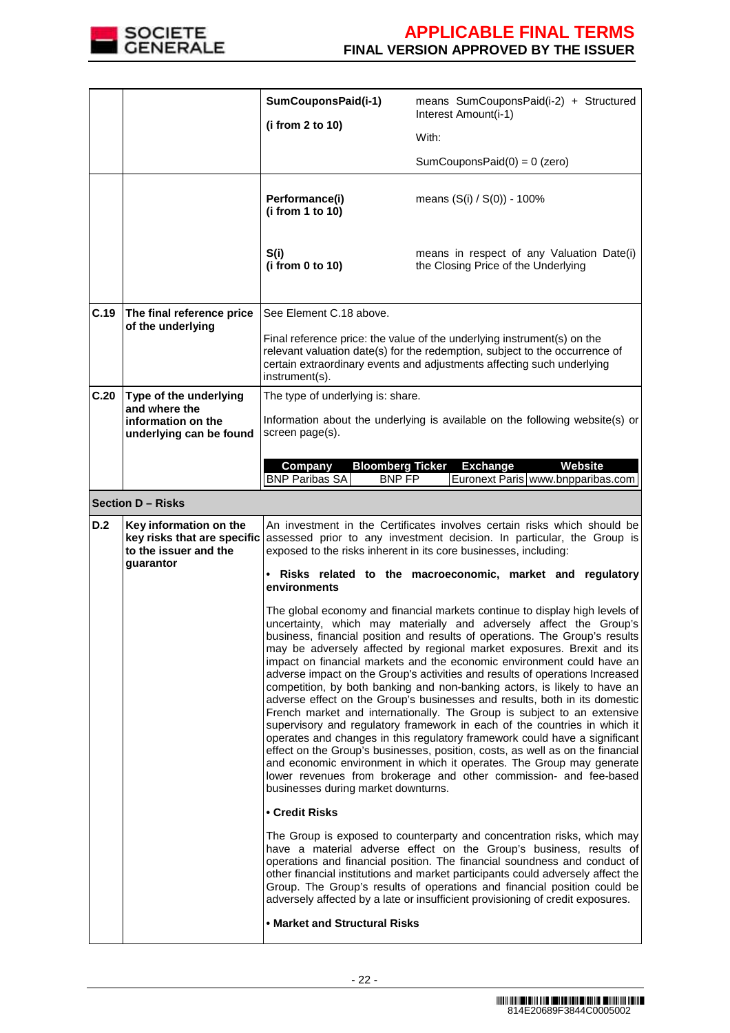

|      |                                                                                | SumCouponsPaid(i-1)                                                                                                                                                                                                    | means SumCouponsPaid(i-2) + Structured<br>Interest Amount(i-1)                                                                                                                                                                                                                                                                                                                                                                                                                                                                                                                                                                                                                                                |
|------|--------------------------------------------------------------------------------|------------------------------------------------------------------------------------------------------------------------------------------------------------------------------------------------------------------------|---------------------------------------------------------------------------------------------------------------------------------------------------------------------------------------------------------------------------------------------------------------------------------------------------------------------------------------------------------------------------------------------------------------------------------------------------------------------------------------------------------------------------------------------------------------------------------------------------------------------------------------------------------------------------------------------------------------|
|      |                                                                                | (i from 2 to 10)                                                                                                                                                                                                       | With:                                                                                                                                                                                                                                                                                                                                                                                                                                                                                                                                                                                                                                                                                                         |
|      |                                                                                |                                                                                                                                                                                                                        | SumCouponsPaid $(0) = 0$ (zero)                                                                                                                                                                                                                                                                                                                                                                                                                                                                                                                                                                                                                                                                               |
|      |                                                                                |                                                                                                                                                                                                                        |                                                                                                                                                                                                                                                                                                                                                                                                                                                                                                                                                                                                                                                                                                               |
|      |                                                                                | Performance(i)<br>(i from 1 to 10)                                                                                                                                                                                     | means (S(i) / S(0)) - 100%                                                                                                                                                                                                                                                                                                                                                                                                                                                                                                                                                                                                                                                                                    |
|      |                                                                                | S(i)<br>(i from 0 to 10)                                                                                                                                                                                               | means in respect of any Valuation Date(i)<br>the Closing Price of the Underlying                                                                                                                                                                                                                                                                                                                                                                                                                                                                                                                                                                                                                              |
| C.19 | The final reference price                                                      | See Element C.18 above.                                                                                                                                                                                                |                                                                                                                                                                                                                                                                                                                                                                                                                                                                                                                                                                                                                                                                                                               |
|      | of the underlying                                                              | instrument(s).                                                                                                                                                                                                         | Final reference price: the value of the underlying instrument(s) on the<br>relevant valuation date(s) for the redemption, subject to the occurrence of<br>certain extraordinary events and adjustments affecting such underlying                                                                                                                                                                                                                                                                                                                                                                                                                                                                              |
| C.20 | Type of the underlying<br>and where the                                        | The type of underlying is: share.                                                                                                                                                                                      |                                                                                                                                                                                                                                                                                                                                                                                                                                                                                                                                                                                                                                                                                                               |
|      | information on the<br>underlying can be found                                  | screen page(s).                                                                                                                                                                                                        | Information about the underlying is available on the following website(s) or                                                                                                                                                                                                                                                                                                                                                                                                                                                                                                                                                                                                                                  |
|      |                                                                                | Company<br><b>Bloomberg Ticker</b><br><b>BNP Paribas SA</b><br><b>BNP FP</b>                                                                                                                                           | <b>Exchange</b><br><b>Website</b><br>Euronext Paris   www.bnpparibas.com                                                                                                                                                                                                                                                                                                                                                                                                                                                                                                                                                                                                                                      |
|      | <b>Section D - Risks</b>                                                       |                                                                                                                                                                                                                        |                                                                                                                                                                                                                                                                                                                                                                                                                                                                                                                                                                                                                                                                                                               |
| D.2  | Key information on the<br>key risks that are specific<br>to the issuer and the | An investment in the Certificates involves certain risks which should be<br>assessed prior to any investment decision. In particular, the Group is<br>exposed to the risks inherent in its core businesses, including: |                                                                                                                                                                                                                                                                                                                                                                                                                                                                                                                                                                                                                                                                                                               |
|      | guarantor                                                                      | environments                                                                                                                                                                                                           | . Risks related to the macroeconomic, market and regulatory                                                                                                                                                                                                                                                                                                                                                                                                                                                                                                                                                                                                                                                   |
|      |                                                                                |                                                                                                                                                                                                                        | The global economy and financial markets continue to display high levels of<br>uncertainty, which may materially and adversely affect the Group's<br>business, financial position and results of operations. The Group's results<br>may be adversely affected by regional market exposures. Brexit and its<br>impact on financial markets and the economic environment could have an                                                                                                                                                                                                                                                                                                                          |
|      |                                                                                | businesses during market downturns.                                                                                                                                                                                    | adverse impact on the Group's activities and results of operations Increased<br>competition, by both banking and non-banking actors, is likely to have an<br>adverse effect on the Group's businesses and results, both in its domestic<br>French market and internationally. The Group is subject to an extensive<br>supervisory and regulatory framework in each of the countries in which it<br>operates and changes in this regulatory framework could have a significant<br>effect on the Group's businesses, position, costs, as well as on the financial<br>and economic environment in which it operates. The Group may generate<br>lower revenues from brokerage and other commission- and fee-based |
|      |                                                                                | • Credit Risks                                                                                                                                                                                                         |                                                                                                                                                                                                                                                                                                                                                                                                                                                                                                                                                                                                                                                                                                               |
|      |                                                                                |                                                                                                                                                                                                                        | The Group is exposed to counterparty and concentration risks, which may<br>have a material adverse effect on the Group's business, results of<br>operations and financial position. The financial soundness and conduct of<br>other financial institutions and market participants could adversely affect the<br>Group. The Group's results of operations and financial position could be<br>adversely affected by a late or insufficient provisioning of credit exposures.                                                                                                                                                                                                                                   |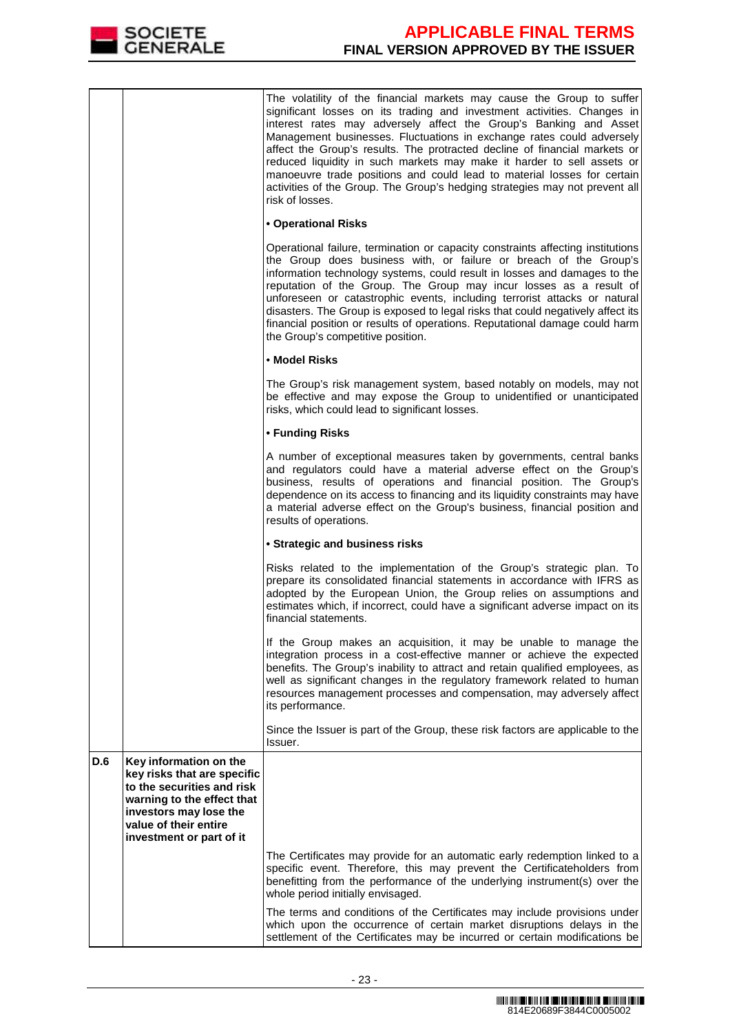

|     |                                                                                                                                                                                                  | The volatility of the financial markets may cause the Group to suffer<br>significant losses on its trading and investment activities. Changes in<br>interest rates may adversely affect the Group's Banking and Asset<br>Management businesses. Fluctuations in exchange rates could adversely<br>affect the Group's results. The protracted decline of financial markets or<br>reduced liquidity in such markets may make it harder to sell assets or<br>manoeuvre trade positions and could lead to material losses for certain<br>activities of the Group. The Group's hedging strategies may not prevent all<br>risk of losses. |  |
|-----|--------------------------------------------------------------------------------------------------------------------------------------------------------------------------------------------------|-------------------------------------------------------------------------------------------------------------------------------------------------------------------------------------------------------------------------------------------------------------------------------------------------------------------------------------------------------------------------------------------------------------------------------------------------------------------------------------------------------------------------------------------------------------------------------------------------------------------------------------|--|
|     |                                                                                                                                                                                                  | • Operational Risks                                                                                                                                                                                                                                                                                                                                                                                                                                                                                                                                                                                                                 |  |
|     |                                                                                                                                                                                                  | Operational failure, termination or capacity constraints affecting institutions<br>the Group does business with, or failure or breach of the Group's<br>information technology systems, could result in losses and damages to the<br>reputation of the Group. The Group may incur losses as a result of<br>unforeseen or catastrophic events, including terrorist attacks or natural<br>disasters. The Group is exposed to legal risks that could negatively affect its<br>financial position or results of operations. Reputational damage could harm<br>the Group's competitive position.                                         |  |
|     |                                                                                                                                                                                                  | • Model Risks                                                                                                                                                                                                                                                                                                                                                                                                                                                                                                                                                                                                                       |  |
|     |                                                                                                                                                                                                  | The Group's risk management system, based notably on models, may not<br>be effective and may expose the Group to unidentified or unanticipated<br>risks, which could lead to significant losses.                                                                                                                                                                                                                                                                                                                                                                                                                                    |  |
|     |                                                                                                                                                                                                  | • Funding Risks                                                                                                                                                                                                                                                                                                                                                                                                                                                                                                                                                                                                                     |  |
|     |                                                                                                                                                                                                  | A number of exceptional measures taken by governments, central banks<br>and regulators could have a material adverse effect on the Group's<br>business, results of operations and financial position. The Group's<br>dependence on its access to financing and its liquidity constraints may have<br>a material adverse effect on the Group's business, financial position and<br>results of operations.                                                                                                                                                                                                                            |  |
|     |                                                                                                                                                                                                  | • Strategic and business risks                                                                                                                                                                                                                                                                                                                                                                                                                                                                                                                                                                                                      |  |
|     |                                                                                                                                                                                                  | Risks related to the implementation of the Group's strategic plan. To<br>prepare its consolidated financial statements in accordance with IFRS as<br>adopted by the European Union, the Group relies on assumptions and<br>estimates which, if incorrect, could have a significant adverse impact on its<br>financial statements.                                                                                                                                                                                                                                                                                                   |  |
|     |                                                                                                                                                                                                  | If the Group makes an acquisition, it may be unable to manage the<br>integration process in a cost-effective manner or achieve the expected<br>benefits. The Group's inability to attract and retain qualified employees, as<br>well as significant changes in the regulatory framework related to human<br>resources management processes and compensation, may adversely affect<br>its performance.                                                                                                                                                                                                                               |  |
|     |                                                                                                                                                                                                  | Since the Issuer is part of the Group, these risk factors are applicable to the<br>Issuer.                                                                                                                                                                                                                                                                                                                                                                                                                                                                                                                                          |  |
| D.6 | Key information on the<br>key risks that are specific<br>to the securities and risk<br>warning to the effect that<br>investors may lose the<br>value of their entire<br>investment or part of it |                                                                                                                                                                                                                                                                                                                                                                                                                                                                                                                                                                                                                                     |  |
|     |                                                                                                                                                                                                  | The Certificates may provide for an automatic early redemption linked to a<br>specific event. Therefore, this may prevent the Certificateholders from<br>benefitting from the performance of the underlying instrument(s) over the<br>whole period initially envisaged.                                                                                                                                                                                                                                                                                                                                                             |  |
|     |                                                                                                                                                                                                  | The terms and conditions of the Certificates may include provisions under<br>which upon the occurrence of certain market disruptions delays in the<br>settlement of the Certificates may be incurred or certain modifications be                                                                                                                                                                                                                                                                                                                                                                                                    |  |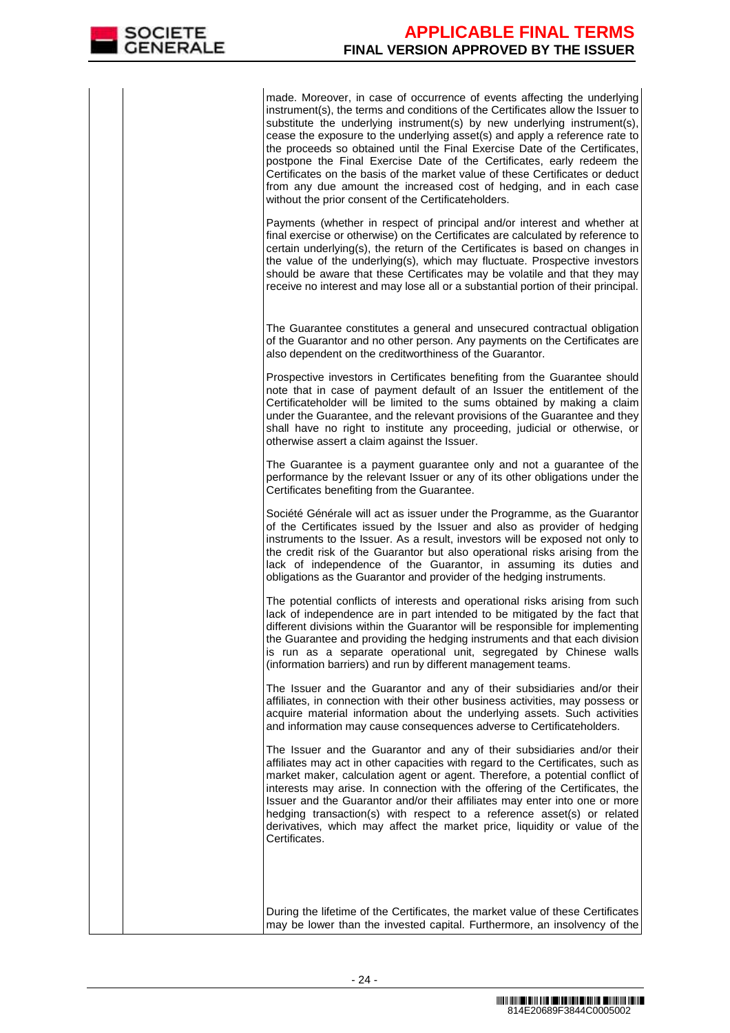made. Moreover, in case of occurrence of events affecting the underlying instrument(s), the terms and conditions of the Certificates allow the Issuer to substitute the underlying instrument(s) by new underlying instrument(s), cease the exposure to the underlying asset(s) and apply a reference rate to the proceeds so obtained until the Final Exercise Date of the Certificates, postpone the Final Exercise Date of the Certificates, early redeem the Certificates on the basis of the market value of these Certificates or deduct from any due amount the increased cost of hedging, and in each case without the prior consent of the Certificateholders.

Payments (whether in respect of principal and/or interest and whether at final exercise or otherwise) on the Certificates are calculated by reference to certain underlying(s), the return of the Certificates is based on changes in the value of the underlying(s), which may fluctuate. Prospective investors should be aware that these Certificates may be volatile and that they may receive no interest and may lose all or a substantial portion of their principal.

 The Guarantee constitutes a general and unsecured contractual obligation of the Guarantor and no other person. Any payments on the Certificates are also dependent on the creditworthiness of the Guarantor.

Prospective investors in Certificates benefiting from the Guarantee should note that in case of payment default of an Issuer the entitlement of the Certificateholder will be limited to the sums obtained by making a claim under the Guarantee, and the relevant provisions of the Guarantee and they shall have no right to institute any proceeding, judicial or otherwise, or otherwise assert a claim against the Issuer.

The Guarantee is a payment quarantee only and not a quarantee of the performance by the relevant Issuer or any of its other obligations under the Certificates benefiting from the Guarantee.

Société Générale will act as issuer under the Programme, as the Guarantor of the Certificates issued by the Issuer and also as provider of hedging instruments to the Issuer. As a result, investors will be exposed not only to the credit risk of the Guarantor but also operational risks arising from the lack of independence of the Guarantor, in assuming its duties and obligations as the Guarantor and provider of the hedging instruments.

The potential conflicts of interests and operational risks arising from such lack of independence are in part intended to be mitigated by the fact that different divisions within the Guarantor will be responsible for implementing the Guarantee and providing the hedging instruments and that each division is run as a separate operational unit, segregated by Chinese walls (information barriers) and run by different management teams.

The Issuer and the Guarantor and any of their subsidiaries and/or their affiliates, in connection with their other business activities, may possess or acquire material information about the underlying assets. Such activities and information may cause consequences adverse to Certificateholders.

The Issuer and the Guarantor and any of their subsidiaries and/or their affiliates may act in other capacities with regard to the Certificates, such as market maker, calculation agent or agent. Therefore, a potential conflict of interests may arise. In connection with the offering of the Certificates, the Issuer and the Guarantor and/or their affiliates may enter into one or more hedging transaction(s) with respect to a reference asset(s) or related derivatives, which may affect the market price, liquidity or value of the Certificates.

 During the lifetime of the Certificates, the market value of these Certificates may be lower than the invested capital. Furthermore, an insolvency of the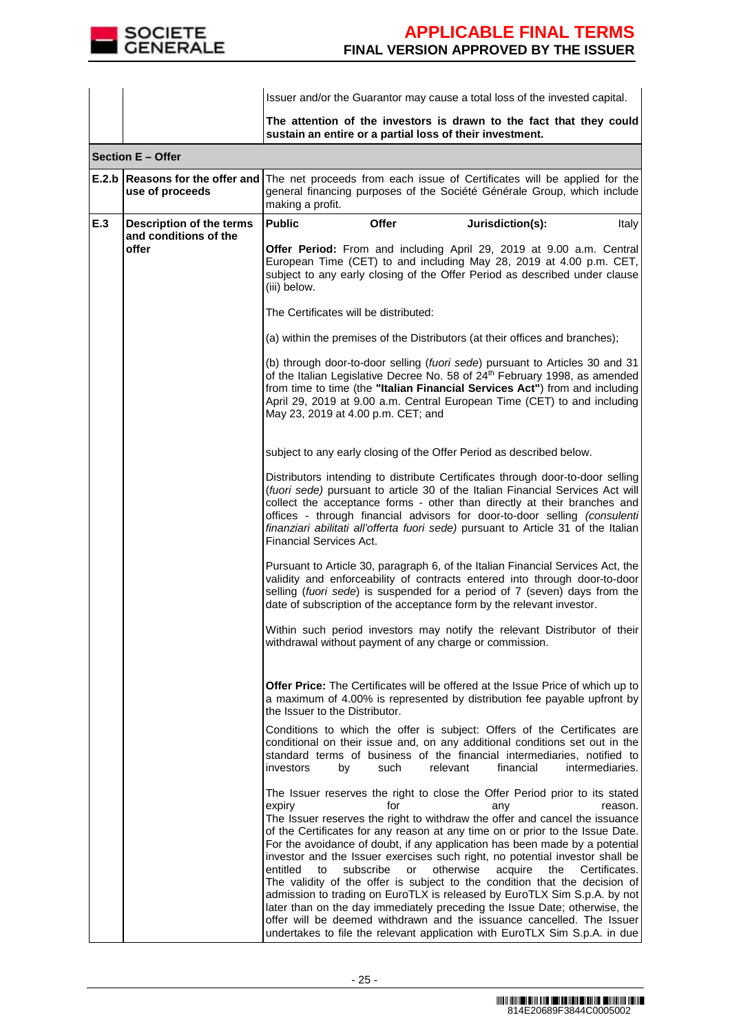

|     |                                                          | Issuer and/or the Guarantor may cause a total loss of the invested capital.                                                                                                                                                                                                                                                                                                                                                                                                                                                                                                                                                                                                                                                                                                                                                                                                                                                       |
|-----|----------------------------------------------------------|-----------------------------------------------------------------------------------------------------------------------------------------------------------------------------------------------------------------------------------------------------------------------------------------------------------------------------------------------------------------------------------------------------------------------------------------------------------------------------------------------------------------------------------------------------------------------------------------------------------------------------------------------------------------------------------------------------------------------------------------------------------------------------------------------------------------------------------------------------------------------------------------------------------------------------------|
|     |                                                          | The attention of the investors is drawn to the fact that they could<br>sustain an entire or a partial loss of their investment.                                                                                                                                                                                                                                                                                                                                                                                                                                                                                                                                                                                                                                                                                                                                                                                                   |
|     | <b>Section E - Offer</b>                                 |                                                                                                                                                                                                                                                                                                                                                                                                                                                                                                                                                                                                                                                                                                                                                                                                                                                                                                                                   |
|     | use of proceeds                                          | <b>E.2.b Reasons for the offer and The net proceeds from each issue of Certificates will be applied for the</b><br>general financing purposes of the Société Générale Group, which include<br>making a profit.                                                                                                                                                                                                                                                                                                                                                                                                                                                                                                                                                                                                                                                                                                                    |
| E.3 | <b>Description of the terms</b><br>and conditions of the | <b>Public</b><br><b>Offer</b><br>Jurisdiction(s):<br>Italy                                                                                                                                                                                                                                                                                                                                                                                                                                                                                                                                                                                                                                                                                                                                                                                                                                                                        |
|     | offer                                                    | <b>Offer Period:</b> From and including April 29, 2019 at 9.00 a.m. Central<br>European Time (CET) to and including May 28, 2019 at 4.00 p.m. CET,<br>subject to any early closing of the Offer Period as described under clause<br>(iii) below.                                                                                                                                                                                                                                                                                                                                                                                                                                                                                                                                                                                                                                                                                  |
|     |                                                          | The Certificates will be distributed:                                                                                                                                                                                                                                                                                                                                                                                                                                                                                                                                                                                                                                                                                                                                                                                                                                                                                             |
|     |                                                          | (a) within the premises of the Distributors (at their offices and branches);                                                                                                                                                                                                                                                                                                                                                                                                                                                                                                                                                                                                                                                                                                                                                                                                                                                      |
|     |                                                          | (b) through door-to-door selling (fuori sede) pursuant to Articles 30 and 31<br>of the Italian Legislative Decree No. 58 of 24th February 1998, as amended<br>from time to time (the "Italian Financial Services Act") from and including<br>April 29, 2019 at 9.00 a.m. Central European Time (CET) to and including<br>May 23, 2019 at 4.00 p.m. CET; and                                                                                                                                                                                                                                                                                                                                                                                                                                                                                                                                                                       |
|     |                                                          | subject to any early closing of the Offer Period as described below.                                                                                                                                                                                                                                                                                                                                                                                                                                                                                                                                                                                                                                                                                                                                                                                                                                                              |
|     |                                                          | Distributors intending to distribute Certificates through door-to-door selling<br>(fuori sede) pursuant to article 30 of the Italian Financial Services Act will<br>collect the acceptance forms - other than directly at their branches and<br>offices - through financial advisors for door-to-door selling (consulenti)<br>finanziari abilitati all'offerta fuori sede) pursuant to Article 31 of the Italian<br><b>Financial Services Act.</b>                                                                                                                                                                                                                                                                                                                                                                                                                                                                                |
|     |                                                          | Pursuant to Article 30, paragraph 6, of the Italian Financial Services Act, the<br>validity and enforceability of contracts entered into through door-to-door<br>selling (fuori sede) is suspended for a period of 7 (seven) days from the<br>date of subscription of the acceptance form by the relevant investor.                                                                                                                                                                                                                                                                                                                                                                                                                                                                                                                                                                                                               |
|     |                                                          | Within such period investors may notify the relevant Distributor of their<br>withdrawal without payment of any charge or commission.                                                                                                                                                                                                                                                                                                                                                                                                                                                                                                                                                                                                                                                                                                                                                                                              |
|     |                                                          | <b>Offer Price:</b> The Certificates will be offered at the Issue Price of which up to<br>a maximum of 4.00% is represented by distribution fee payable upfront by<br>the Issuer to the Distributor.                                                                                                                                                                                                                                                                                                                                                                                                                                                                                                                                                                                                                                                                                                                              |
|     |                                                          | Conditions to which the offer is subject: Offers of the Certificates are<br>conditional on their issue and, on any additional conditions set out in the<br>standard terms of business of the financial intermediaries, notified to<br>such<br>relevant<br>financial<br>intermediaries.<br>investors<br>by                                                                                                                                                                                                                                                                                                                                                                                                                                                                                                                                                                                                                         |
|     |                                                          | The Issuer reserves the right to close the Offer Period prior to its stated<br>for<br>expiry<br>reason.<br>any<br>The Issuer reserves the right to withdraw the offer and cancel the issuance<br>of the Certificates for any reason at any time on or prior to the Issue Date.<br>For the avoidance of doubt, if any application has been made by a potential<br>investor and the Issuer exercises such right, no potential investor shall be<br>entitled<br>subscribe<br>or<br>otherwise<br>Certificates.<br>to<br>acquire<br>the<br>The validity of the offer is subject to the condition that the decision of<br>admission to trading on EuroTLX is released by EuroTLX Sim S.p.A. by not<br>later than on the day immediately preceding the Issue Date; otherwise, the<br>offer will be deemed withdrawn and the issuance cancelled. The Issuer<br>undertakes to file the relevant application with EuroTLX Sim S.p.A. in due |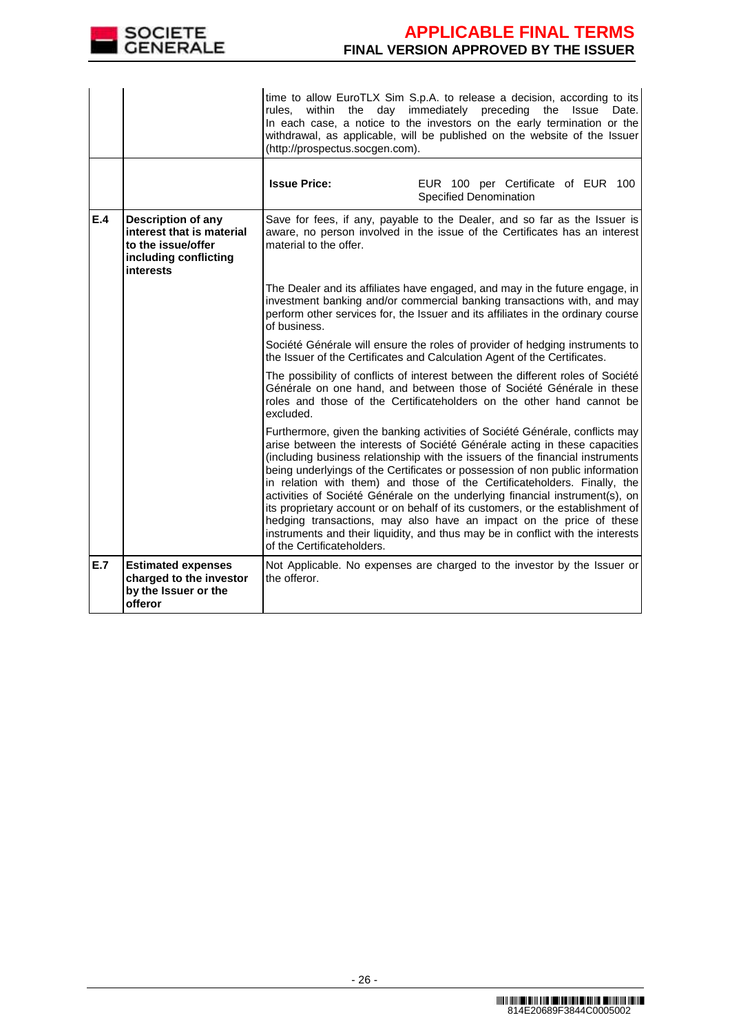

|     |                                                                                                                    | rules, within the<br>(http://prospectus.socgen.com).                                                                                                                                                                                                        | time to allow EuroTLX Sim S.p.A. to release a decision, according to its<br>day immediately preceding the<br>Issue<br>Date.<br>In each case, a notice to the investors on the early termination or the<br>withdrawal, as applicable, will be published on the website of the Issuer                                                                                                                                                                                                                                                                                                                                                                                                                                                   |
|-----|--------------------------------------------------------------------------------------------------------------------|-------------------------------------------------------------------------------------------------------------------------------------------------------------------------------------------------------------------------------------------------------------|---------------------------------------------------------------------------------------------------------------------------------------------------------------------------------------------------------------------------------------------------------------------------------------------------------------------------------------------------------------------------------------------------------------------------------------------------------------------------------------------------------------------------------------------------------------------------------------------------------------------------------------------------------------------------------------------------------------------------------------|
|     |                                                                                                                    | <b>Issue Price:</b>                                                                                                                                                                                                                                         | EUR 100 per Certificate of EUR 100<br>Specified Denomination                                                                                                                                                                                                                                                                                                                                                                                                                                                                                                                                                                                                                                                                          |
| E.4 | <b>Description of any</b><br>interest that is material<br>to the issue/offer<br>including conflicting<br>interests | Save for fees, if any, payable to the Dealer, and so far as the Issuer is<br>aware, no person involved in the issue of the Certificates has an interest<br>material to the offer.                                                                           |                                                                                                                                                                                                                                                                                                                                                                                                                                                                                                                                                                                                                                                                                                                                       |
|     |                                                                                                                    | The Dealer and its affiliates have engaged, and may in the future engage, in<br>investment banking and/or commercial banking transactions with, and may<br>perform other services for, the Issuer and its affiliates in the ordinary course<br>of business. |                                                                                                                                                                                                                                                                                                                                                                                                                                                                                                                                                                                                                                                                                                                                       |
|     |                                                                                                                    |                                                                                                                                                                                                                                                             | Société Générale will ensure the roles of provider of hedging instruments to<br>the Issuer of the Certificates and Calculation Agent of the Certificates.                                                                                                                                                                                                                                                                                                                                                                                                                                                                                                                                                                             |
|     |                                                                                                                    | The possibility of conflicts of interest between the different roles of Société<br>Générale on one hand, and between those of Société Générale in these<br>roles and those of the Certificateholders on the other hand cannot be<br>excluded.               |                                                                                                                                                                                                                                                                                                                                                                                                                                                                                                                                                                                                                                                                                                                                       |
|     |                                                                                                                    | of the Certificateholders.                                                                                                                                                                                                                                  | Furthermore, given the banking activities of Société Générale, conflicts may<br>arise between the interests of Société Générale acting in these capacities<br>(including business relationship with the issuers of the financial instruments<br>being underlyings of the Certificates or possession of non public information<br>in relation with them) and those of the Certificateholders. Finally, the<br>activities of Société Générale on the underlying financial instrument(s), on<br>its proprietary account or on behalf of its customers, or the establishment of<br>hedging transactions, may also have an impact on the price of these<br>instruments and their liquidity, and thus may be in conflict with the interests |
| E.7 | <b>Estimated expenses</b><br>charged to the investor<br>by the Issuer or the<br>offeror                            | the offeror.                                                                                                                                                                                                                                                | Not Applicable. No expenses are charged to the investor by the Issuer or                                                                                                                                                                                                                                                                                                                                                                                                                                                                                                                                                                                                                                                              |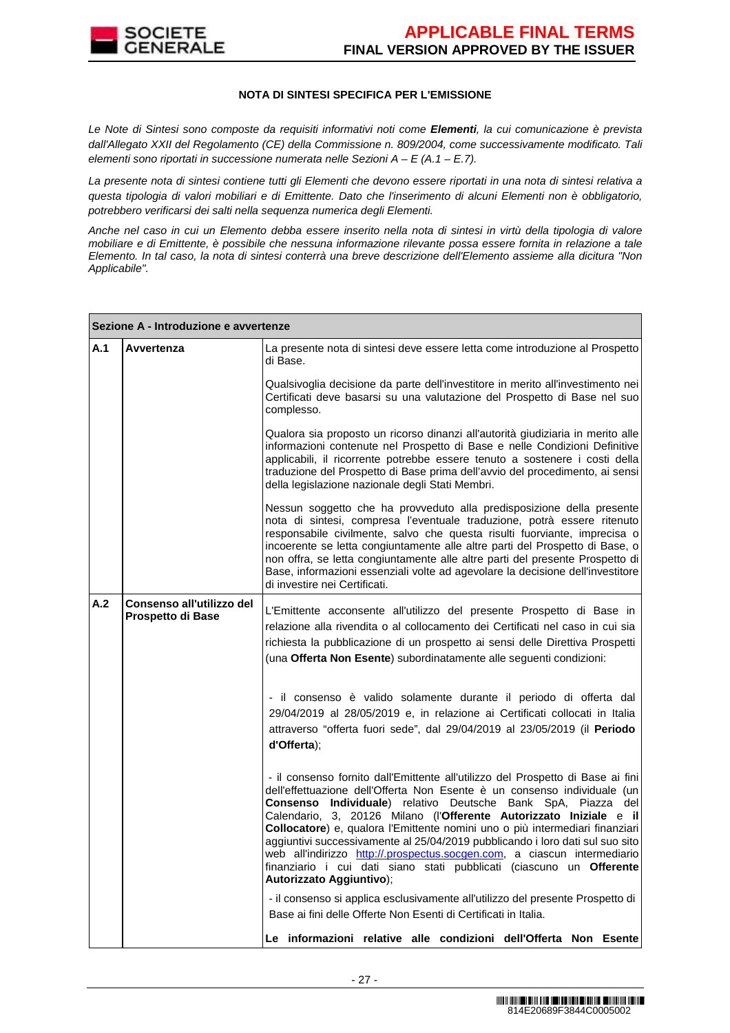

### **NOTA DI SINTESI SPECIFICA PER L'EMISSIONE**

Le Note di Sintesi sono composte da requisiti informativi noti come **Elementi**, la cui comunicazione è prevista dall'Allegato XXII del Regolamento (CE) della Commissione n. 809/2004, come successivamente modificato. Tali elementi sono riportati in successione numerata nelle Sezioni  $A - E(A.1 - E.7)$ .

La presente nota di sintesi contiene tutti gli Elementi che devono essere riportati in una nota di sintesi relativa a questa tipologia di valori mobiliari e di Emittente. Dato che l'inserimento di alcuni Elementi non è obbligatorio, potrebbero verificarsi dei salti nella sequenza numerica degli Elementi.

Anche nel caso in cui un Elemento debba essere inserito nella nota di sintesi in virtù della tipologia di valore mobiliare e di Emittente, è possibile che nessuna informazione rilevante possa essere fornita in relazione a tale Elemento. In tal caso, la nota di sintesi conterrà una breve descrizione dell'Elemento assieme alla dicitura "Non Applicabile".

|     | Sezione A - Introduzione e avvertenze          |                                                                                                                                                                                                                                                                                                                                                                                                                                                                                                                                                                                                                                                    |
|-----|------------------------------------------------|----------------------------------------------------------------------------------------------------------------------------------------------------------------------------------------------------------------------------------------------------------------------------------------------------------------------------------------------------------------------------------------------------------------------------------------------------------------------------------------------------------------------------------------------------------------------------------------------------------------------------------------------------|
| A.1 | Avvertenza                                     | La presente nota di sintesi deve essere letta come introduzione al Prospetto<br>di Base.                                                                                                                                                                                                                                                                                                                                                                                                                                                                                                                                                           |
|     |                                                | Qualsivoglia decisione da parte dell'investitore in merito all'investimento nei<br>Certificati deve basarsi su una valutazione del Prospetto di Base nel suo<br>complesso.                                                                                                                                                                                                                                                                                                                                                                                                                                                                         |
|     |                                                | Qualora sia proposto un ricorso dinanzi all'autorità giudiziaria in merito alle<br>informazioni contenute nel Prospetto di Base e nelle Condizioni Definitive<br>applicabili, il ricorrente potrebbe essere tenuto a sostenere i costi della<br>traduzione del Prospetto di Base prima dell'avvio del procedimento, ai sensi<br>della legislazione nazionale degli Stati Membri.                                                                                                                                                                                                                                                                   |
|     |                                                | Nessun soggetto che ha provveduto alla predisposizione della presente<br>nota di sintesi, compresa l'eventuale traduzione, potrà essere ritenuto<br>responsabile civilmente, salvo che questa risulti fuorviante, imprecisa o<br>incoerente se letta congiuntamente alle altre parti del Prospetto di Base, o<br>non offra, se letta congiuntamente alle altre parti del presente Prospetto di<br>Base, informazioni essenziali volte ad agevolare la decisione dell'investitore<br>di investire nei Certificati.                                                                                                                                  |
| A.2 | Consenso all'utilizzo del<br>Prospetto di Base | L'Emittente acconsente all'utilizzo del presente Prospetto di Base in<br>relazione alla rivendita o al collocamento dei Certificati nel caso in cui sia<br>richiesta la pubblicazione di un prospetto ai sensi delle Direttiva Prospetti<br>(una Offerta Non Esente) subordinatamente alle seguenti condizioni:                                                                                                                                                                                                                                                                                                                                    |
|     |                                                | - il consenso è valido solamente durante il periodo di offerta dal<br>29/04/2019 al 28/05/2019 e, in relazione ai Certificati collocati in Italia<br>attraverso "offerta fuori sede", dal 29/04/2019 al 23/05/2019 (il Periodo<br>d'Offerta);                                                                                                                                                                                                                                                                                                                                                                                                      |
|     |                                                | - il consenso fornito dall'Emittente all'utilizzo del Prospetto di Base ai fini<br>dell'effettuazione dell'Offerta Non Esente è un consenso individuale (un<br>Consenso Individuale) relativo Deutsche Bank SpA, Piazza del<br>Calendario, 3, 20126 Milano (l'Offerente Autorizzato Iniziale e il<br>Collocatore) e, qualora l'Emittente nomini uno o più intermediari finanziari<br>aggiuntivi successivamente al 25/04/2019 pubblicando i loro dati sul suo sito<br>web all'indirizzo http://.prospectus.socgen.com, a ciascun intermediario<br>finanziario i cui dati siano stati pubblicati (ciascuno un Offerente<br>Autorizzato Aggiuntivo); |
|     |                                                | - il consenso si applica esclusivamente all'utilizzo del presente Prospetto di<br>Base ai fini delle Offerte Non Esenti di Certificati in Italia.                                                                                                                                                                                                                                                                                                                                                                                                                                                                                                  |
|     |                                                | Le informazioni relative alle condizioni dell'Offerta Non Esente                                                                                                                                                                                                                                                                                                                                                                                                                                                                                                                                                                                   |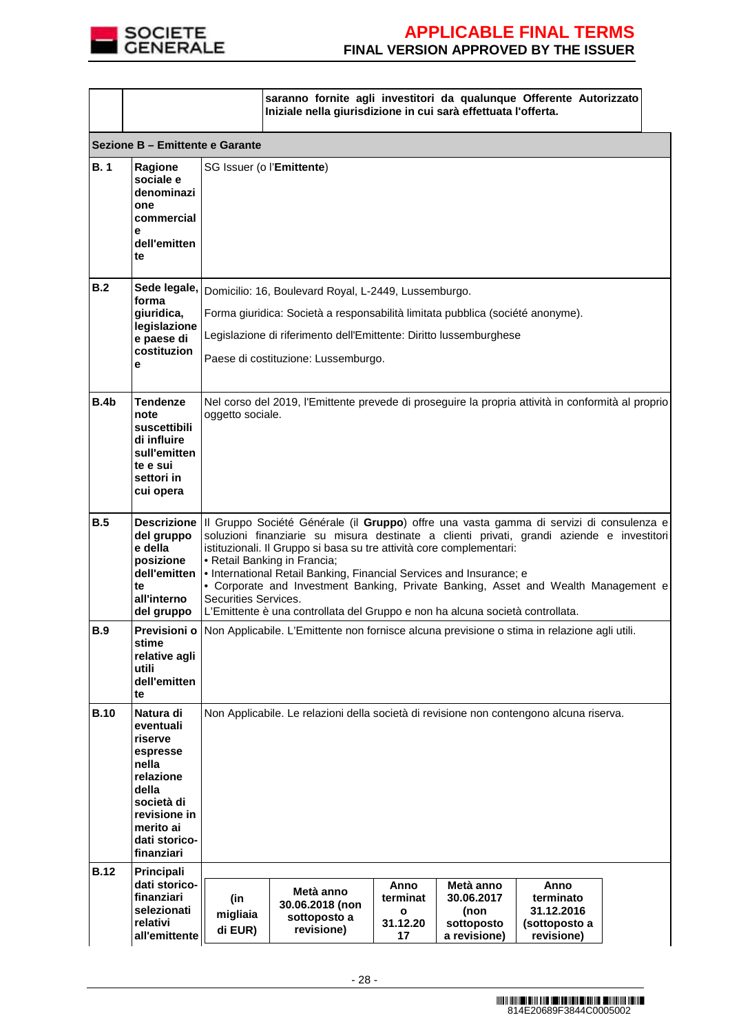

|             |                                                                                                                                                        |                            | saranno fornite agli investitori da qualunque Offerente Autorizzato<br>Iniziale nella giurisdizione in cui sarà effettuata l'offerta.                                                                                                                                                                                                                                                                                                                                                                                                                                           |                                         |                                                               |                                                                |  |
|-------------|--------------------------------------------------------------------------------------------------------------------------------------------------------|----------------------------|---------------------------------------------------------------------------------------------------------------------------------------------------------------------------------------------------------------------------------------------------------------------------------------------------------------------------------------------------------------------------------------------------------------------------------------------------------------------------------------------------------------------------------------------------------------------------------|-----------------------------------------|---------------------------------------------------------------|----------------------------------------------------------------|--|
|             | Sezione B - Emittente e Garante                                                                                                                        |                            |                                                                                                                                                                                                                                                                                                                                                                                                                                                                                                                                                                                 |                                         |                                                               |                                                                |  |
| B.1         | Ragione<br>sociale e<br>denominazi<br>one<br>commercial<br>e<br>dell'emitten<br>te                                                                     |                            | SG Issuer (o l'Emittente)                                                                                                                                                                                                                                                                                                                                                                                                                                                                                                                                                       |                                         |                                                               |                                                                |  |
| B.2         | forma<br>giuridica,<br>legislazione<br>e paese di<br>costituzion<br>e                                                                                  |                            | Sede legale, Domicilio: 16, Boulevard Royal, L-2449, Lussemburgo.<br>Forma giuridica: Società a responsabilità limitata pubblica (société anonyme).<br>Legislazione di riferimento dell'Emittente: Diritto lussemburghese<br>Paese di costituzione: Lussemburgo.                                                                                                                                                                                                                                                                                                                |                                         |                                                               |                                                                |  |
| B.4b        | <b>Tendenze</b><br>note<br>suscettibili<br>di influire<br>sull'emitten<br>te e sui<br>settori in<br>cui opera                                          |                            | Nel corso del 2019, l'Emittente prevede di proseguire la propria attività in conformità al proprio<br>oggetto sociale.                                                                                                                                                                                                                                                                                                                                                                                                                                                          |                                         |                                                               |                                                                |  |
| B.5         | del gruppo<br>e della<br>posizione<br>dell'emitten<br>te<br>all'interno<br>del gruppo                                                                  |                            | Descrizione III Gruppo Société Générale (il Gruppo) offre una vasta gamma di servizi di consulenza e<br>soluzioni finanziarie su misura destinate a clienti privati, grandi aziende e investitori<br>istituzionali. Il Gruppo si basa su tre attività core complementari:<br>• Retail Banking in Francia;<br>. International Retail Banking, Financial Services and Insurance; e<br>• Corporate and Investment Banking, Private Banking, Asset and Wealth Management e<br>Securities Services.<br>L'Emittente è una controllata del Gruppo e non ha alcuna società controllata. |                                         |                                                               |                                                                |  |
| <b>B.9</b>  | stime<br>relative agli<br>utili<br>dell'emitten<br>te                                                                                                  |                            | Previsioni o Non Applicabile. L'Emittente non fornisce alcuna previsione o stima in relazione agli utili.                                                                                                                                                                                                                                                                                                                                                                                                                                                                       |                                         |                                                               |                                                                |  |
| <b>B.10</b> | Natura di<br>eventuali<br>riserve<br>espresse<br>nella<br>relazione<br>della<br>società di<br>revisione in<br>merito ai<br>dati storico-<br>finanziari |                            | Non Applicabile. Le relazioni della società di revisione non contengono alcuna riserva.                                                                                                                                                                                                                                                                                                                                                                                                                                                                                         |                                         |                                                               |                                                                |  |
| <b>B.12</b> | Principali<br>dati storico-<br>finanziari<br>selezionati<br>relativi<br>all'emittente                                                                  | (in<br>migliaia<br>di EUR) | Metà anno<br>30.06.2018 (non<br>sottoposto a<br>revisione)                                                                                                                                                                                                                                                                                                                                                                                                                                                                                                                      | Anno<br>terminat<br>O<br>31.12.20<br>17 | Metà anno<br>30.06.2017<br>(non<br>sottoposto<br>a revisione) | Anno<br>terminato<br>31.12.2016<br>(sottoposto a<br>revisione) |  |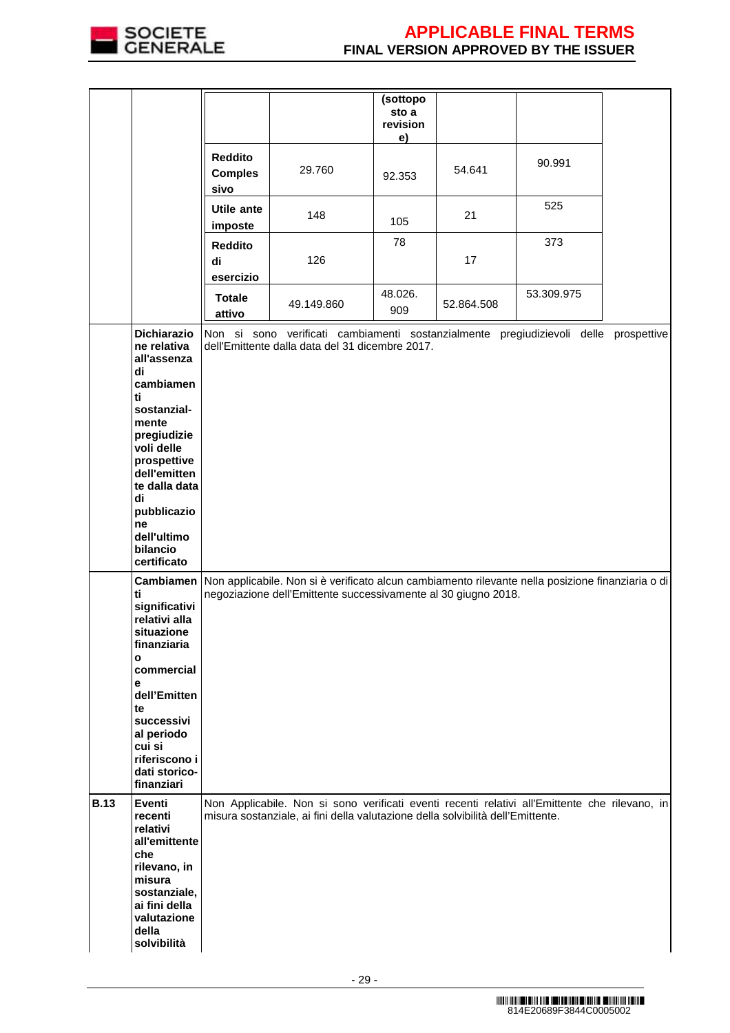

|             |                                                                                                                                                         |                                          |                                                                                                                                                                                   | (sottopo<br>sto a<br>revision<br>e) |            |            |             |
|-------------|---------------------------------------------------------------------------------------------------------------------------------------------------------|------------------------------------------|-----------------------------------------------------------------------------------------------------------------------------------------------------------------------------------|-------------------------------------|------------|------------|-------------|
|             |                                                                                                                                                         | <b>Reddito</b><br><b>Comples</b><br>sivo | 29.760                                                                                                                                                                            | 92.353                              | 54.641     | 90.991     |             |
|             |                                                                                                                                                         | Utile ante<br>imposte                    | 148                                                                                                                                                                               | 105                                 | 21         | 525        |             |
|             |                                                                                                                                                         | <b>Reddito</b><br>di<br>esercizio        | 126                                                                                                                                                                               | 78                                  | 17         | 373        |             |
|             |                                                                                                                                                         | <b>Totale</b><br>attivo                  | 49.149.860                                                                                                                                                                        | 48.026.<br>909                      | 52.864.508 | 53.309.975 |             |
|             | Dichiarazio<br>ne relativa<br>all'assenza                                                                                                               |                                          | Non si sono verificati cambiamenti sostanzialmente pregiudizievoli delle<br>dell'Emittente dalla data del 31 dicembre 2017.                                                       |                                     |            |            | prospettive |
|             | di<br>cambiamen<br>ti                                                                                                                                   |                                          |                                                                                                                                                                                   |                                     |            |            |             |
|             | sostanzial-<br>mente<br>pregiudizie<br>voli delle                                                                                                       |                                          |                                                                                                                                                                                   |                                     |            |            |             |
|             | prospettive<br>dell'emitten<br>te dalla data                                                                                                            |                                          |                                                                                                                                                                                   |                                     |            |            |             |
|             | di<br>pubblicazio<br>ne<br>dell'ultimo                                                                                                                  |                                          |                                                                                                                                                                                   |                                     |            |            |             |
|             | bilancio<br>certificato                                                                                                                                 |                                          |                                                                                                                                                                                   |                                     |            |            |             |
|             | Cambiamen<br>ti<br>significativi<br>relativi alla<br>situazione<br>finanziaria<br>О<br>commercial                                                       |                                          | Non applicabile. Non si è verificato alcun cambiamento rilevante nella posizione finanziaria o di<br>negoziazione dell'Emittente successivamente al 30 giugno 2018.               |                                     |            |            |             |
|             | е<br>dell'Emitten<br>te<br>successivi<br>al periodo<br>cui si<br>riferiscono i<br>dati storico-<br>finanziari                                           |                                          |                                                                                                                                                                                   |                                     |            |            |             |
| <b>B.13</b> | Eventi<br>recenti<br>relativi<br>all'emittente<br>che<br>rilevano, in<br>misura<br>sostanziale,<br>ai fini della<br>valutazione<br>della<br>solvibilità |                                          | Non Applicabile. Non si sono verificati eventi recenti relativi all'Emittente che rilevano, in<br>misura sostanziale, ai fini della valutazione della solvibilità dell'Emittente. |                                     |            |            |             |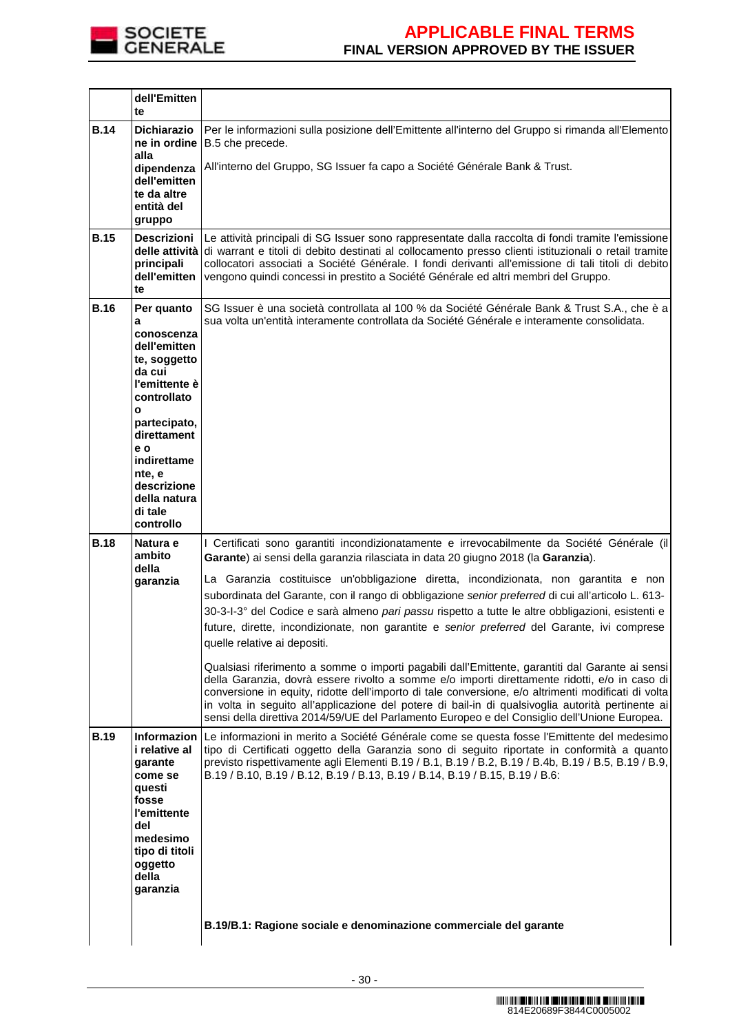

|             | dell'Emitten<br>te                                                                                                                                                                                                                            |                                                                                                                                                                                                                                                                                                                                                                                                                                                                                                                                                                                                                                                                                                                                                                                                                                                                                                                                                                                                                                                                                                                                    |
|-------------|-----------------------------------------------------------------------------------------------------------------------------------------------------------------------------------------------------------------------------------------------|------------------------------------------------------------------------------------------------------------------------------------------------------------------------------------------------------------------------------------------------------------------------------------------------------------------------------------------------------------------------------------------------------------------------------------------------------------------------------------------------------------------------------------------------------------------------------------------------------------------------------------------------------------------------------------------------------------------------------------------------------------------------------------------------------------------------------------------------------------------------------------------------------------------------------------------------------------------------------------------------------------------------------------------------------------------------------------------------------------------------------------|
| <b>B.14</b> | <b>Dichiarazio</b><br>ne in ordine<br>alla                                                                                                                                                                                                    | Per le informazioni sulla posizione dell'Emittente all'interno del Gruppo si rimanda all'Elemento<br>B.5 che precede.<br>All'interno del Gruppo, SG Issuer fa capo a Société Générale Bank & Trust.                                                                                                                                                                                                                                                                                                                                                                                                                                                                                                                                                                                                                                                                                                                                                                                                                                                                                                                                |
|             | dipendenza<br>dell'emitten<br>te da altre<br>entità del<br>gruppo                                                                                                                                                                             |                                                                                                                                                                                                                                                                                                                                                                                                                                                                                                                                                                                                                                                                                                                                                                                                                                                                                                                                                                                                                                                                                                                                    |
| <b>B.15</b> | <b>Descrizioni</b><br>principali<br>dell'emitten<br>te                                                                                                                                                                                        | Le attività principali di SG Issuer sono rappresentate dalla raccolta di fondi tramite l'emissione<br>delle attività di warrant e titoli di debito destinati al collocamento presso clienti istituzionali o retail tramite<br>collocatori associati a Société Générale. I fondi derivanti all'emissione di tali titoli di debito<br>vengono quindi concessi in prestito a Société Générale ed altri membri del Gruppo.                                                                                                                                                                                                                                                                                                                                                                                                                                                                                                                                                                                                                                                                                                             |
| <b>B.16</b> | Per quanto<br>a<br>conoscenza<br>dell'emitten<br>te, soggetto<br>da cui<br>l'emittente è<br>controllato<br>$\mathbf{o}$<br>partecipato,<br>direttament<br>e o<br>indirettame<br>nte, e<br>descrizione<br>della natura<br>di tale<br>controllo | SG Issuer è una società controllata al 100 % da Société Générale Bank & Trust S.A., che è a<br>sua volta un'entità interamente controllata da Société Générale e interamente consolidata.                                                                                                                                                                                                                                                                                                                                                                                                                                                                                                                                                                                                                                                                                                                                                                                                                                                                                                                                          |
| <b>B.18</b> | Natura e<br>ambito<br>della<br>garanzia                                                                                                                                                                                                       | I Certificati sono garantiti incondizionatamente e irrevocabilmente da Société Générale (il<br>Garante) ai sensi della garanzia rilasciata in data 20 giugno 2018 (la Garanzia).<br>La Garanzia costituisce un'obbligazione diretta, incondizionata, non garantita e non<br>subordinata del Garante, con il rango di obbligazione senior preferred di cui all'articolo L. 613-<br>30-3-l-3° del Codice e sarà almeno pari passu rispetto a tutte le altre obbligazioni, esistenti e<br>future, dirette, incondizionate, non garantite e senior preferred del Garante, ivi comprese<br>quelle relative ai depositi.<br>Qualsiasi riferimento a somme o importi pagabili dall'Emittente, garantiti dal Garante ai sensi<br>della Garanzia, dovrà essere rivolto a somme e/o importi direttamente ridotti, e/o in caso di<br>conversione in equity, ridotte dell'importo di tale conversione, e/o altrimenti modificati di volta<br>in volta in seguito all'applicazione del potere di bail-in di qualsivoglia autorità pertinente ai<br>sensi della direttiva 2014/59/UE del Parlamento Europeo e del Consiglio dell'Unione Europea. |
| <b>B.19</b> | <b>Informazion</b><br>i relative al<br>garante<br>come se<br>questi<br>fosse<br>l'emittente<br>del<br>medesimo<br>tipo di titoli<br>oggetto<br>della<br>garanzia                                                                              | Le informazioni in merito a Société Générale come se questa fosse l'Emittente del medesimo<br>tipo di Certificati oggetto della Garanzia sono di seguito riportate in conformità a quanto<br>previsto rispettivamente agli Elementi B.19 / B.1, B.19 / B.2, B.19 / B.4b, B.19 / B.5, B.19 / B.9,<br>B.19 / B.10, B.19 / B.12, B.19 / B.13, B.19 / B.14, B.19 / B.15, B.19 / B.6:<br>B.19/B.1: Ragione sociale e denominazione commerciale del garante                                                                                                                                                                                                                                                                                                                                                                                                                                                                                                                                                                                                                                                                              |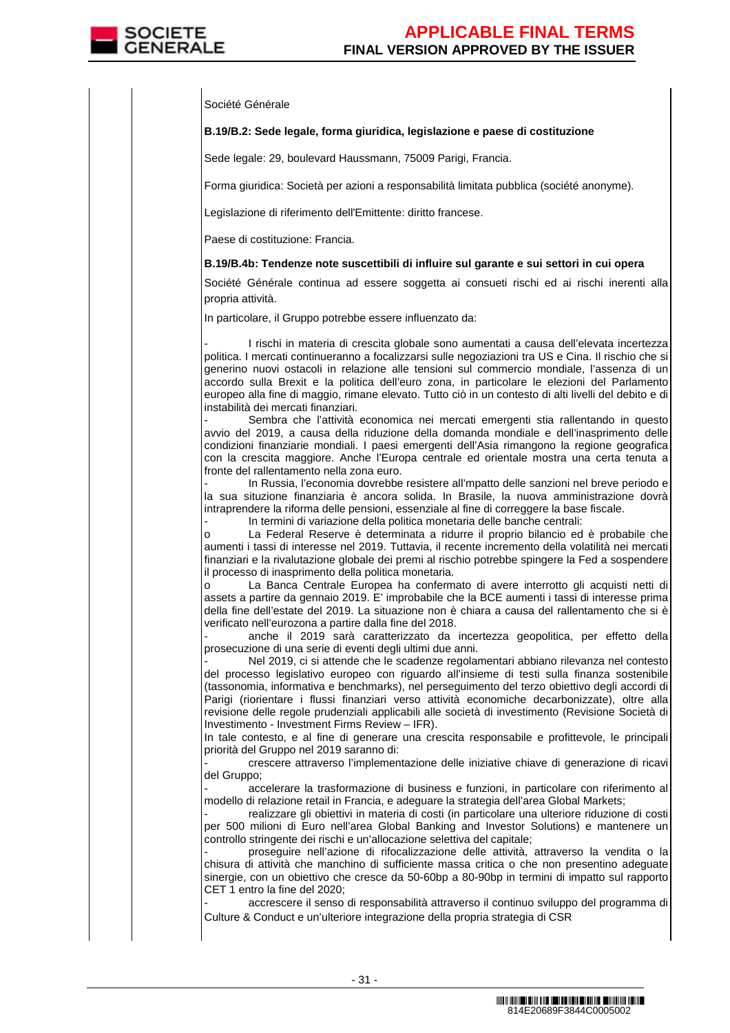Société Générale

### **B.19/B.2: Sede legale, forma giuridica, legislazione e paese di costituzione**

Sede legale: 29, boulevard Haussmann, 75009 Parigi, Francia.

Forma giuridica: Società per azioni a responsabilità limitata pubblica (société anonyme).

Legislazione di riferimento dell'Emittente: diritto francese.

Paese di costituzione: Francia.

#### **B.19/B.4b: Tendenze note suscettibili di influire sul garante e sui settori in cui opera**

Société Générale continua ad essere soggetta ai consueti rischi ed ai rischi inerenti alla propria attività.

In particolare, il Gruppo potrebbe essere influenzato da:

I rischi in materia di crescita globale sono aumentati a causa dell'elevata incertezza politica. I mercati continueranno a focalizzarsi sulle negoziazioni tra US e Cina. Il rischio che si generino nuovi ostacoli in relazione alle tensioni sul commercio mondiale, l'assenza di un accordo sulla Brexit e la politica dell'euro zona, in particolare le elezioni del Parlamento europeo alla fine di maggio, rimane elevato. Tutto ciò in un contesto di alti livelli del debito e di instabilità dei mercati finanziari.

Sembra che l'attività economica nei mercati emergenti stia rallentando in questo avvio del 2019, a causa della riduzione della domanda mondiale e dell'inasprimento delle condizioni finanziarie mondiali. I paesi emergenti dell'Asia rimangono la regione geografica con la crescita maggiore. Anche l'Europa centrale ed orientale mostra una certa tenuta a fronte del rallentamento nella zona euro.

In Russia, l'economia dovrebbe resistere all'mpatto delle sanzioni nel breve periodo e la sua situzione finanziaria è ancora solida. In Brasile, la nuova amministrazione dovrà intraprendere la riforma delle pensioni, essenziale al fine di correggere la base fiscale.

In termini di variazione della politica monetaria delle banche centrali:

o La Federal Reserve è determinata a ridurre il proprio bilancio ed è probabile che aumenti i tassi di interesse nel 2019. Tuttavia, il recente incremento della volatilità nei mercati finanziari e la rivalutazione globale dei premi al rischio potrebbe spingere la Fed a sospendere il processo di inasprimento della politica monetaria.

o La Banca Centrale Europea ha confermato di avere interrotto gli acquisti netti di assets a partire da gennaio 2019. E' improbabile che la BCE aumenti i tassi di interesse prima della fine dell'estate del 2019. La situazione non è chiara a causa del rallentamento che si è verificato nell'eurozona a partire dalla fine del 2018.

anche il 2019 sarà caratterizzato da incertezza geopolitica, per effetto della prosecuzione di una serie di eventi degli ultimi due anni.

Nel 2019, ci si attende che le scadenze regolamentari abbiano rilevanza nel contesto del processo legislativo europeo con riguardo all'insieme di testi sulla finanza sostenibile (tassonomia, informativa e benchmarks), nel perseguimento del terzo obiettivo degli accordi di Parigi (riorientare i flussi finanziari verso attività economiche decarbonizzate), oltre alla revisione delle regole prudenziali applicabili alle società di investimento (Revisione Società di Investimento - Investment Firms Review – IFR).

In tale contesto, e al fine di generare una crescita responsabile e profittevole, le principali priorità del Gruppo nel 2019 saranno di:

- crescere attraverso l'implementazione delle iniziative chiave di generazione di ricavi del Gruppo;

- accelerare la trasformazione di business e funzioni, in particolare con riferimento al modello di relazione retail in Francia, e adeguare la strategia dell'area Global Markets;

realizzare gli obiettivi in materia di costi (in particolare una ulteriore riduzione di costi per 500 milioni di Euro nell'area Global Banking and Investor Solutions) e mantenere un controllo stringente dei rischi e un'allocazione selettiva del capitale;

- proseguire nell'azione di rifocalizzazione delle attività, attraverso la vendita o la chisura di attività che manchino di sufficiente massa critica o che non presentino adeguate sinergie, con un obiettivo che cresce da 50-60bp a 80-90bp in termini di impatto sul rapporto CET 1 entro la fine del 2020;

- accrescere il senso di responsabilità attraverso il continuo sviluppo del programma di Culture & Conduct e un'ulteriore integrazione della propria strategia di CSR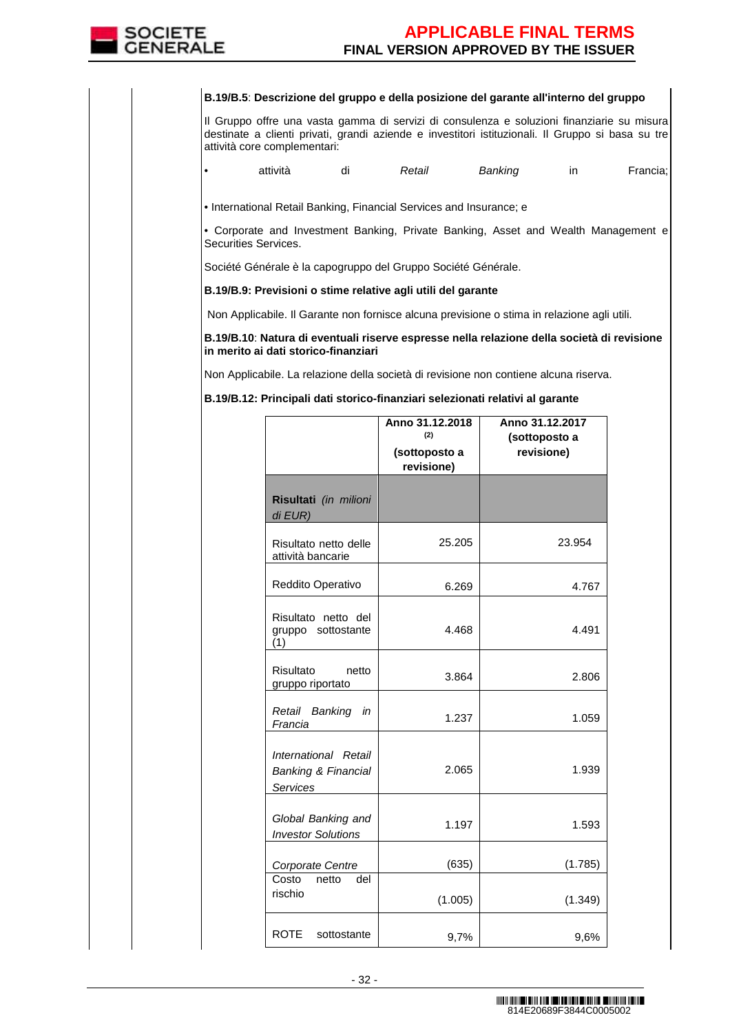

#### **B.19/B.5**: **Descrizione del gruppo e della posizione del garante all'interno del gruppo**

Il Gruppo offre una vasta gamma di servizi di consulenza e soluzioni finanziarie su misura destinate a clienti privati, grandi aziende e investitori istituzionali. Il Gruppo si basa su tre attività core complementari:

• attività di Retail Banking in Francia;

• International Retail Banking, Financial Services and Insurance; e

• Corporate and Investment Banking, Private Banking, Asset and Wealth Management e Securities Services.

Société Générale è la capogruppo del Gruppo Société Générale.

**B.19/B.9: Previsioni o stime relative agli utili del garante** 

Non Applicabile. Il Garante non fornisce alcuna previsione o stima in relazione agli utili.

**B.19/B.10**: **Natura di eventuali riserve espresse nella relazione della società di revisione in merito ai dati storico-finanziari**

Non Applicabile. La relazione della società di revisione non contiene alcuna riserva.

**B.19/B.12: Principali dati storico-finanziari selezionati relativi al garante** 

|                                                                           | Anno 31.12.2018<br>(2)<br>(sottoposto a<br>revisione) | Anno 31.12.2017<br>(sottoposto a<br>revisione) |
|---------------------------------------------------------------------------|-------------------------------------------------------|------------------------------------------------|
| Risultati (in milioni<br>di EUR)                                          |                                                       |                                                |
| Risultato netto delle<br>attività bancarie                                | 25.205                                                | 23.954                                         |
| Reddito Operativo                                                         | 6.269                                                 | 4.767                                          |
| Risultato netto del<br>gruppo sottostante<br>(1)                          | 4.468                                                 | 4.491                                          |
| Risultato<br>netto<br>gruppo riportato                                    | 3.864                                                 | 2.806                                          |
| Retail Banking in<br>Francia                                              | 1.237                                                 | 1.059                                          |
| International Retail<br><b>Banking &amp; Financial</b><br><b>Services</b> | 2.065                                                 | 1.939                                          |
| Global Banking and<br><b>Investor Solutions</b>                           | 1.197                                                 | 1.593                                          |
| Corporate Centre                                                          | (635)                                                 | (1.785)                                        |
| Costo<br>netto<br>del<br>rischio                                          | (1.005)                                               | (1.349)                                        |
| <b>ROTE</b><br>sottostante                                                | 9,7%                                                  | 9,6%                                           |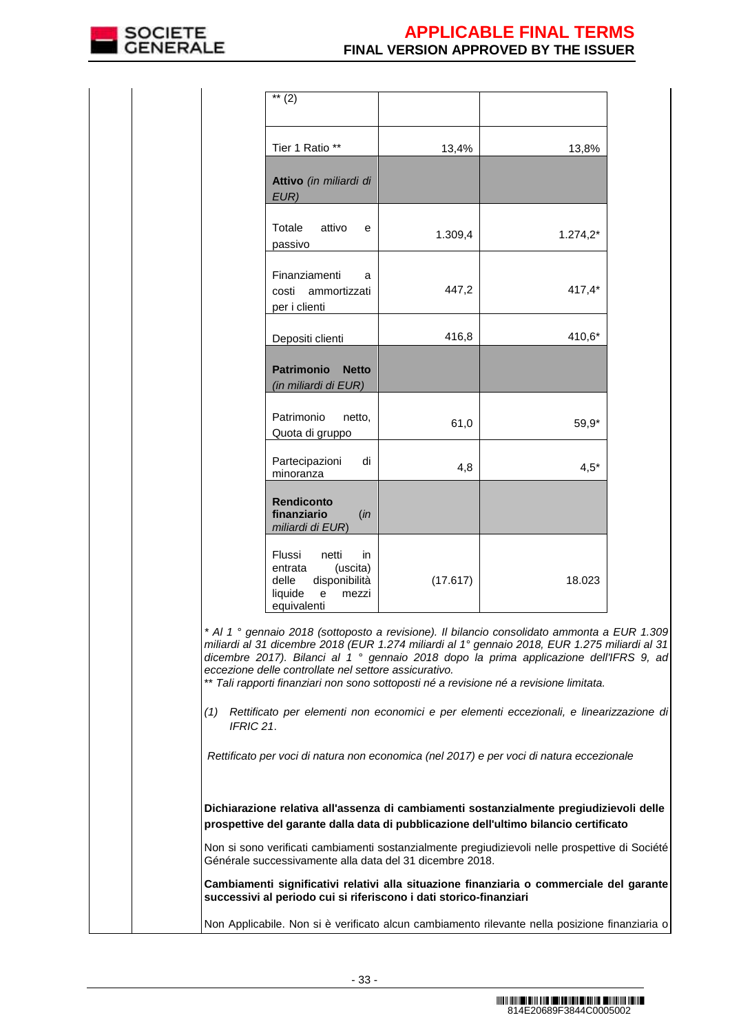

|                                                                                                                                                                                                                                                                                                                                                                                                                                                       | $\overline{\ast\ast}$ (2)                                                                                      |          |                                                                                          |  |  |
|-------------------------------------------------------------------------------------------------------------------------------------------------------------------------------------------------------------------------------------------------------------------------------------------------------------------------------------------------------------------------------------------------------------------------------------------------------|----------------------------------------------------------------------------------------------------------------|----------|------------------------------------------------------------------------------------------|--|--|
|                                                                                                                                                                                                                                                                                                                                                                                                                                                       | Tier 1 Ratio **                                                                                                | 13,4%    | 13,8%                                                                                    |  |  |
|                                                                                                                                                                                                                                                                                                                                                                                                                                                       | Attivo (in miliardi di<br>EUR)                                                                                 |          |                                                                                          |  |  |
|                                                                                                                                                                                                                                                                                                                                                                                                                                                       | Totale<br>attivo<br>е<br>passivo                                                                               | 1.309,4  | $1.274,2*$                                                                               |  |  |
|                                                                                                                                                                                                                                                                                                                                                                                                                                                       | Finanziamenti<br>a<br>costi<br>ammortizzati<br>per i clienti                                                   | 447,2    | $417,4*$                                                                                 |  |  |
|                                                                                                                                                                                                                                                                                                                                                                                                                                                       | Depositi clienti                                                                                               | 416,8    | 410,6*                                                                                   |  |  |
|                                                                                                                                                                                                                                                                                                                                                                                                                                                       | <b>Patrimonio</b><br><b>Netto</b><br>(in miliardi di EUR)                                                      |          |                                                                                          |  |  |
|                                                                                                                                                                                                                                                                                                                                                                                                                                                       | Patrimonio<br>netto,<br>Quota di gruppo                                                                        | 61,0     | 59,9*                                                                                    |  |  |
|                                                                                                                                                                                                                                                                                                                                                                                                                                                       | Partecipazioni<br>di<br>minoranza                                                                              | 4,8      | $4,5*$                                                                                   |  |  |
|                                                                                                                                                                                                                                                                                                                                                                                                                                                       | Rendiconto<br>finanziario<br>(in<br>miliardi di EUR)                                                           |          |                                                                                          |  |  |
|                                                                                                                                                                                                                                                                                                                                                                                                                                                       | Flussi<br>netti<br>in<br>(uscita)<br>entrata<br>delle<br>disponibilità<br>liquide<br>e<br>mezzi<br>equivalenti | (17.617) | 18.023                                                                                   |  |  |
| * Al 1 ° gennaio 2018 (sottoposto a revisione). Il bilancio consolidato ammonta a EUR 1.309<br>miliardi al 31 dicembre 2018 (EUR 1.274 miliardi al 1º gennaio 2018, EUR 1.275 miliardi al 31<br>dicembre 2017). Bilanci al 1 <sup>°</sup> gennaio 2018 dopo la prima applicazione dell'IFRS 9, ad<br>eccezione delle controllate nel settore assicurativo.<br>** Tali rapporti finanziari non sono sottoposti né a revisione né a revisione limitata. |                                                                                                                |          |                                                                                          |  |  |
| Rettificato per elementi non economici e per elementi eccezionali, e linearizzazione di<br>(1)<br>IFRIC 21.                                                                                                                                                                                                                                                                                                                                           |                                                                                                                |          |                                                                                          |  |  |
|                                                                                                                                                                                                                                                                                                                                                                                                                                                       |                                                                                                                |          | Rettificato per voci di natura non economica (nel 2017) e per voci di natura eccezionale |  |  |
| Dichiarazione relativa all'assenza di cambiamenti sostanzialmente pregiudizievoli delle<br>prospettive del garante dalla data di pubblicazione dell'ultimo bilancio certificato                                                                                                                                                                                                                                                                       |                                                                                                                |          |                                                                                          |  |  |
| Non si sono verificati cambiamenti sostanzialmente pregiudizievoli nelle prospettive di Société<br>Générale successivamente alla data del 31 dicembre 2018.                                                                                                                                                                                                                                                                                           |                                                                                                                |          |                                                                                          |  |  |
| Cambiamenti significativi relativi alla situazione finanziaria o commerciale del garante<br>successivi al periodo cui si riferiscono i dati storico-finanziari                                                                                                                                                                                                                                                                                        |                                                                                                                |          |                                                                                          |  |  |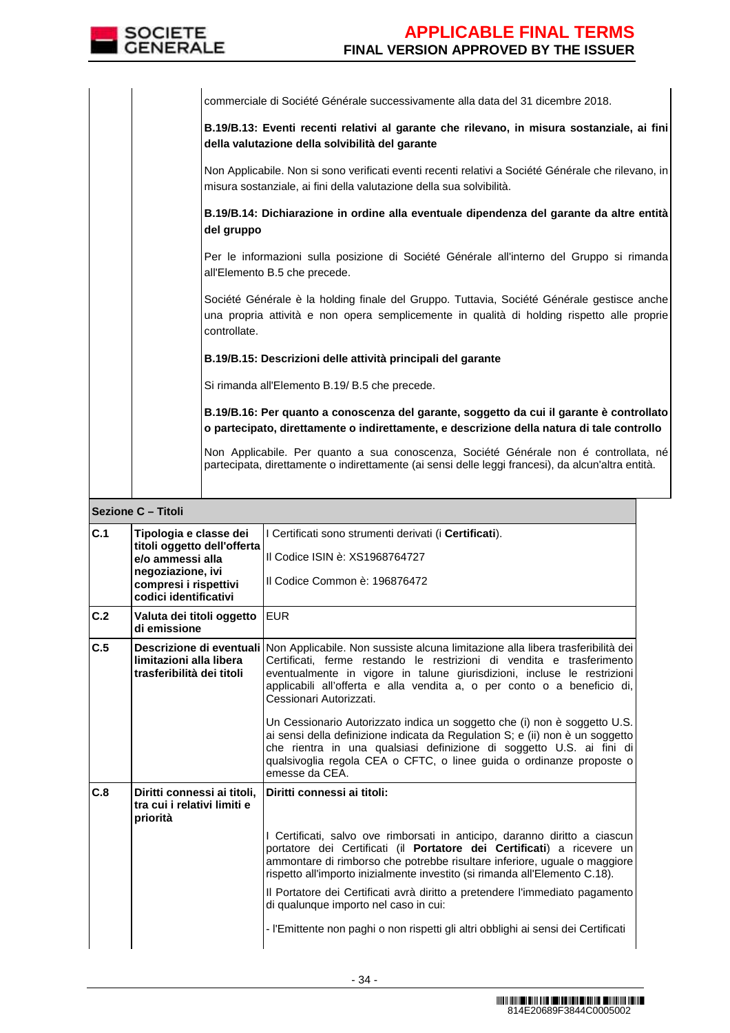

commerciale di Société Générale successivamente alla data del 31 dicembre 2018.

**B.19/B.13: Eventi recenti relativi al garante che rilevano, in misura sostanziale, ai fini della valutazione della solvibilità del garante**

Non Applicabile. Non si sono verificati eventi recenti relativi a Société Générale che rilevano, in misura sostanziale, ai fini della valutazione della sua solvibilità.

**B.19/B.14: Dichiarazione in ordine alla eventuale dipendenza del garante da altre entità del gruppo**

Per le informazioni sulla posizione di Société Générale all'interno del Gruppo si rimanda all'Elemento B.5 che precede.

Société Générale è la holding finale del Gruppo. Tuttavia, Société Générale gestisce anche una propria attività e non opera semplicemente in qualità di holding rispetto alle proprie controllate.

**B.19/B.15: Descrizioni delle attività principali del garante**

Si rimanda all'Elemento B.19/ B.5 che precede.

**B.19/B.16: Per quanto a conoscenza del garante, soggetto da cui il garante è controllato o partecipato, direttamente o indirettamente, e descrizione della natura di tale controllo**

Non Applicabile. Per quanto a sua conoscenza, Société Générale non é controllata, né partecipata, direttamente o indirettamente (ai sensi delle leggi francesi), da alcun'altra entità.

### **Sezione C – Titoli**

| C.1 | Tipologia e classe dei<br>titoli oggetto dell'offerta                  | I Certificati sono strumenti derivati (i Certificati).                                                                                                                                                                                                                                                                                                             |
|-----|------------------------------------------------------------------------|--------------------------------------------------------------------------------------------------------------------------------------------------------------------------------------------------------------------------------------------------------------------------------------------------------------------------------------------------------------------|
|     | e/o ammessi alla                                                       | Il Codice ISIN è: XS1968764727                                                                                                                                                                                                                                                                                                                                     |
|     | negoziazione, ivi<br>compresi i rispettivi<br>codici identificativi    | Il Codice Common è: 196876472                                                                                                                                                                                                                                                                                                                                      |
| C.2 | Valuta dei titoli oggetto<br>di emissione                              | <b>EUR</b>                                                                                                                                                                                                                                                                                                                                                         |
| C.5 | limitazioni alla libera<br>trasferibilità dei titoli                   | Descrizione di eventuali Non Applicabile. Non sussiste alcuna limitazione alla libera trasferibilità dei<br>Certificati, ferme restando le restrizioni di vendita e trasferimento<br>eventualmente in vigore in talune giurisdizioni, incluse le restrizioni<br>applicabili all'offerta e alla vendita a, o per conto o a beneficio di,<br>Cessionari Autorizzati. |
|     |                                                                        | Un Cessionario Autorizzato indica un soggetto che (i) non è soggetto U.S.<br>ai sensi della definizione indicata da Regulation S; e (ii) non è un soggetto<br>che rientra in una qualsiasi definizione di soggetto U.S. ai fini di<br>qualsivoglia regola CEA o CFTC, o linee guida o ordinanze proposte o<br>emesse da CEA.                                       |
| C.8 | Diritti connessi ai titoli,<br>tra cui i relativi limiti e<br>priorità | Diritti connessi ai titoli:                                                                                                                                                                                                                                                                                                                                        |
|     |                                                                        | I Certificati, salvo ove rimborsati in anticipo, daranno diritto a ciascun<br>portatore dei Certificati (il Portatore dei Certificati) a ricevere un<br>ammontare di rimborso che potrebbe risultare inferiore, uguale o maggiore<br>rispetto all'importo inizialmente investito (si rimanda all'Elemento C.18).                                                   |
|     |                                                                        | Il Portatore dei Certificati avrà diritto a pretendere l'immediato pagamento<br>di qualunque importo nel caso in cui:                                                                                                                                                                                                                                              |
|     |                                                                        | - l'Emittente non paghi o non rispetti gli altri obblighi ai sensi dei Certificati                                                                                                                                                                                                                                                                                 |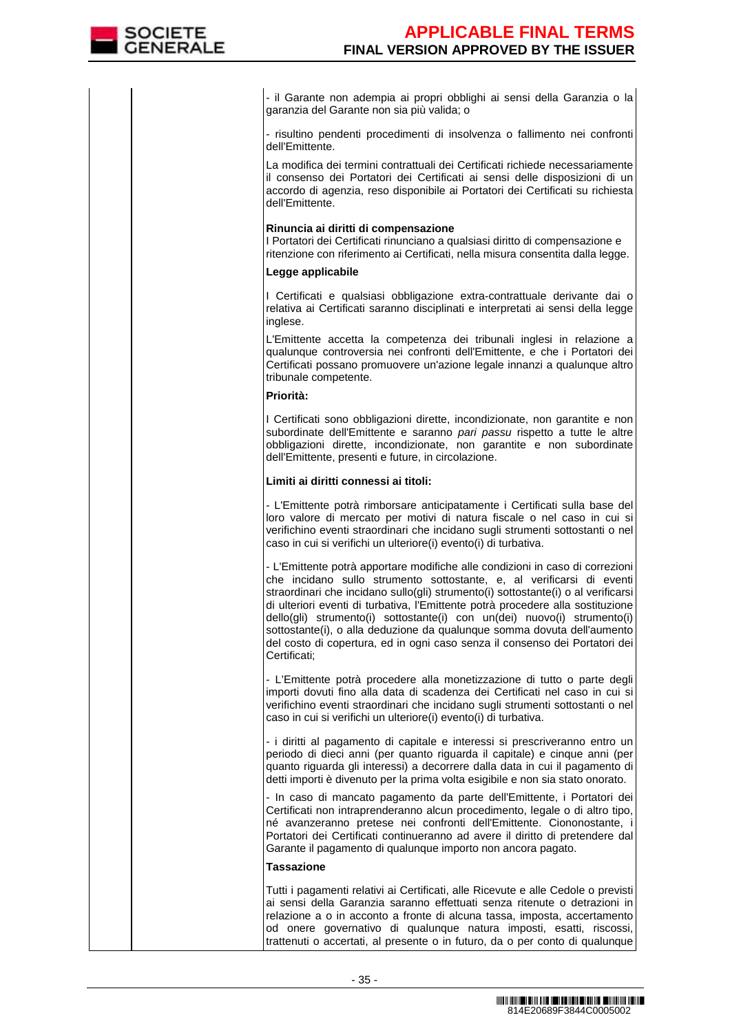- il Garante non adempia ai propri obblighi ai sensi della Garanzia o la garanzia del Garante non sia più valida; o

- risultino pendenti procedimenti di insolvenza o fallimento nei confronti dell'Emittente.

 La modifica dei termini contrattuali dei Certificati richiede necessariamente il consenso dei Portatori dei Certificati ai sensi delle disposizioni di un accordo di agenzia, reso disponibile ai Portatori dei Certificati su richiesta dell'Emittente.

### **Rinuncia ai diritti di compensazione**

I Portatori dei Certificati rinunciano a qualsiasi diritto di compensazione e ritenzione con riferimento ai Certificati, nella misura consentita dalla legge.

### **Legge applicabile**

I Certificati e qualsiasi obbligazione extra-contrattuale derivante dai o relativa ai Certificati saranno disciplinati e interpretati ai sensi della legge inglese.

 L'Emittente accetta la competenza dei tribunali inglesi in relazione a qualunque controversia nei confronti dell'Emittente, e che i Portatori dei Certificati possano promuovere un'azione legale innanzi a qualunque altro tribunale competente.

## **Priorità:**

I Certificati sono obbligazioni dirette, incondizionate, non garantite e non subordinate dell'Emittente e saranno pari passu rispetto a tutte le altre obbligazioni dirette, incondizionate, non garantite e non subordinate dell'Emittente, presenti e future, in circolazione.

## **Limiti ai diritti connessi ai titoli:**

- L'Emittente potrà rimborsare anticipatamente i Certificati sulla base del loro valore di mercato per motivi di natura fiscale o nel caso in cui si verifichino eventi straordinari che incidano sugli strumenti sottostanti o nel caso in cui si verifichi un ulteriore(i) evento(i) di turbativa.

- L'Emittente potrà apportare modifiche alle condizioni in caso di correzioni che incidano sullo strumento sottostante, e, al verificarsi di eventi straordinari che incidano sullo(gli) strumento(i) sottostante(i) o al verificarsi di ulteriori eventi di turbativa, l'Emittente potrà procedere alla sostituzione dello(gli) strumento(i) sottostante(i) con un(dei) nuovo(i) strumento(i) sottostante(i), o alla deduzione da qualunque somma dovuta dell'aumento del costo di copertura, ed in ogni caso senza il consenso dei Portatori dei Certificati;

- L'Emittente potrà procedere alla monetizzazione di tutto o parte degli importi dovuti fino alla data di scadenza dei Certificati nel caso in cui si verifichino eventi straordinari che incidano sugli strumenti sottostanti o nel caso in cui si verifichi un ulteriore(i) evento(i) di turbativa.

- i diritti al pagamento di capitale e interessi si prescriveranno entro un periodo di dieci anni (per quanto riguarda il capitale) e cinque anni (per quanto riguarda gli interessi) a decorrere dalla data in cui il pagamento di detti importi è divenuto per la prima volta esigibile e non sia stato onorato.

 - In caso di mancato pagamento da parte dell'Emittente, i Portatori dei Certificati non intraprenderanno alcun procedimento, legale o di altro tipo, né avanzeranno pretese nei confronti dell'Emittente. Ciononostante, i Portatori dei Certificati continueranno ad avere il diritto di pretendere dal Garante il pagamento di qualunque importo non ancora pagato.

## **Tassazione**

Tutti i pagamenti relativi ai Certificati, alle Ricevute e alle Cedole o previsti ai sensi della Garanzia saranno effettuati senza ritenute o detrazioni in relazione a o in acconto a fronte di alcuna tassa, imposta, accertamento od onere governativo di qualunque natura imposti, esatti, riscossi, trattenuti o accertati, al presente o in futuro, da o per conto di qualunque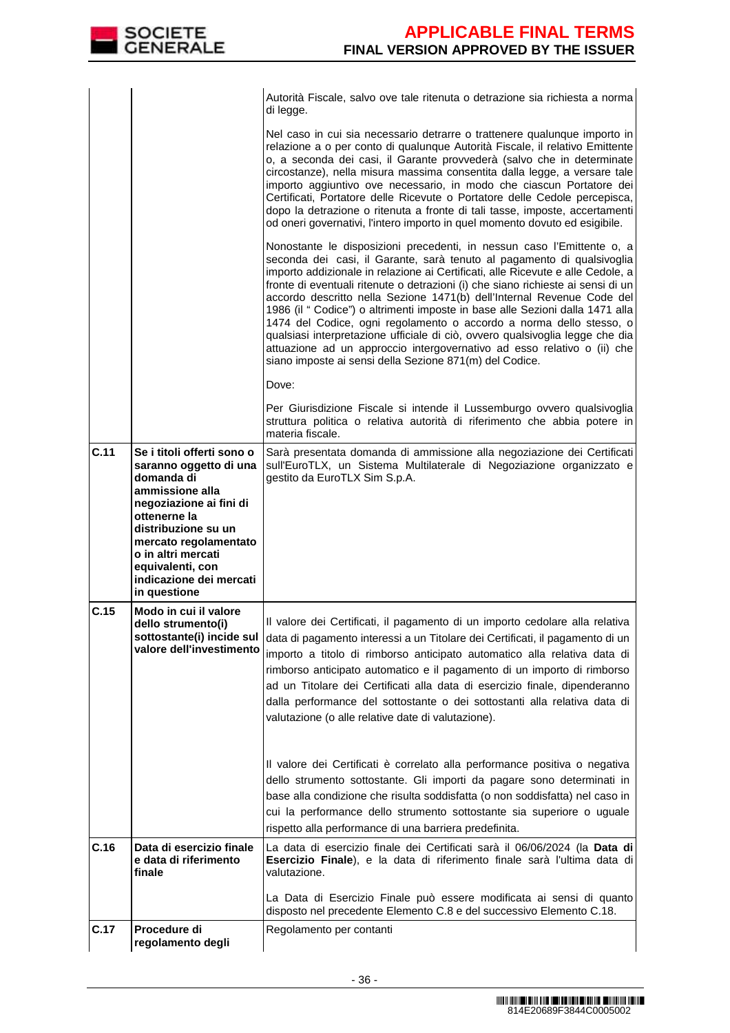|      |                                                                                                                                                                                                                                                                       | Autorità Fiscale, salvo ove tale ritenuta o detrazione sia richiesta a norma<br>di legge.                                                                                                                                                                                                                                                                                                                                                                                                                                                                                                                                                                                                                                                                                        |
|------|-----------------------------------------------------------------------------------------------------------------------------------------------------------------------------------------------------------------------------------------------------------------------|----------------------------------------------------------------------------------------------------------------------------------------------------------------------------------------------------------------------------------------------------------------------------------------------------------------------------------------------------------------------------------------------------------------------------------------------------------------------------------------------------------------------------------------------------------------------------------------------------------------------------------------------------------------------------------------------------------------------------------------------------------------------------------|
|      |                                                                                                                                                                                                                                                                       | Nel caso in cui sia necessario detrarre o trattenere qualunque importo in<br>relazione a o per conto di qualunque Autorità Fiscale, il relativo Emittente<br>o, a seconda dei casi, il Garante provvederà (salvo che in determinate<br>circostanze), nella misura massima consentita dalla legge, a versare tale<br>importo aggiuntivo ove necessario, in modo che ciascun Portatore dei<br>Certificati, Portatore delle Ricevute o Portatore delle Cedole percepisca,<br>dopo la detrazione o ritenuta a fronte di tali tasse, imposte, accertamenti<br>od oneri governativi, l'intero importo in quel momento dovuto ed esigibile.                                                                                                                                             |
|      |                                                                                                                                                                                                                                                                       | Nonostante le disposizioni precedenti, in nessun caso l'Emittente o, a<br>seconda dei casi, il Garante, sarà tenuto al pagamento di qualsivoglia<br>importo addizionale in relazione ai Certificati, alle Ricevute e alle Cedole, a<br>fronte di eventuali ritenute o detrazioni (i) che siano richieste ai sensi di un<br>accordo descritto nella Sezione 1471(b) dell'Internal Revenue Code del<br>1986 (il " Codice") o altrimenti imposte in base alle Sezioni dalla 1471 alla<br>1474 del Codice, ogni regolamento o accordo a norma dello stesso, o<br>qualsiasi interpretazione ufficiale di ciò, ovvero qualsivoglia legge che dia<br>attuazione ad un approccio intergovernativo ad esso relativo o (ii) che<br>siano imposte ai sensi della Sezione 871(m) del Codice. |
|      |                                                                                                                                                                                                                                                                       | Dove:                                                                                                                                                                                                                                                                                                                                                                                                                                                                                                                                                                                                                                                                                                                                                                            |
|      |                                                                                                                                                                                                                                                                       | Per Giurisdizione Fiscale si intende il Lussemburgo ovvero qualsivoglia<br>struttura politica o relativa autorità di riferimento che abbia potere in<br>materia fiscale.                                                                                                                                                                                                                                                                                                                                                                                                                                                                                                                                                                                                         |
| C.11 | Se i titoli offerti sono o<br>saranno oggetto di una<br>domanda di<br>ammissione alla<br>negoziazione ai fini di<br>ottenerne la<br>distribuzione su un<br>mercato regolamentato<br>o in altri mercati<br>equivalenti, con<br>indicazione dei mercati<br>in questione | Sarà presentata domanda di ammissione alla negoziazione dei Certificati<br>sull'EuroTLX, un Sistema Multilaterale di Negoziazione organizzato e<br>gestito da EuroTLX Sim S.p.A.                                                                                                                                                                                                                                                                                                                                                                                                                                                                                                                                                                                                 |
| C.15 | Modo in cui il valore<br>dello strumento(i)<br>sottostante(i) incide sul<br>valore dell'investimento                                                                                                                                                                  | Il valore dei Certificati, il pagamento di un importo cedolare alla relativa<br>data di pagamento interessi a un Titolare dei Certificati, il pagamento di un<br>importo a titolo di rimborso anticipato automatico alla relativa data di<br>rimborso anticipato automatico e il pagamento di un importo di rimborso<br>ad un Titolare dei Certificati alla data di esercizio finale, dipenderanno<br>dalla performance del sottostante o dei sottostanti alla relativa data di<br>valutazione (o alle relative date di valutazione).                                                                                                                                                                                                                                            |
|      |                                                                                                                                                                                                                                                                       | Il valore dei Certificati è correlato alla performance positiva o negativa<br>dello strumento sottostante. Gli importi da pagare sono determinati in<br>base alla condizione che risulta soddisfatta (o non soddisfatta) nel caso in<br>cui la performance dello strumento sottostante sia superiore o uguale<br>rispetto alla performance di una barriera predefinita.                                                                                                                                                                                                                                                                                                                                                                                                          |
| C.16 | Data di esercizio finale<br>e data di riferimento<br>finale                                                                                                                                                                                                           | La data di esercizio finale dei Certificati sarà il 06/06/2024 (la Data di<br>Esercizio Finale), e la data di riferimento finale sarà l'ultima data di<br>valutazione.                                                                                                                                                                                                                                                                                                                                                                                                                                                                                                                                                                                                           |
|      |                                                                                                                                                                                                                                                                       | La Data di Esercizio Finale può essere modificata ai sensi di quanto<br>disposto nel precedente Elemento C.8 e del successivo Elemento C.18.                                                                                                                                                                                                                                                                                                                                                                                                                                                                                                                                                                                                                                     |
| C.17 | Procedure di<br>regolamento degli                                                                                                                                                                                                                                     | Regolamento per contanti                                                                                                                                                                                                                                                                                                                                                                                                                                                                                                                                                                                                                                                                                                                                                         |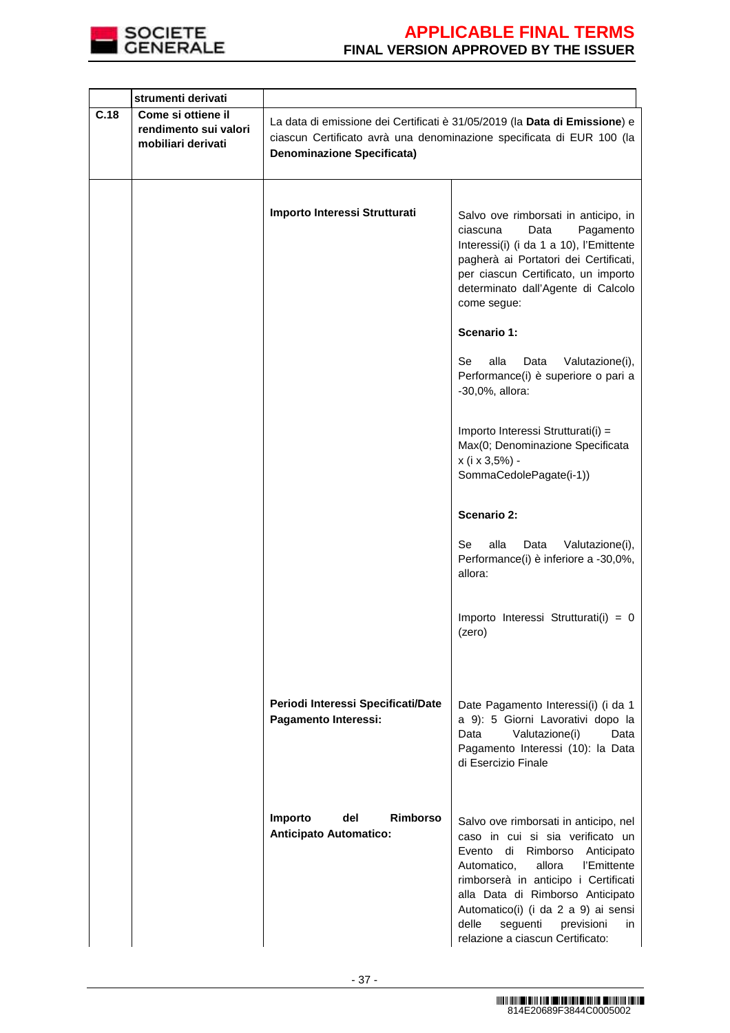

|      | strumenti derivati                                                |                                                                                                                                                                                          |                                                                                                                                                                                                                                                                                                                                                        |  |  |
|------|-------------------------------------------------------------------|------------------------------------------------------------------------------------------------------------------------------------------------------------------------------------------|--------------------------------------------------------------------------------------------------------------------------------------------------------------------------------------------------------------------------------------------------------------------------------------------------------------------------------------------------------|--|--|
| C.18 | Come si ottiene il<br>rendimento sui valori<br>mobiliari derivati | La data di emissione dei Certificati è 31/05/2019 (la Data di Emissione) e<br>ciascun Certificato avrà una denominazione specificata di EUR 100 (la<br><b>Denominazione Specificata)</b> |                                                                                                                                                                                                                                                                                                                                                        |  |  |
|      |                                                                   | Importo Interessi Strutturati                                                                                                                                                            | Salvo ove rimborsati in anticipo, in<br>ciascuna<br>Data<br>Pagamento<br>Interessi(i) (i da 1 a 10), l'Emittente<br>pagherà ai Portatori dei Certificati,<br>per ciascun Certificato, un importo<br>determinato dall'Agente di Calcolo<br>come segue:                                                                                                  |  |  |
|      |                                                                   |                                                                                                                                                                                          | Scenario 1:                                                                                                                                                                                                                                                                                                                                            |  |  |
|      |                                                                   |                                                                                                                                                                                          | Se<br>alla<br>Data<br>Valutazione(i),<br>Performance(i) è superiore o pari a<br>-30,0%, allora:                                                                                                                                                                                                                                                        |  |  |
|      |                                                                   |                                                                                                                                                                                          | Importo Interessi Strutturati(i) =<br>Max(0; Denominazione Specificata<br>x (i x 3,5%) -<br>SommaCedolePagate(i-1))                                                                                                                                                                                                                                    |  |  |
|      |                                                                   |                                                                                                                                                                                          | <b>Scenario 2:</b>                                                                                                                                                                                                                                                                                                                                     |  |  |
|      |                                                                   |                                                                                                                                                                                          | alla<br>Se<br>Data<br>Valutazione(i),<br>Performance(i) è inferiore a -30,0%,<br>allora:                                                                                                                                                                                                                                                               |  |  |
|      |                                                                   |                                                                                                                                                                                          | Importo Interessi Strutturati(i) = 0<br>(zero)                                                                                                                                                                                                                                                                                                         |  |  |
|      |                                                                   | Periodi Interessi Specificati/Date<br>Pagamento Interessi:                                                                                                                               | Date Pagamento Interessi(i) (i da 1<br>a 9): 5 Giorni Lavorativi dopo la<br>Data<br>Valutazione(i)<br>Data<br>Pagamento Interessi (10): la Data<br>di Esercizio Finale                                                                                                                                                                                 |  |  |
|      |                                                                   | <b>Rimborso</b><br>Importo<br>del<br><b>Anticipato Automatico:</b>                                                                                                                       | Salvo ove rimborsati in anticipo, nel<br>caso in cui si sia verificato un<br>Evento di<br>Rimborso Anticipato<br>allora<br>l'Emittente<br>Automatico,<br>rimborserà in anticipo i Certificati<br>alla Data di Rimborso Anticipato<br>Automatico(i) (i da 2 a 9) ai sensi<br>delle<br>seguenti<br>previsioni<br>in.<br>relazione a ciascun Certificato: |  |  |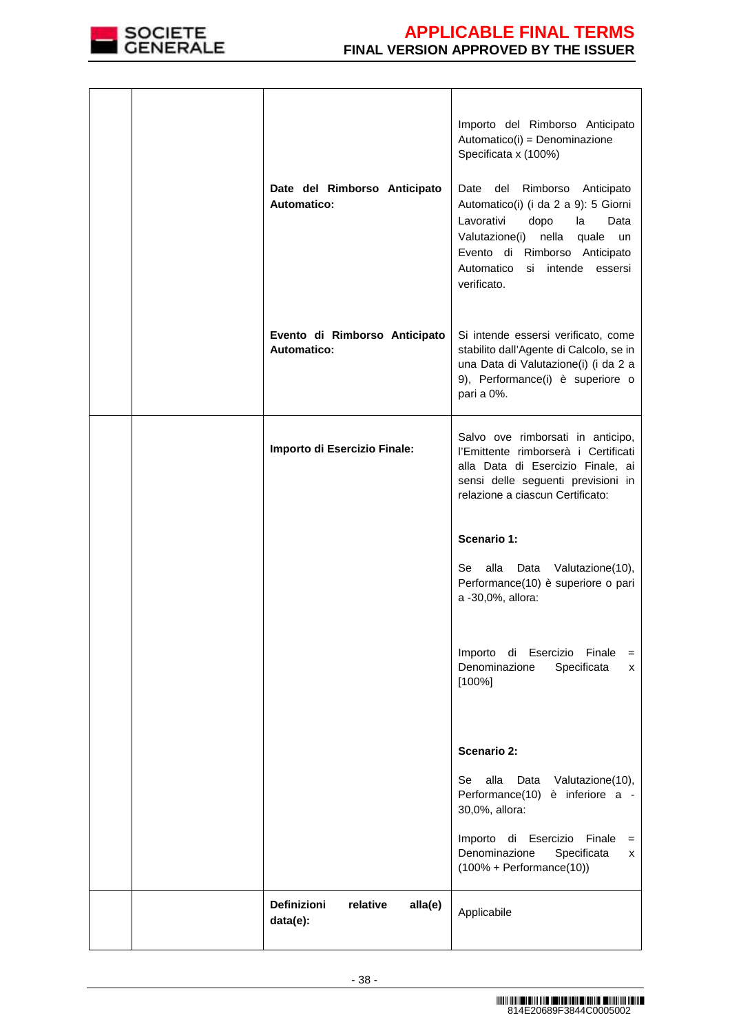

| Date del Rimborso Anticipato<br><b>Automatico:</b>    | Importo del Rimborso Anticipato<br>Automatico(i) = Denominazione<br>Specificata x (100%)<br>Date del Rimborso Anticipato<br>Automatico(i) (i da 2 a 9): 5 Giorni<br>Lavorativi<br>dopo<br>la<br>Data<br>Valutazione(i) nella quale<br>un<br>Evento di Rimborso Anticipato<br>Automatico<br>si intende essersi<br>verificato. |
|-------------------------------------------------------|------------------------------------------------------------------------------------------------------------------------------------------------------------------------------------------------------------------------------------------------------------------------------------------------------------------------------|
| Evento di Rimborso Anticipato<br><b>Automatico:</b>   | Si intende essersi verificato, come<br>stabilito dall'Agente di Calcolo, se in<br>una Data di Valutazione(i) (i da 2 a<br>9), Performance(i) è superiore o<br>pari a 0%.                                                                                                                                                     |
| Importo di Esercizio Finale:                          | Salvo ove rimborsati in anticipo,<br>l'Emittente rimborserà i Certificati<br>alla Data di Esercizio Finale, ai<br>sensi delle seguenti previsioni in<br>relazione a ciascun Certificato:                                                                                                                                     |
|                                                       | Scenario 1:<br>alla Data Valutazione(10),<br>Se<br>Performance(10) è superiore o pari<br>a -30,0%, allora:                                                                                                                                                                                                                   |
|                                                       | Importo di Esercizio Finale<br>$=$<br>Denominazione<br>Specificata<br>x<br>$[100\%]$                                                                                                                                                                                                                                         |
|                                                       | <b>Scenario 2:</b><br>alla<br>Se<br>Data Valutazione(10),<br>Performance(10) è inferiore a -<br>30,0%, allora:                                                                                                                                                                                                               |
|                                                       | Importo di Esercizio Finale<br>$=$<br>Denominazione<br>Specificata<br>x<br>$(100\% + Performance(10))$                                                                                                                                                                                                                       |
| <b>Definizioni</b><br>relative<br>alla(e)<br>data(e): | Applicabile                                                                                                                                                                                                                                                                                                                  |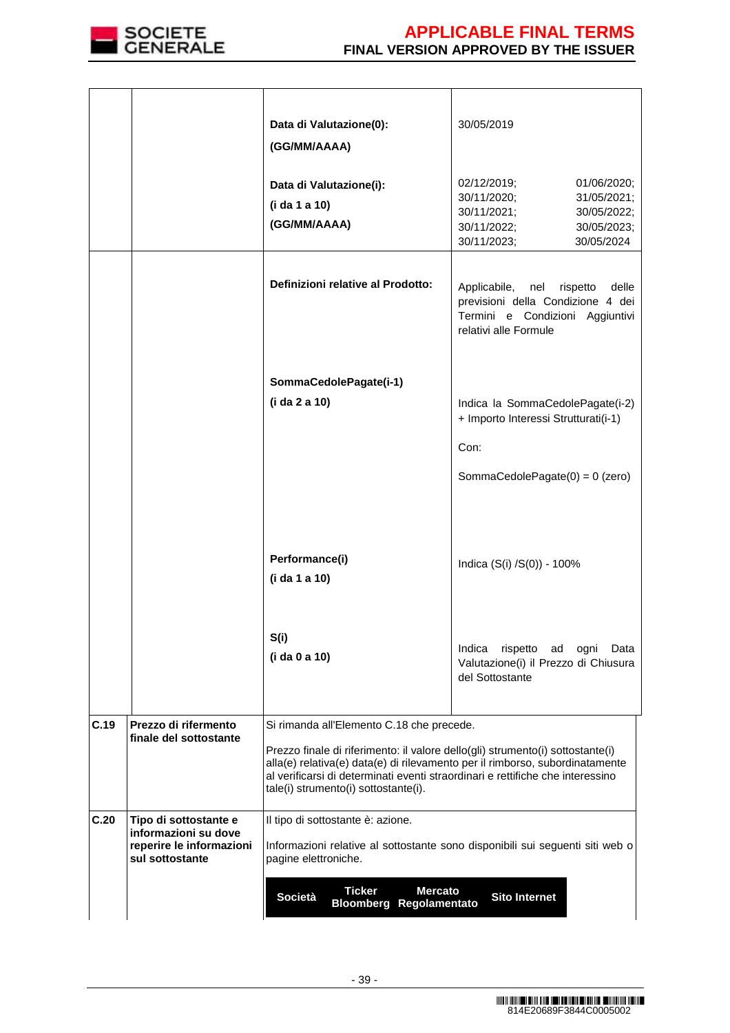

|      |                                                                                              | Data di Valutazione(0):<br>(GG/MM/AAAA)                                                                                                                                                                                                                                                  | 30/05/2019                                                                                                                                        |  |  |  |
|------|----------------------------------------------------------------------------------------------|------------------------------------------------------------------------------------------------------------------------------------------------------------------------------------------------------------------------------------------------------------------------------------------|---------------------------------------------------------------------------------------------------------------------------------------------------|--|--|--|
|      |                                                                                              | Data di Valutazione(i):<br>(i da 1 a 10)<br>(GG/MM/AAAA)                                                                                                                                                                                                                                 | 02/12/2019;<br>01/06/2020;<br>30/11/2020;<br>31/05/2021;<br>30/11/2021;<br>30/05/2022;<br>30/11/2022;<br>30/05/2023;<br>30/11/2023;<br>30/05/2024 |  |  |  |
|      |                                                                                              | Definizioni relative al Prodotto:                                                                                                                                                                                                                                                        | Applicabile, nel<br>delle<br>rispetto<br>previsioni della Condizione 4 dei<br>Termini e Condizioni Aggiuntivi<br>relativi alle Formule            |  |  |  |
|      |                                                                                              |                                                                                                                                                                                                                                                                                          |                                                                                                                                                   |  |  |  |
|      |                                                                                              | SommaCedolePagate(i-1)<br>(i da 2 a 10)                                                                                                                                                                                                                                                  | Indica la SommaCedolePagate(i-2)                                                                                                                  |  |  |  |
|      |                                                                                              |                                                                                                                                                                                                                                                                                          | + Importo Interessi Strutturati(i-1)                                                                                                              |  |  |  |
|      |                                                                                              |                                                                                                                                                                                                                                                                                          | Con:                                                                                                                                              |  |  |  |
|      |                                                                                              |                                                                                                                                                                                                                                                                                          | SommaCedolePagate $(0) = 0$ (zero)                                                                                                                |  |  |  |
|      |                                                                                              | Performance(i)<br>(i da 1 a 10)                                                                                                                                                                                                                                                          | Indica (S(i) /S(0)) - 100%                                                                                                                        |  |  |  |
|      |                                                                                              | S(i)<br>(i da 0 a 10)                                                                                                                                                                                                                                                                    | Indica<br>rispetto<br>Data<br>ad<br>ogni<br>Valutazione(i) il Prezzo di Chiusura<br>del Sottostante                                               |  |  |  |
| C.19 | Prezzo di rifermento                                                                         | Si rimanda all'Elemento C.18 che precede.                                                                                                                                                                                                                                                |                                                                                                                                                   |  |  |  |
|      | finale del sottostante                                                                       | Prezzo finale di riferimento: il valore dello(gli) strumento(i) sottostante(i)<br>alla(e) relativa(e) data(e) di rilevamento per il rimborso, subordinatamente<br>al verificarsi di determinati eventi straordinari e rettifiche che interessino<br>tale(i) strumento(i) sottostante(i). |                                                                                                                                                   |  |  |  |
| C.20 | Tipo di sottostante e<br>informazioni su dove<br>reperire le informazioni<br>sul sottostante | Il tipo di sottostante è: azione.<br>Informazioni relative al sottostante sono disponibili sui seguenti siti web o<br>pagine elettroniche.                                                                                                                                               |                                                                                                                                                   |  |  |  |
|      |                                                                                              | <b>Ticker</b><br><b>Mercato</b><br><b>Sito Internet</b><br>Società<br><b>Bloomberg Regolamentato</b>                                                                                                                                                                                     |                                                                                                                                                   |  |  |  |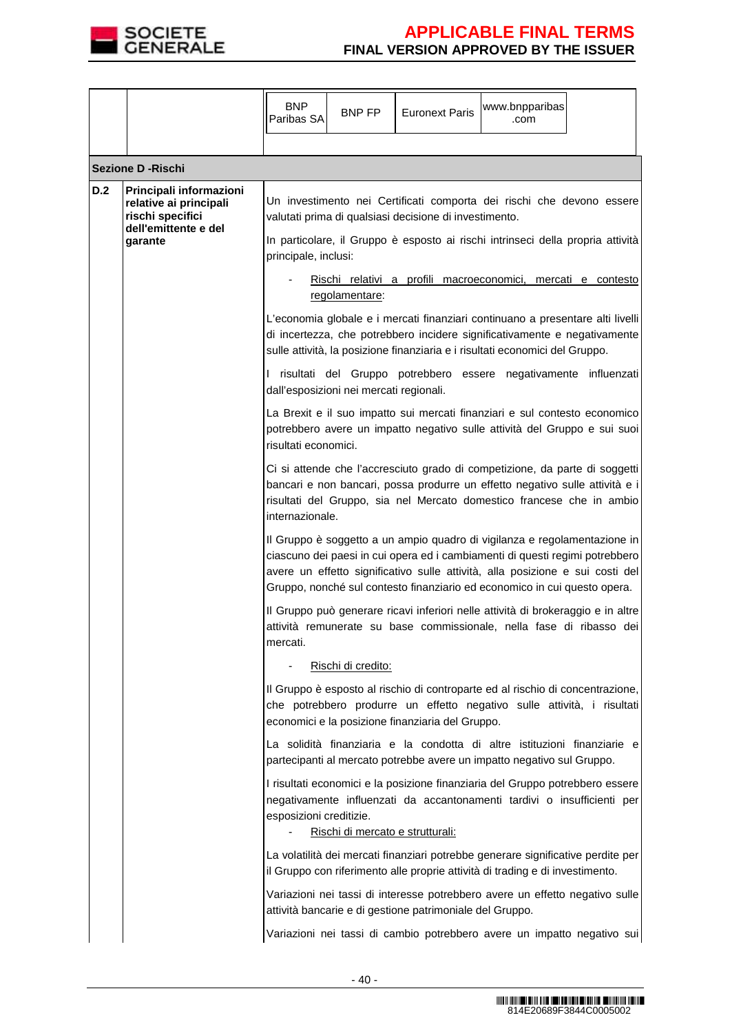

|     |                                                                                                          | <b>BNP</b><br>Paribas SA  | BNP FP                                                    | <b>Euronext Paris</b>                                    | www.bnpparibas<br>.com                                                                                                                                                                                                                                                                                                                                                                                                                                                                                                                      |  |
|-----|----------------------------------------------------------------------------------------------------------|---------------------------|-----------------------------------------------------------|----------------------------------------------------------|---------------------------------------------------------------------------------------------------------------------------------------------------------------------------------------------------------------------------------------------------------------------------------------------------------------------------------------------------------------------------------------------------------------------------------------------------------------------------------------------------------------------------------------------|--|
|     | <b>Sezione D - Rischi</b>                                                                                |                           |                                                           |                                                          |                                                                                                                                                                                                                                                                                                                                                                                                                                                                                                                                             |  |
| D.2 | Principali informazioni<br>relative ai principali<br>rischi specifici<br>dell'emittente e del<br>garante | principale, inclusi:<br>L | regolamentare:<br>dall'esposizioni nei mercati regionali. | valutati prima di qualsiasi decisione di investimento.   | Un investimento nei Certificati comporta dei rischi che devono essere<br>In particolare, il Gruppo è esposto ai rischi intrinseci della propria attività<br>Rischi relativi a profili macroeconomici, mercati e contesto<br>L'economia globale e i mercati finanziari continuano a presentare alti livelli<br>di incertezza, che potrebbero incidere significativamente e negativamente<br>sulle attività, la posizione finanziaria e i risultati economici del Gruppo.<br>risultati del Gruppo potrebbero essere negativamente influenzati |  |
|     |                                                                                                          | risultati economici.      |                                                           |                                                          | La Brexit e il suo impatto sui mercati finanziari e sul contesto economico<br>potrebbero avere un impatto negativo sulle attività del Gruppo e sui suoi<br>Ci si attende che l'accresciuto grado di competizione, da parte di soggetti                                                                                                                                                                                                                                                                                                      |  |
|     |                                                                                                          | internazionale.           |                                                           |                                                          | bancari e non bancari, possa produrre un effetto negativo sulle attività e i<br>risultati del Gruppo, sia nel Mercato domestico francese che in ambio                                                                                                                                                                                                                                                                                                                                                                                       |  |
|     |                                                                                                          |                           |                                                           |                                                          | Il Gruppo è soggetto a un ampio quadro di vigilanza e regolamentazione in<br>ciascuno dei paesi in cui opera ed i cambiamenti di questi regimi potrebbero<br>avere un effetto significativo sulle attività, alla posizione e sui costi del<br>Gruppo, nonché sul contesto finanziario ed economico in cui questo opera.                                                                                                                                                                                                                     |  |
|     |                                                                                                          | mercati.                  |                                                           |                                                          | Il Gruppo può generare ricavi inferiori nelle attività di brokeraggio e in altre<br>attività remunerate su base commissionale, nella fase di ribasso dei                                                                                                                                                                                                                                                                                                                                                                                    |  |
|     |                                                                                                          |                           | Rischi di credito:                                        |                                                          |                                                                                                                                                                                                                                                                                                                                                                                                                                                                                                                                             |  |
|     |                                                                                                          |                           |                                                           | economici e la posizione finanziaria del Gruppo.         | Il Gruppo è esposto al rischio di controparte ed al rischio di concentrazione,<br>che potrebbero produrre un effetto negativo sulle attività, i risultati                                                                                                                                                                                                                                                                                                                                                                                   |  |
|     |                                                                                                          |                           |                                                           |                                                          | La solidità finanziaria e la condotta di altre istituzioni finanziarie e<br>partecipanti al mercato potrebbe avere un impatto negativo sul Gruppo.                                                                                                                                                                                                                                                                                                                                                                                          |  |
|     |                                                                                                          | esposizioni creditizie.   | Rischi di mercato e strutturali:                          |                                                          | I risultati economici e la posizione finanziaria del Gruppo potrebbero essere<br>negativamente influenzati da accantonamenti tardivi o insufficienti per                                                                                                                                                                                                                                                                                                                                                                                    |  |
|     |                                                                                                          |                           |                                                           |                                                          | La volatilità dei mercati finanziari potrebbe generare significative perdite per<br>il Gruppo con riferimento alle proprie attività di trading e di investimento.                                                                                                                                                                                                                                                                                                                                                                           |  |
|     |                                                                                                          |                           |                                                           | attività bancarie e di gestione patrimoniale del Gruppo. | Variazioni nei tassi di interesse potrebbero avere un effetto negativo sulle                                                                                                                                                                                                                                                                                                                                                                                                                                                                |  |
|     |                                                                                                          |                           |                                                           |                                                          | Variazioni nei tassi di cambio potrebbero avere un impatto negativo sui                                                                                                                                                                                                                                                                                                                                                                                                                                                                     |  |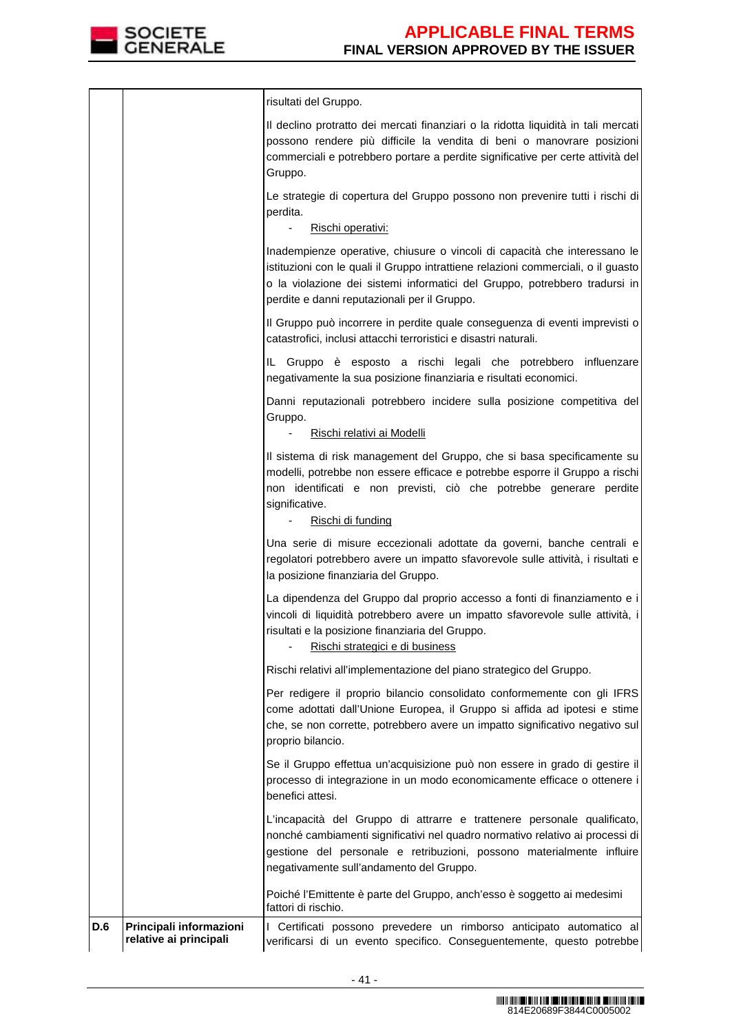

| D.6 | Principali informazioni<br>relative ai principali | I Certificati possono prevedere un rimborso anticipato automatico al<br>verificarsi di un evento specifico. Conseguentemente, questo potrebbe                                                                                                                                                |
|-----|---------------------------------------------------|----------------------------------------------------------------------------------------------------------------------------------------------------------------------------------------------------------------------------------------------------------------------------------------------|
|     |                                                   | Poiché l'Emittente è parte del Gruppo, anch'esso è soggetto ai medesimi<br>fattori di rischio.                                                                                                                                                                                               |
|     |                                                   | L'incapacità del Gruppo di attrarre e trattenere personale qualificato,<br>nonché cambiamenti significativi nel quadro normativo relativo ai processi di<br>gestione del personale e retribuzioni, possono materialmente influire<br>negativamente sull'andamento del Gruppo.                |
|     |                                                   | Se il Gruppo effettua un'acquisizione può non essere in grado di gestire il<br>processo di integrazione in un modo economicamente efficace o ottenere i<br>benefici attesi.                                                                                                                  |
|     |                                                   | Per redigere il proprio bilancio consolidato conformemente con gli IFRS<br>come adottati dall'Unione Europea, il Gruppo si affida ad ipotesi e stime<br>che, se non corrette, potrebbero avere un impatto significativo negativo sul<br>proprio bilancio.                                    |
|     |                                                   | Rischi relativi all'implementazione del piano strategico del Gruppo.                                                                                                                                                                                                                         |
|     |                                                   | La dipendenza del Gruppo dal proprio accesso a fonti di finanziamento e i<br>vincoli di liquidità potrebbero avere un impatto sfavorevole sulle attività, i<br>risultati e la posizione finanziaria del Gruppo.<br>Rischi strategici e di business                                           |
|     |                                                   | Una serie di misure eccezionali adottate da governi, banche centrali e<br>regolatori potrebbero avere un impatto sfavorevole sulle attività, i risultati e<br>la posizione finanziaria del Gruppo.                                                                                           |
|     |                                                   | Il sistema di risk management del Gruppo, che si basa specificamente su<br>modelli, potrebbe non essere efficace e potrebbe esporre il Gruppo a rischi<br>non identificati e non previsti, ciò che potrebbe generare perdite<br>significative.<br>Rischi di funding                          |
|     |                                                   | Danni reputazionali potrebbero incidere sulla posizione competitiva del<br>Gruppo.<br>Rischi relativi ai Modelli                                                                                                                                                                             |
|     |                                                   | IL Gruppo è esposto a rischi legali che potrebbero influenzare<br>negativamente la sua posizione finanziaria e risultati economici.                                                                                                                                                          |
|     |                                                   | Il Gruppo può incorrere in perdite quale conseguenza di eventi imprevisti o<br>catastrofici, inclusi attacchi terroristici e disastri naturali.                                                                                                                                              |
|     |                                                   | Inadempienze operative, chiusure o vincoli di capacità che interessano le<br>istituzioni con le quali il Gruppo intrattiene relazioni commerciali, o il guasto<br>o la violazione dei sistemi informatici del Gruppo, potrebbero tradursi in<br>perdite e danni reputazionali per il Gruppo. |
|     |                                                   | Le strategie di copertura del Gruppo possono non prevenire tutti i rischi di<br>perdita.<br>Rischi operativi:                                                                                                                                                                                |
|     |                                                   | Il declino protratto dei mercati finanziari o la ridotta liquidità in tali mercati<br>possono rendere più difficile la vendita di beni o manovrare posizioni<br>commerciali e potrebbero portare a perdite significative per certe attività del<br>Gruppo.                                   |
|     |                                                   | risultati del Gruppo.                                                                                                                                                                                                                                                                        |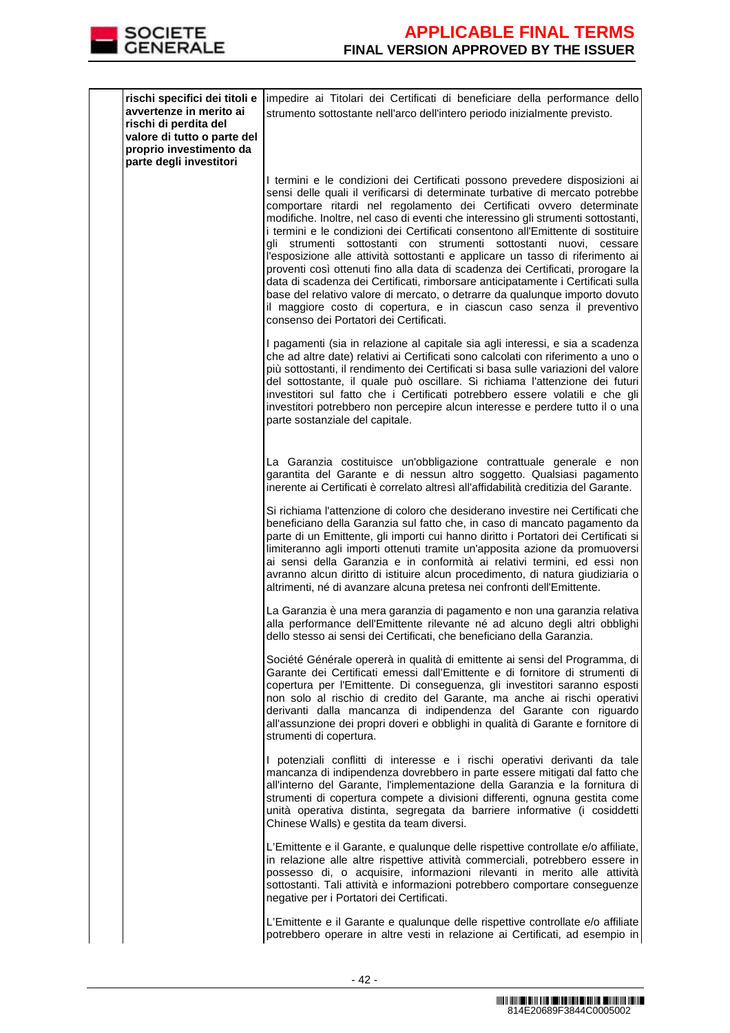

| rischi specifici dei titoli e<br>avvertenze in merito ai<br>rischi di perdita del<br>valore di tutto o parte del<br>proprio investimento da<br>parte degli investitori | impedire ai Titolari dei Certificati di beneficiare della performance dello<br>strumento sottostante nell'arco dell'intero periodo inizialmente previsto.                                                                                                                                                                                                                                                                                                                                                                                                                                                                                                                                                                                                                                                                                                                                                                                        |
|------------------------------------------------------------------------------------------------------------------------------------------------------------------------|--------------------------------------------------------------------------------------------------------------------------------------------------------------------------------------------------------------------------------------------------------------------------------------------------------------------------------------------------------------------------------------------------------------------------------------------------------------------------------------------------------------------------------------------------------------------------------------------------------------------------------------------------------------------------------------------------------------------------------------------------------------------------------------------------------------------------------------------------------------------------------------------------------------------------------------------------|
|                                                                                                                                                                        | I termini e le condizioni dei Certificati possono prevedere disposizioni ai<br>sensi delle quali il verificarsi di determinate turbative di mercato potrebbe<br>comportare ritardi nel regolamento dei Certificati ovvero determinate<br>modifiche. Inoltre, nel caso di eventi che interessino gli strumenti sottostanti,<br>i termini e le condizioni dei Certificati consentono all'Emittente di sostituire<br>gli strumenti sottostanti con strumenti sottostanti nuovi, cessare<br>l'esposizione alle attività sottostanti e applicare un tasso di riferimento ai<br>proventi così ottenuti fino alla data di scadenza dei Certificati, prorogare la<br>data di scadenza dei Certificati, rimborsare anticipatamente i Certificati sulla<br>base del relativo valore di mercato, o detrarre da qualunque importo dovuto<br>il maggiore costo di copertura, e in ciascun caso senza il preventivo<br>consenso dei Portatori dei Certificati. |
|                                                                                                                                                                        | I pagamenti (sia in relazione al capitale sia agli interessi, e sia a scadenza<br>che ad altre date) relativi ai Certificati sono calcolati con riferimento a uno o<br>più sottostanti, il rendimento dei Certificati si basa sulle variazioni del valore<br>del sottostante, il quale può oscillare. Si richiama l'attenzione dei futuri<br>investitori sul fatto che i Certificati potrebbero essere volatili e che gli<br>investitori potrebbero non percepire alcun interesse e perdere tutto il o una<br>parte sostanziale del capitale.                                                                                                                                                                                                                                                                                                                                                                                                    |
|                                                                                                                                                                        | La Garanzia costituisce un'obbligazione contrattuale generale e non<br>garantita del Garante e di nessun altro soggetto. Qualsiasi pagamento<br>inerente ai Certificati è correlato altresì all'affidabilità creditizia del Garante.                                                                                                                                                                                                                                                                                                                                                                                                                                                                                                                                                                                                                                                                                                             |
|                                                                                                                                                                        | Si richiama l'attenzione di coloro che desiderano investire nei Certificati che<br>beneficiano della Garanzia sul fatto che, in caso di mancato pagamento da<br>parte di un Emittente, gli importi cui hanno diritto i Portatori dei Certificati si<br>limiteranno agli importi ottenuti tramite un'apposita azione da promuoversi<br>ai sensi della Garanzia e in conformità ai relativi termini, ed essi non<br>avranno alcun diritto di istituire alcun procedimento, di natura giudiziaria o<br>altrimenti, né di avanzare alcuna pretesa nei confronti dell'Emittente.                                                                                                                                                                                                                                                                                                                                                                      |
|                                                                                                                                                                        | La Garanzia è una mera garanzia di pagamento e non una garanzia relativa<br>alla performance dell'Emittente rilevante né ad alcuno degli altri obblighi<br>dello stesso ai sensi dei Certificati, che beneficiano della Garanzia.                                                                                                                                                                                                                                                                                                                                                                                                                                                                                                                                                                                                                                                                                                                |
|                                                                                                                                                                        | Société Générale opererà in qualità di emittente ai sensi del Programma, di<br>Garante dei Certificati emessi dall'Emittente e di fornitore di strumenti di<br>copertura per l'Emittente. Di conseguenza, gli investitori saranno esposti<br>non solo al rischio di credito del Garante, ma anche ai rischi operativi<br>derivanti dalla mancanza di indipendenza del Garante con riguardo<br>all'assunzione dei propri doveri e obblighi in qualità di Garante e fornitore di<br>strumenti di copertura.                                                                                                                                                                                                                                                                                                                                                                                                                                        |
|                                                                                                                                                                        | I potenziali conflitti di interesse e i rischi operativi derivanti da tale<br>mancanza di indipendenza dovrebbero in parte essere mitigati dal fatto che<br>all'interno del Garante, l'implementazione della Garanzia e la fornitura di<br>strumenti di copertura compete a divisioni differenti, ognuna gestita come<br>unità operativa distinta, segregata da barriere informative (i cosiddetti<br>Chinese Walls) e gestita da team diversi.                                                                                                                                                                                                                                                                                                                                                                                                                                                                                                  |
|                                                                                                                                                                        | L'Emittente e il Garante, e qualunque delle rispettive controllate e/o affiliate,<br>in relazione alle altre rispettive attività commerciali, potrebbero essere in<br>possesso di, o acquisire, informazioni rilevanti in merito alle attività<br>sottostanti. Tali attività e informazioni potrebbero comportare conseguenze<br>negative per i Portatori dei Certificati.                                                                                                                                                                                                                                                                                                                                                                                                                                                                                                                                                                       |
|                                                                                                                                                                        | L'Emittente e il Garante e qualunque delle rispettive controllate e/o affiliate<br>potrebbero operare in altre vesti in relazione ai Certificati, ad esempio in                                                                                                                                                                                                                                                                                                                                                                                                                                                                                                                                                                                                                                                                                                                                                                                  |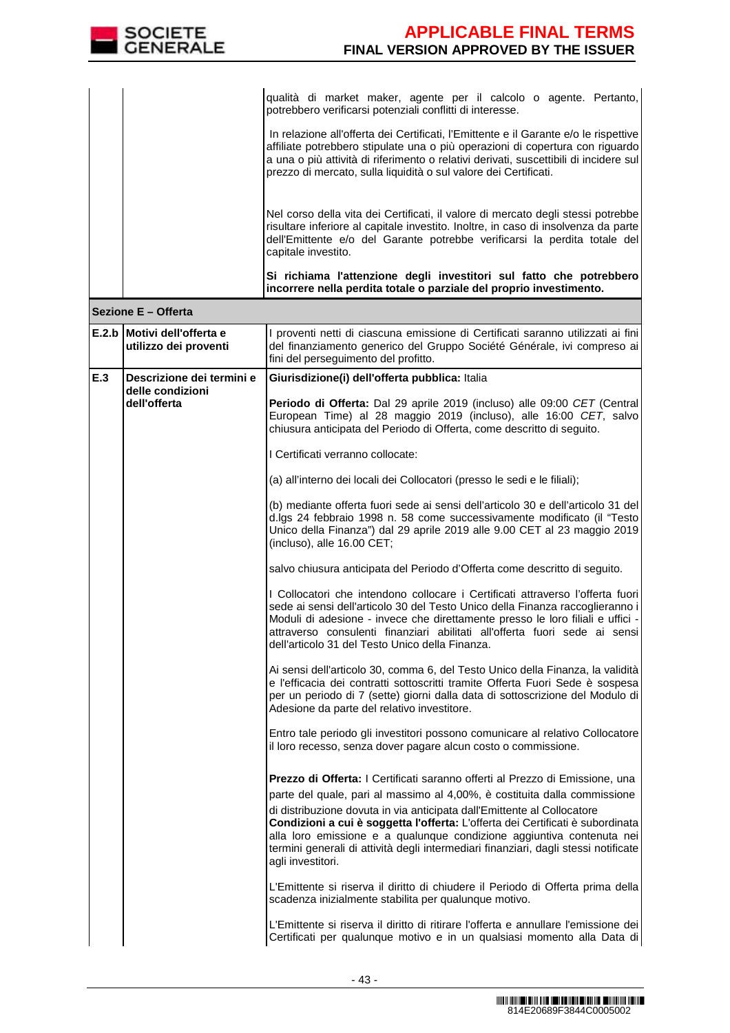

|       |                                                 | qualità di market maker, agente per il calcolo o agente. Pertanto,<br>potrebbero verificarsi potenziali conflitti di interesse.                                                                                                                                                                                                                                                                                                                                                                             |
|-------|-------------------------------------------------|-------------------------------------------------------------------------------------------------------------------------------------------------------------------------------------------------------------------------------------------------------------------------------------------------------------------------------------------------------------------------------------------------------------------------------------------------------------------------------------------------------------|
|       |                                                 | In relazione all'offerta dei Certificati, l'Emittente e il Garante e/o le rispettive<br>affiliate potrebbero stipulate una o più operazioni di copertura con riguardo<br>a una o più attività di riferimento o relativi derivati, suscettibili di incidere sul<br>prezzo di mercato, sulla liquidità o sul valore dei Certificati.                                                                                                                                                                          |
|       |                                                 | Nel corso della vita dei Certificati, il valore di mercato degli stessi potrebbe<br>risultare inferiore al capitale investito. Inoltre, in caso di insolvenza da parte<br>dell'Emittente e/o del Garante potrebbe verificarsi la perdita totale del<br>capitale investito.                                                                                                                                                                                                                                  |
|       |                                                 | Si richiama l'attenzione degli investitori sul fatto che potrebbero<br>incorrere nella perdita totale o parziale del proprio investimento.                                                                                                                                                                                                                                                                                                                                                                  |
|       | Sezione E - Offerta                             |                                                                                                                                                                                                                                                                                                                                                                                                                                                                                                             |
| E.2.b | lMotivi dell'offerta e<br>utilizzo dei proventi | I proventi netti di ciascuna emissione di Certificati saranno utilizzati ai fini<br>del finanziamento generico del Gruppo Société Générale, ivi compreso ai<br>fini del perseguimento del profitto.                                                                                                                                                                                                                                                                                                         |
| E.3   | Descrizione dei termini e                       | Giurisdizione(i) dell'offerta pubblica: Italia                                                                                                                                                                                                                                                                                                                                                                                                                                                              |
|       | delle condizioni<br>dell'offerta                | Periodo di Offerta: Dal 29 aprile 2019 (incluso) alle 09:00 CET (Central<br>European Time) al 28 maggio 2019 (incluso), alle 16:00 CET, salvo<br>chiusura anticipata del Periodo di Offerta, come descritto di seguito.                                                                                                                                                                                                                                                                                     |
|       |                                                 | I Certificati verranno collocate:                                                                                                                                                                                                                                                                                                                                                                                                                                                                           |
|       |                                                 | (a) all'interno dei locali dei Collocatori (presso le sedi e le filiali);                                                                                                                                                                                                                                                                                                                                                                                                                                   |
|       |                                                 | (b) mediante offerta fuori sede ai sensi dell'articolo 30 e dell'articolo 31 del<br>d.lgs 24 febbraio 1998 n. 58 come successivamente modificato (il "Testo<br>Unico della Finanza") dal 29 aprile 2019 alle 9.00 CET al 23 maggio 2019<br>(incluso), alle 16.00 CET;                                                                                                                                                                                                                                       |
|       |                                                 | salvo chiusura anticipata del Periodo d'Offerta come descritto di seguito.                                                                                                                                                                                                                                                                                                                                                                                                                                  |
|       |                                                 | I Collocatori che intendono collocare i Certificati attraverso l'offerta fuori<br>sede ai sensi dell'articolo 30 del Testo Unico della Finanza raccoglieranno i<br>Moduli di adesione - invece che direttamente presso le loro filiali e uffici -<br>attraverso consulenti finanziari abilitati all'offerta fuori sede ai sensi<br>dell'articolo 31 del Testo Unico della Finanza.                                                                                                                          |
|       |                                                 | Ai sensi dell'articolo 30, comma 6, del Testo Unico della Finanza, la validità<br>e l'efficacia dei contratti sottoscritti tramite Offerta Fuori Sede è sospesa<br>per un periodo di 7 (sette) giorni dalla data di sottoscrizione del Modulo di<br>Adesione da parte del relativo investitore.                                                                                                                                                                                                             |
|       |                                                 | Entro tale periodo gli investitori possono comunicare al relativo Collocatore<br>il loro recesso, senza dover pagare alcun costo o commissione.                                                                                                                                                                                                                                                                                                                                                             |
|       |                                                 | Prezzo di Offerta: I Certificati saranno offerti al Prezzo di Emissione, una<br>parte del quale, pari al massimo al 4,00%, è costituita dalla commissione<br>di distribuzione dovuta in via anticipata dall'Emittente al Collocatore<br>Condizioni a cui è soggetta l'offerta: L'offerta dei Certificati è subordinata<br>alla loro emissione e a qualunque condizione aggiuntiva contenuta nei<br>termini generali di attività degli intermediari finanziari, dagli stessi notificate<br>agli investitori. |

L'Emittente si riserva il diritto di chiudere il Periodo di Offerta prima della scadenza inizialmente stabilita per qualunque motivo.

L'Emittente si riserva il diritto di ritirare l'offerta e annullare l'emissione dei Certificati per qualunque motivo e in un qualsiasi momento alla Data di